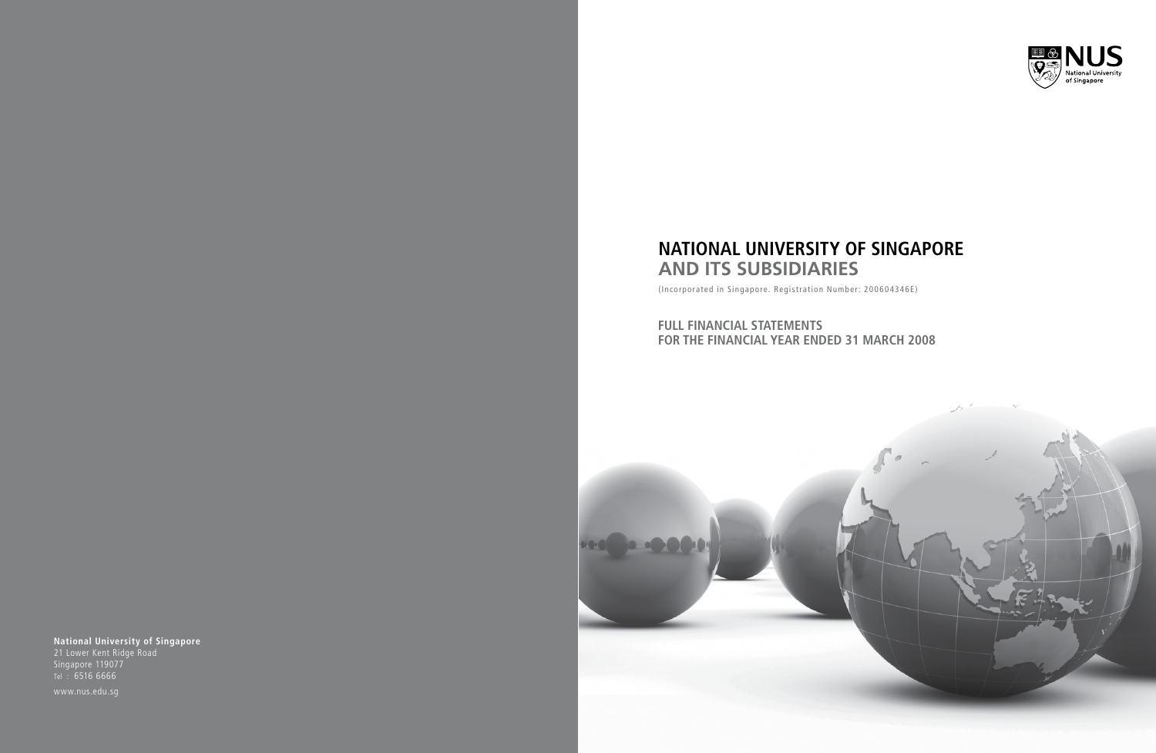# **NATIONAL UNIVERSITY OF SINGAPORE AND ITS SUBSIDIARIES**

(Incorporated in Singapore. Registration Number: 200604346E)

**FULL FINANCIAL STATEMENTS FOR THE FINANCIAL YEAR ENDED 31 MARCH 2008**





### **National University of Singapore**

21 Lower Kent Ridge Road Singapore 119077 Tel : 6516 6666

www.nus.edu.sg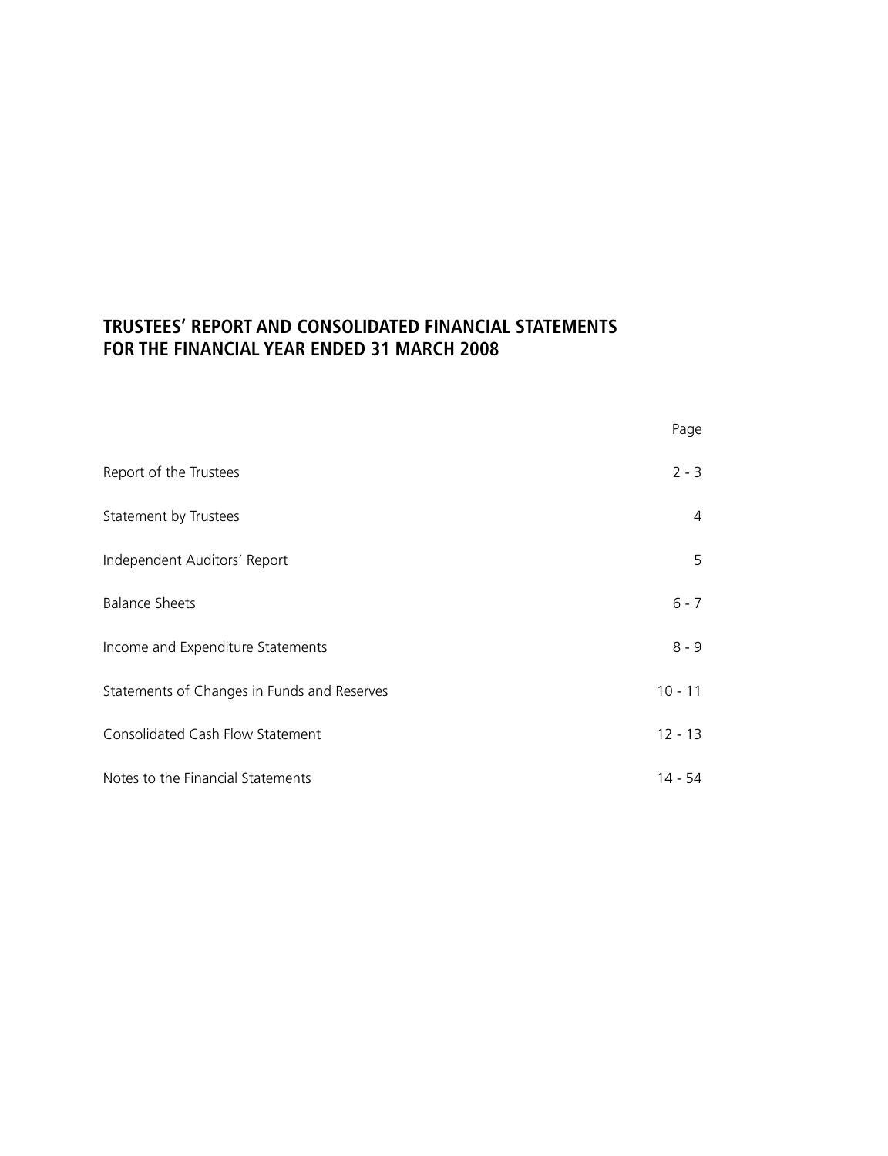# **TRUSTEES' REPORT AND CONSOLIDATED FINANCIAL STATEMENTS FOR THE FINANCIAL YEAR ENDED 31 MARCH 2008**

|                                             | Page           |
|---------------------------------------------|----------------|
| Report of the Trustees                      | $2 - 3$        |
| Statement by Trustees                       | $\overline{4}$ |
| Independent Auditors' Report                | 5              |
| <b>Balance Sheets</b>                       | $6 - 7$        |
| Income and Expenditure Statements           | $8 - 9$        |
| Statements of Changes in Funds and Reserves | $10 - 11$      |
| Consolidated Cash Flow Statement            | $12 - 13$      |
| Notes to the Financial Statements           | 14 - 54        |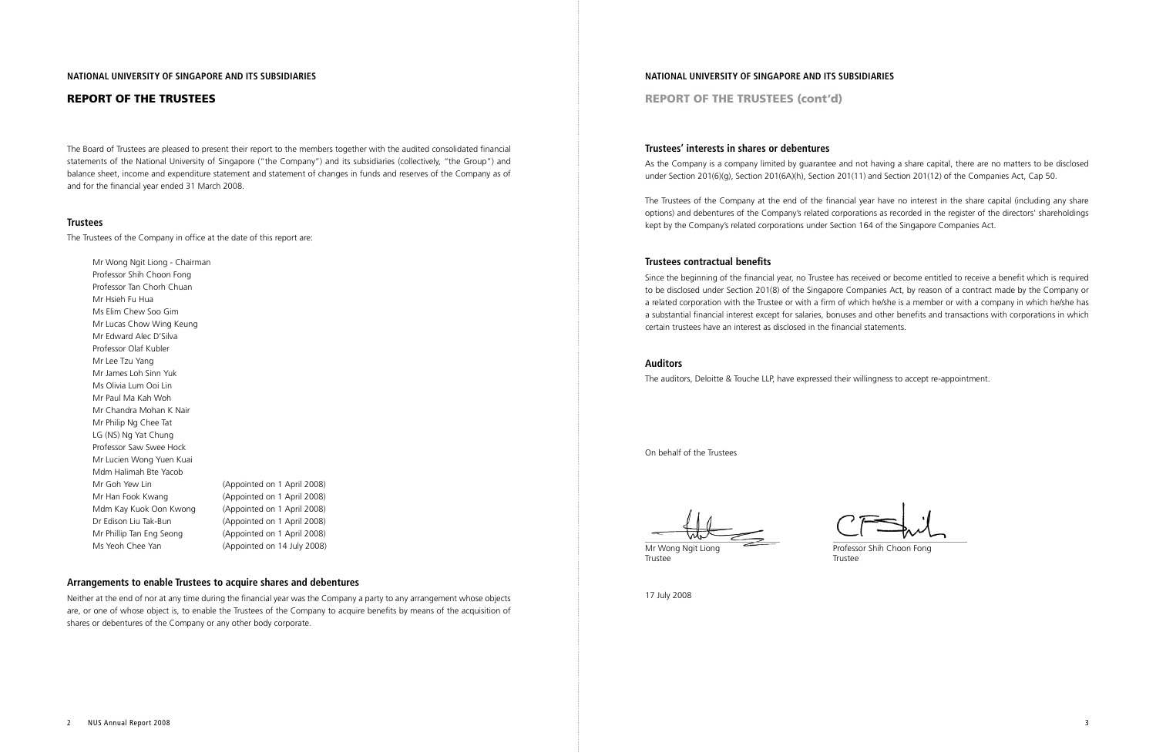REPORT OF THE TRUSTEES (cont'd)

# **Trustees' interests in shares or debentures**

As the Company is a company limited by guarantee and not having a share capital, there are no matters to be disclosed under Section 201(6)(g), Section 201(6A)(h), Section 201(11) and Section 201(12) of the Companies Act, Cap 50.

The Trustees of the Company at the end of the financial year have no interest in the share capital (including any share options) and debentures of the Company's related corporations as recorded in the register of the directors' shareholdings kept by the Company's related corporations under Section 164 of the Singapore Companies Act.

Mr Wong Ngit Liong Professor Shih Choon Fong Trustee Trustee

# **Trustees contractual benefits**

 Mr Wong Ngit Liong - Chairman Professor Shih Choon Fong Professor Tan Chorh Chuan Mr Hsieh Fu Hua Ms Elim Chew Soo Gim Mr Lucas Chow Wing Keung Mr Edward Alec D'Silva Professor Olaf Kubler Mr Lee Tzu Yang Mr James Loh Sinn Yuk Ms Olivia Lum Ooi Lin Mr Paul Ma Kah Woh Mr Chandra Mohan K Nair Mr Philip Ng Chee Tat LG (NS) Ng Yat Chung Professor Saw Swee Hock Mr Lucien Wong Yuen Kuai Mdm Halimah Bte Yacob Mr Goh Yew Lin (Appointed on 1 April 2008) Mr Han Fook Kwang (Appointed on 1 April 2008) Mdm Kay Kuok Oon Kwong (Appointed on 1 April 2008) Dr Edison Liu Tak-Bun (Appointed on 1 April 2008) Mr Phillip Tan Eng Seong (Appointed on 1 April 2008) Ms Yeoh Chee Yan (Appointed on 14 July 2008)

Since the beginning of the financial year, no Trustee has received or become entitled to receive a benefit which is required to be disclosed under Section 201(8) of the Singapore Companies Act, by reason of a contract made by the Company or a related corporation with the Trustee or with a firm of which he/she is a member or with a company in which he/she has a substantial financial interest except for salaries, bonuses and other benefits and transactions with corporations in which certain trustees have an interest as disclosed in the financial statements.

# **Auditors**

The auditors, Deloitte & Touche LLP, have expressed their willingness to accept re-appointment.

On behalf of the Trustees

17 July 2008

# REPORT OF THE TRUSTEES

The Board of Trustees are pleased to present their report to the members together with the audited consolidated financial statements of the National University of Singapore ("the Company") and its subsidiaries (collectively, "the Group") and balance sheet, income and expenditure statement and statement of changes in funds and reserves of the Company as of and for the financial year ended 31 March 2008.

# **Trustees**

The Trustees of the Company in office at the date of this report are:

# **Arrangements to enable Trustees to acquire shares and debentures**

Neither at the end of nor at any time during the financial year was the Company a party to any arrangement whose objects are, or one of whose object is, to enable the Trustees of the Company to acquire benefits by means of the acquisition of shares or debentures of the Company or any other body corporate.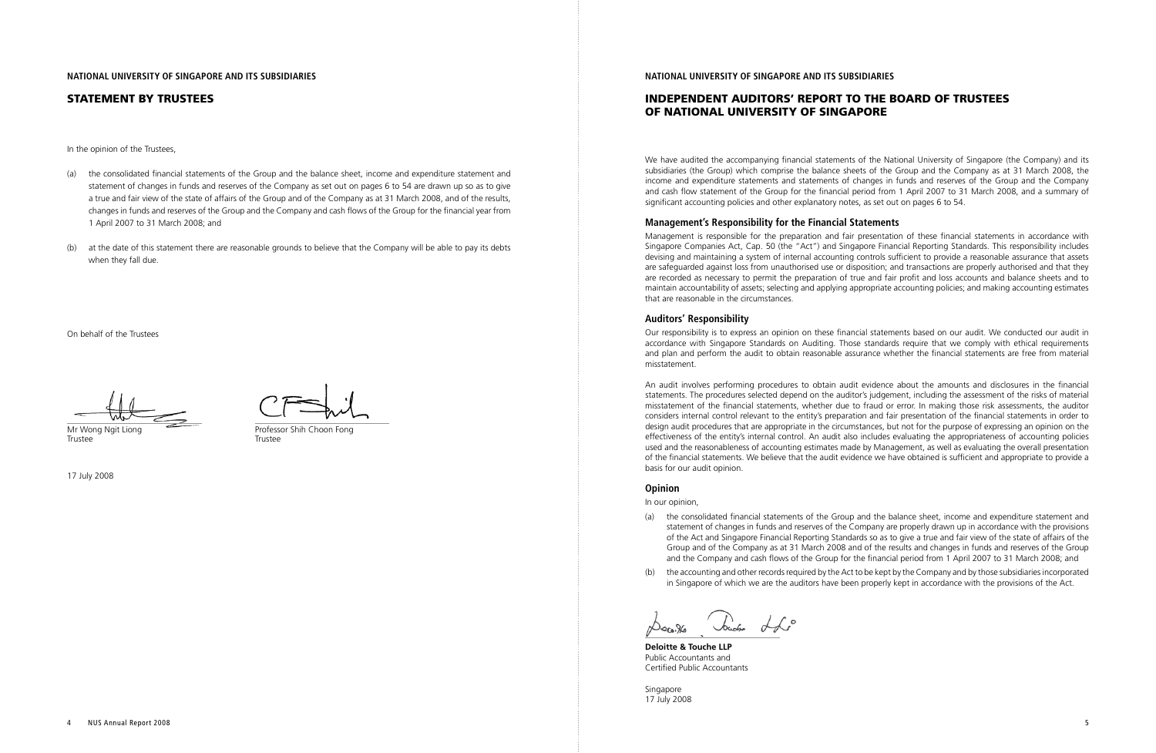# Independent Auditors' report TO the Board of Trustees of National University of Singapore

We have audited the accompanying financial statements of the National University of Singapore (the Company) and its subsidiaries (the Group) which comprise the balance sheets of the Group and the Company as at 31 March 2008, the income and expenditure statements and statements of changes in funds and reserves of the Group and the Company and cash flow statement of the Group for the financial period from 1 April 2007 to 31 March 2008, and a summary of significant accounting policies and other explanatory notes, as set out on pages 6 to 54.

# **Management's Responsibility for the Financial Statements**

Management is responsible for the preparation and fair presentation of these financial statements in accordance with Singapore Companies Act, Cap. 50 (the "Act") and Singapore Financial Reporting Standards. This responsibility includes devising and maintaining a system of internal accounting controls sufficient to provide a reasonable assurance that assets are safeguarded against loss from unauthorised use or disposition; and transactions are properly authorised and that they are recorded as necessary to permit the preparation of true and fair profit and loss accounts and balance sheets and to maintain accountability of assets; selecting and applying appropriate accounting policies; and making accounting estimates that are reasonable in the circumstances.

- (a) the consolidated financial statements of the Group and the balance sheet, income and expenditure statement and
- (b) the accounting and other records required by the Act to be kept by the Company and by those subsidiaries incorporated

# **Auditors' Responsibility**

Our responsibility is to express an opinion on these financial statements based on our audit. We conducted our audit in accordance with Singapore Standards on Auditing. Those standards require that we comply with ethical requirements and plan and perform the audit to obtain reasonable assurance whether the financial statements are free from material misstatement.

- the consolidated financial statements of the Group and the balance sheet, income and expenditure statement and statement of changes in funds and reserves of the Company as set out on pages 6 to 54 are drawn up so as to give a true and fair view of the state of affairs of the Group and of the Company as at 31 March 2008, and of the results, changes in funds and reserves of the Group and the Company and cash flows of the Group for the financial year from 1 April 2007 to 31 March 2008; and
- (b) at the date of this statement there are reasonable grounds to believe that the Company will be able to pay its debts when they fall due.

An audit involves performing procedures to obtain audit evidence about the amounts and disclosures in the financial statements. The procedures selected depend on the auditor's judgement, including the assessment of the risks of material misstatement of the financial statements, whether due to fraud or error. In making those risk assessments, the auditor considers internal control relevant to the entity's preparation and fair presentation of the financial statements in order to design audit procedures that are appropriate in the circumstances, but not for the purpose of expressing an opinion on the effectiveness of the entity's internal control. An audit also includes evaluating the appropriateness of accounting policies used and the reasonableness of accounting estimates made by Management, as well as evaluating the overall presentation of the financial statements. We believe that the audit evidence we have obtained is sufficient and appropriate to provide a basis for our audit opinion.

### **Opinion**

In our opinion,

statement of changes in funds and reserves of the Company are properly drawn up in accordance with the provisions of the Act and Singapore Financial Reporting Standards so as to give a true and fair view of the state of affairs of the Group and of the Company as at 31 March 2008 and of the results and changes in funds and reserves of the Group and the Company and cash flows of the Group for the financial period from 1 April 2007 to 31 March 2008; and

in Singapore of which we are the auditors have been properly kept in accordance with the provisions of the Act.

**Deloitte & Touche LLP** Public Accountants and Certified Public Accountants

Singapore 17 July 2008

# STATEMENT BY TRUSTEES

In the opinion of the Trustees,

On behalf of the Trustees

Trustee **Trustee** 

17 July 2008

Mr Wong Ngit Liong<br>
Trustee Manuscript Choon Fong<br>
Trustee Manuscript Choon Fong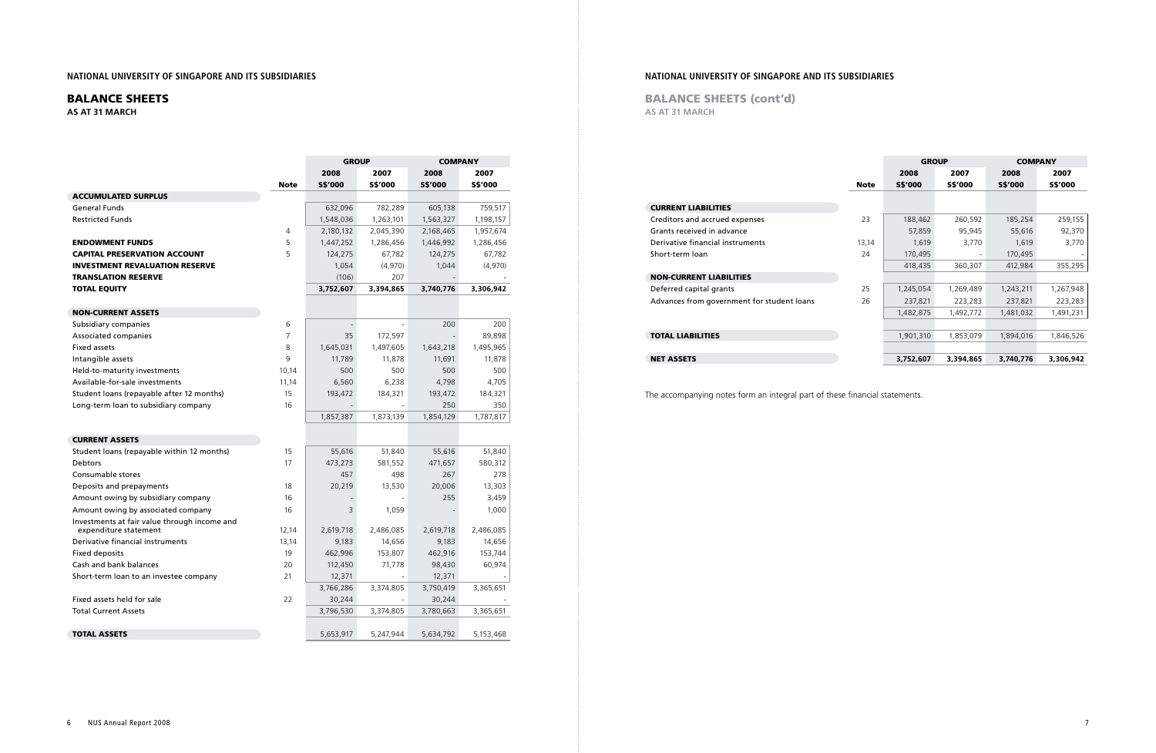# BALANCE SHEETS (cont'd) **AS AT 31 MARCH**

# CURRENT LIABILITIES

Creditors and accrued expenses Grants received in advance Derivative financial instruments Short-term loan

|             | <b>GROUP</b>   |                | <b>COMPANY</b> |                |  |  |
|-------------|----------------|----------------|----------------|----------------|--|--|
|             | 2008           | 2007           | 2008           | 2007           |  |  |
| <b>Note</b> | <b>S\$'000</b> | <b>S\$'000</b> | <b>S\$'000</b> | <b>S\$'000</b> |  |  |
|             |                |                |                |                |  |  |
|             |                |                |                |                |  |  |
| 23          | 188,462        | 260,592        | 185,254        | 259,155        |  |  |
|             | 57,859         | 95,945         | 55,616         | 92,370         |  |  |
| 13,14       | 1,619          | 3,770          | 1,619          | 3,770          |  |  |
| 24          | 170,495        |                | 170,495        |                |  |  |
|             | 418,435        | 360,307        | 412,984        | 355,295        |  |  |
|             |                |                |                |                |  |  |
| 25          | 1,245,054      | 1,269,489      | 1,243,211      | 1,267,948      |  |  |
| 26          | 237,821        | 223,283        | 237,821        | 223,283        |  |  |
|             | 1,482,875      | 1,492,772      | 1,481,032      | 1,491,231      |  |  |
|             |                |                |                |                |  |  |
|             | 1,901,310      | 1,853,079      | 1,894,016      | 1,846,526      |  |  |
|             |                |                |                |                |  |  |
|             | 3,752,607      | 3,394,865      | 3,740,776      | 3,306,942      |  |  |

# NON-CURRENT LIABILITIES

Deferred capital grants Advances from government for student loans

# **TOTAL LIABILITIES**

NET ASSETS **3,752,607 3,394,865 3,740,776 3,306,942**

The accompanying notes form an integral part of these financial statements.

# BALANCE SHEETS

**AS AT 31 MARCH**

|                                                                       |                | <b>GROUP</b>   |                | <b>COMPANY</b> |           |
|-----------------------------------------------------------------------|----------------|----------------|----------------|----------------|-----------|
|                                                                       |                | 2008           | 2007           | 2008           | 2007      |
|                                                                       | <b>Note</b>    | <b>S\$'000</b> | <b>S\$'000</b> | <b>S\$'000</b> | S\$'000   |
| <b>ACCUMULATED SURPLUS</b>                                            |                |                |                |                |           |
| <b>General Funds</b>                                                  |                | 632,096        | 782,289        | 605,138        | 759,517   |
| <b>Restricted Funds</b>                                               |                | 1,548,036      | 1,263,101      | 1,563,327      | 1,198,157 |
|                                                                       | 4              | 2,180,132      | 2,045,390      | 2,168,465      | 1,957,674 |
| <b>ENDOWMENT FUNDS</b>                                                | 5              | 1,447,252      | 1,286,456      | 1,446,992      | 1,286,456 |
| <b>CAPITAL PRESERVATION ACCOUNT</b>                                   | 5              | 124,275        | 67,782         | 124,275        | 67,782    |
| <b>INVESTMENT REVALUATION RESERVE</b>                                 |                | 1,054          | (4,970)        | 1,044          | (4,970)   |
| <b>TRANSLATION RESERVE</b>                                            |                | (106)          | 207            |                |           |
| <b>TOTAL EQUITY</b>                                                   |                | 3,752,607      | 3,394,865      | 3,740,776      | 3,306,942 |
|                                                                       |                |                |                |                |           |
| <b>NON-CURRENT ASSETS</b>                                             |                |                |                |                |           |
| Subsidiary companies                                                  | 6              |                |                | 200            | 200       |
| Associated companies                                                  | $\overline{7}$ | 35             | 172,597        |                | 89,898    |
| <b>Fixed assets</b>                                                   | 8              | 1,645,031      | 1,497,605      | 1,643,218      | 1,495,965 |
| Intangible assets                                                     | 9              | 11,789         | 11,878         | 11,691         | 11,878    |
| Held-to-maturity investments                                          | 10,14          | 500            | 500            | 500            | 500       |
| Available-for-sale investments                                        | 11,14          | 6,560          | 6,238          | 4,798          | 4,705     |
| Student loans (repayable after 12 months)                             | 15             | 193,472        | 184,321        | 193,472        | 184,321   |
| Long-term loan to subsidiary company                                  | 16             |                |                | 250            | 350       |
|                                                                       |                | 1,857,387      | 1,873,139      | 1,854,129      | 1,787,817 |
| <b>CURRENT ASSETS</b>                                                 |                |                |                |                |           |
| Student loans (repayable within 12 months)                            | 15             | 55,616         | 51,840         | 55,616         | 51,840    |
| <b>Debtors</b>                                                        | 17             | 473,273        | 581,552        | 471,657        | 580,312   |
| Consumable stores                                                     |                | 457            | 498            | 267            | 278       |
| Deposits and prepayments                                              | 18             | 20,219         | 13,530         | 20,006         | 13,303    |
| Amount owing by subsidiary company                                    | 16             |                |                | 255            | 3,459     |
| Amount owing by associated company                                    | 16             | 3              | 1,059          |                | 1,000     |
| Investments at fair value through income and<br>expenditure statement | 12,14          | 2,619,718      | 2,486,085      | 2,619,718      | 2,486,085 |
| Derivative financial instruments                                      | 13,14          | 9,183          | 14,656         | 9,183          | 14,656    |
| <b>Fixed deposits</b>                                                 | 19             | 462,996        | 153,807        | 462,916        | 153,744   |
| Cash and bank balances                                                | 20             | 112,450        | 71,778         | 98,430         | 60,974    |
| Short-term loan to an investee company                                | 21             | 12,371         |                | 12,371         |           |
|                                                                       |                | 3,766,286      | 3,374,805      | 3,750,419      | 3,365,651 |
| Fixed assets held for sale                                            | 22             | 30,244         |                | 30,244         |           |
| <b>Total Current Assets</b>                                           |                | 3,796,530      | 3,374,805      | 3,780,663      | 3,365,651 |
|                                                                       |                |                |                |                |           |
| <b>TOTAL ASSETS</b>                                                   |                | 5,653,917      | 5,247,944      | 5,634,792      | 5,153,468 |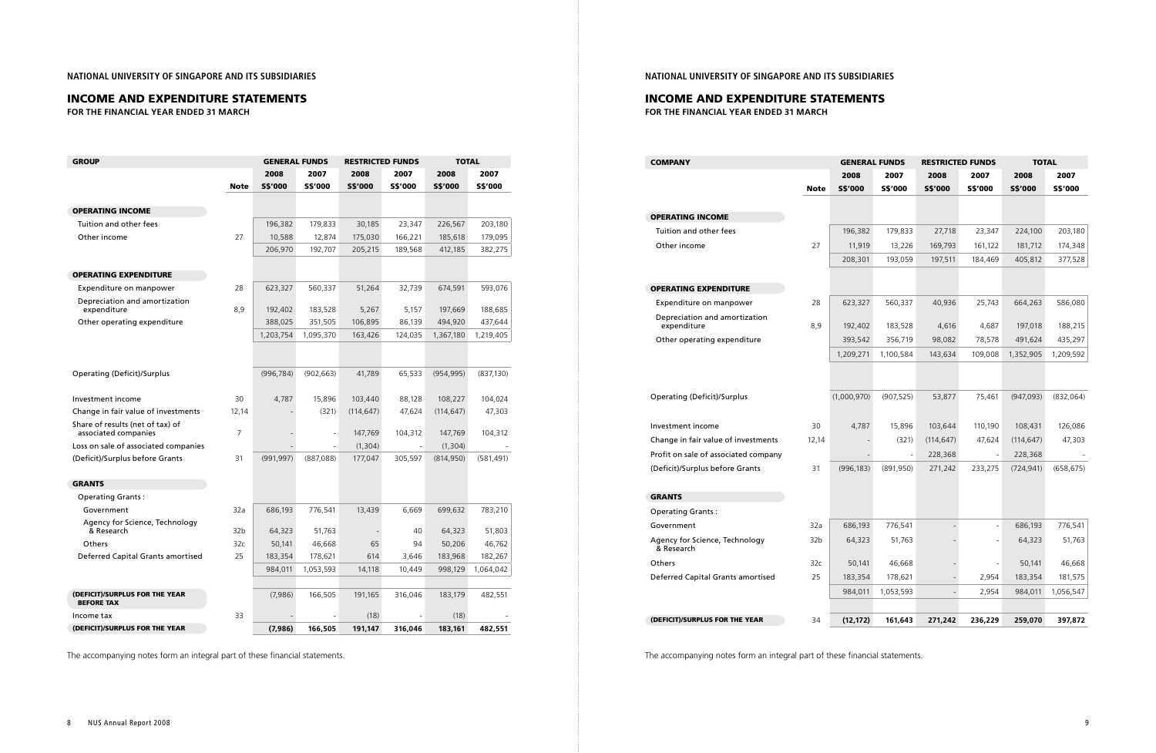# INCOME AND EXPENDITURE STATEMENTS

**FOR THE FINANCIAL YEAR ENDED 31 MARCH**

| <b>COMPANY</b>                               |                 | <b>GENERAL FUNDS</b> |                | <b>RESTRICTED FUNDS</b> |                | <b>TOTAL</b>   |            |
|----------------------------------------------|-----------------|----------------------|----------------|-------------------------|----------------|----------------|------------|
|                                              |                 | 2008                 | 2007           | 2008                    | 2007           | 2008           | 2007       |
|                                              | <b>Note</b>     | <b>S\$'000</b>       | <b>S\$'000</b> | <b>S\$'000</b>          | <b>S\$'000</b> | <b>S\$'000</b> | S\$'000    |
|                                              |                 |                      |                |                         |                |                |            |
| <b>OPERATING INCOME</b>                      |                 |                      |                |                         |                |                |            |
| Tuition and other fees                       |                 | 196,382              | 179,833        | 27,718                  | 23,347         | 224,100        | 203,180    |
| Other income                                 | 27              | 11,919               | 13,226         | 169,793                 | 161,122        | 181,712        | 174,348    |
|                                              |                 | 208,301              | 193,059        | 197,511                 | 184,469        | 405,812        | 377,528    |
|                                              |                 |                      |                |                         |                |                |            |
| <b>OPERATING EXPENDITURE</b>                 |                 |                      |                |                         |                |                |            |
| Expenditure on manpower                      | 28              | 623,327              | 560,337        | 40,936                  | 25,743         | 664,263        | 586,080    |
| Depreciation and amortization<br>expenditure | 8,9             | 192,402              | 183,528        | 4,616                   | 4,687          | 197,018        | 188,215    |
| Other operating expenditure                  |                 | 393,542              | 356,719        | 98,082                  | 78,578         | 491,624        | 435,297    |
|                                              |                 | 1,209,271            | 1,100,584      | 143,634                 | 109,008        | 1,352,905      | 1,209,592  |
|                                              |                 |                      |                |                         |                |                |            |
|                                              |                 |                      |                |                         |                |                |            |
| <b>Operating (Deficit)/Surplus</b>           |                 | (1,000,970)          | (907, 525)     | 53,877                  | 75,461         | (947,093)      | (832,064)  |
|                                              |                 |                      |                |                         |                |                |            |
| Investment income                            | 30              | 4,787                | 15,896         | 103,644                 | 110,190        | 108,431        | 126,086    |
| Change in fair value of investments          | 12,14           |                      | (321)          | (114, 647)              | 47,624         | (114, 647)     | 47,303     |
| Profit on sale of associated company         |                 |                      | $\frac{1}{2}$  | 228,368                 |                | 228,368        |            |
| (Deficit)/Surplus before Grants              | 31              | (996, 183)           | (891,950)      | 271,242                 | 233,275        | (724, 941)     | (658, 675) |
|                                              |                 |                      |                |                         |                |                |            |
| <b>GRANTS</b>                                |                 |                      |                |                         |                |                |            |
| <b>Operating Grants:</b>                     |                 |                      |                |                         |                |                |            |
| Government                                   | 32a             | 686,193              | 776,541        |                         | L,             | 686,193        | 776,541    |
| Agency for Science, Technology<br>& Research | 32 <sub>b</sub> | 64,323               | 51,763         |                         |                | 64,323         | 51,763     |
| Others                                       | 32c             | 50,141               | 46,668         |                         | $\overline{a}$ | 50,141         | 46,668     |
| Deferred Capital Grants amortised            | 25              | 183,354              | 178,621        |                         | 2,954          | 183,354        | 181,575    |
|                                              |                 | 984,011              | 1,053,593      | ÷,                      | 2,954          | 984,011        | 1,056,547  |
|                                              |                 |                      |                |                         |                |                |            |
| (DEFICIT)/SURPLUS FOR THE YEAR               | 34              | (12, 172)            | 161,643        | 271,242                 | 236,229        | 259,070        | 397,872    |

The accompanying notes form an integral part of these financial statements.

# INCOME AND EXPENDITURE STATEMENTS

**FOR THE FINANCIAL YEAR ENDED 31 MARCH**

| <b>GROUP</b>                                             |                 | <b>GENERAL FUNDS</b> |                | <b>RESTRICTED FUNDS</b> |         | <b>TOTAL</b>   |                |
|----------------------------------------------------------|-----------------|----------------------|----------------|-------------------------|---------|----------------|----------------|
|                                                          |                 | 2008                 | 2007           | 2008                    | 2007    | 2008           | 2007           |
|                                                          | <b>Note</b>     | <b>S\$'000</b>       | <b>S\$'000</b> | <b>S\$'000</b>          | S\$'000 | <b>S\$'000</b> | <b>S\$'000</b> |
|                                                          |                 |                      |                |                         |         |                |                |
| <b>OPERATING INCOME</b>                                  |                 |                      |                |                         |         |                |                |
| Tuition and other fees                                   |                 | 196,382              | 179,833        | 30,185                  | 23,347  | 226,567        | 203,180        |
| Other income                                             | 27              | 10,588               | 12,874         | 175,030                 | 166,221 | 185,618        | 179,095        |
|                                                          |                 | 206,970              | 192,707        | 205,215                 | 189,568 | 412,185        | 382,275        |
|                                                          |                 |                      |                |                         |         |                |                |
| <b>OPERATING EXPENDITURE</b>                             |                 |                      |                |                         |         |                |                |
| Expenditure on manpower                                  | 28              | 623,327              | 560,337        | 51,264                  | 32,739  | 674,591        | 593,076        |
| Depreciation and amortization<br>expenditure             | 8,9             | 192,402              | 183,528        | 5,267                   | 5,157   | 197,669        | 188,685        |
| Other operating expenditure                              |                 | 388,025              | 351,505        | 106,895                 | 86,139  | 494,920        | 437,644        |
|                                                          |                 |                      |                |                         |         |                |                |
|                                                          |                 | 1,203,754            | 1,095,370      | 163,426                 | 124,035 | 1,367,180      | 1,219,405      |
|                                                          |                 |                      |                |                         |         |                |                |
| <b>Operating (Deficit)/Surplus</b>                       |                 | (996, 784)           | (902, 663)     | 41,789                  | 65,533  | (954, 995)     | (837, 130)     |
|                                                          |                 |                      |                |                         |         |                |                |
| Investment income                                        | 30              | 4,787                | 15,896         | 103,440                 | 88,128  | 108,227        | 104,024        |
| Change in fair value of investments                      | 12,14           |                      | (321)          | (114, 647)              | 47,624  | (114, 647)     | 47,303         |
| Share of results (net of tax) of<br>associated companies | $\overline{7}$  |                      | $\overline{a}$ | 147,769                 | 104,312 | 147,769        | 104,312        |
| Loss on sale of associated companies                     |                 |                      |                | (1, 304)                |         | (1, 304)       |                |
| (Deficit)/Surplus before Grants                          | 31              | (991, 997)           | (887,088)      | 177,047                 | 305,597 | (814, 950)     | (581, 491)     |
|                                                          |                 |                      |                |                         |         |                |                |
| <b>GRANTS</b>                                            |                 |                      |                |                         |         |                |                |
| <b>Operating Grants:</b>                                 |                 |                      |                |                         |         |                |                |
| Government                                               | 32a             | 686,193              | 776,541        | 13,439                  | 6,669   | 699,632        | 783,210        |
| Agency for Science, Technology<br>& Research             | 32 <sub>b</sub> | 64,323               | 51,763         |                         | 40      | 64,323         | 51,803         |
| Others                                                   | 32c             | 50,141               | 46,668         | 65                      | 94      | 50,206         | 46,762         |
| Deferred Capital Grants amortised                        | 25              | 183,354              | 178,621        | 614                     | 3,646   | 183,968        | 182,267        |
|                                                          |                 | 984,011              | 1,053,593      | 14,118                  | 10,449  | 998,129        | 1,064,042      |
|                                                          |                 |                      |                |                         |         |                |                |
| (DEFICIT)/SURPLUS FOR THE YEAR<br><b>BEFORE TAX</b>      |                 | (7,986)              | 166,505        | 191,165                 | 316,046 | 183,179        | 482,551        |
| Income tax                                               | 33              |                      |                | (18)                    |         | (18)           |                |
| (DEFICIT)/SURPLUS FOR THE YEAR                           |                 | (7,986)              | 166,505        | 191,147                 | 316,046 | 183,161        | 482,551        |

The accompanying notes form an integral part of these financial statements.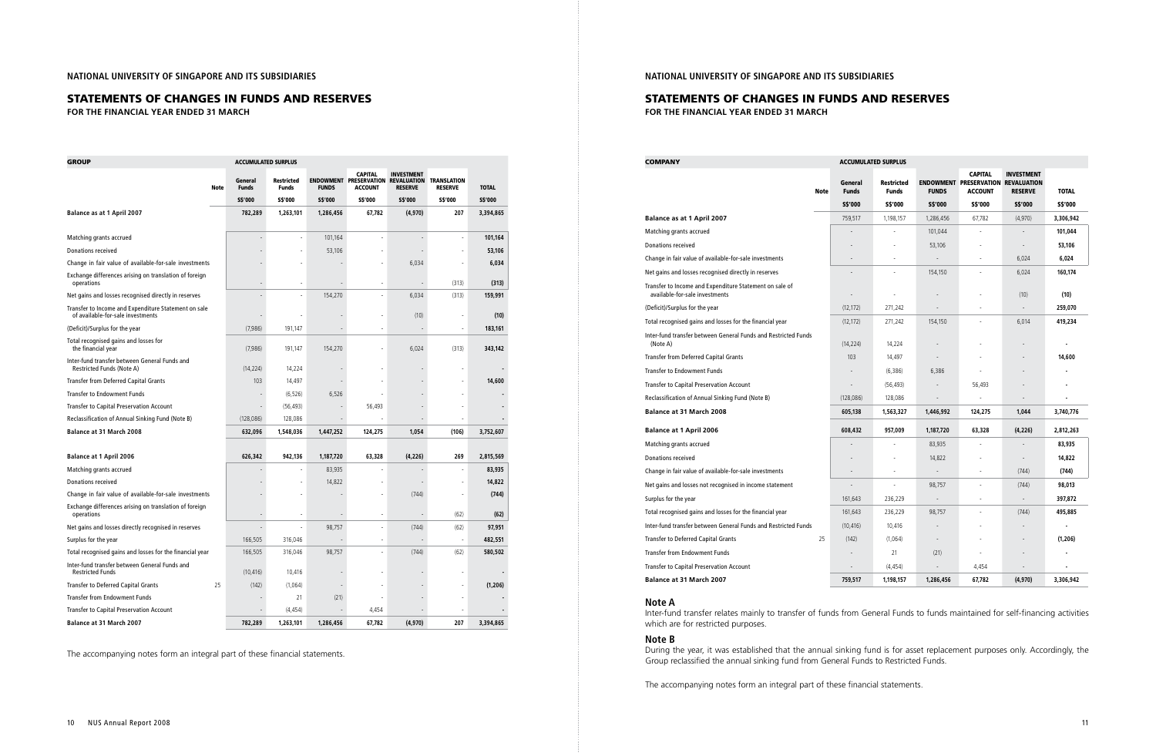# STATEMENTS OF CHANGES IN FUNDS AND RESERVES

**FOR THE FINANCIAL YEAR ENDED 31 MARCH**

Inter-fund transfer relates mainly to transfer of funds from General Funds to funds maintained for self-financing activities which are for restricted purposes.

| <b>COMPANY</b><br><b>ACCUMULATED SURPLUS</b>                                              |                         |                                   |                                 |                                                                               |                                     |                |  |
|-------------------------------------------------------------------------------------------|-------------------------|-----------------------------------|---------------------------------|-------------------------------------------------------------------------------|-------------------------------------|----------------|--|
| <b>Note</b>                                                                               | General<br><b>Funds</b> | <b>Restricted</b><br><b>Funds</b> | <b>FUNDS</b>                    | <b>CAPITAL</b><br><b>ENDOWMENT PRESERVATION REVALUATION</b><br><b>ACCOUNT</b> | <b>INVESTMENT</b><br><b>RESERVE</b> | <b>TOTAL</b>   |  |
|                                                                                           | <b>S\$'000</b>          | S\$'000                           | S\$'000                         | <b>S\$'000</b>                                                                | S\$'000                             | <b>S\$'000</b> |  |
| Balance as at 1 April 2007                                                                | 759,517                 | 1,198,157                         | 1,286,456                       | 67,782                                                                        | (4,970)                             | 3,306,942      |  |
| Matching grants accrued                                                                   |                         |                                   | 101,044                         | L.                                                                            |                                     | 101,044        |  |
| <b>Donations received</b>                                                                 |                         |                                   | 53,106                          |                                                                               |                                     | 53,106         |  |
| Change in fair value of available-for-sale investments                                    |                         | $\overline{\phantom{a}}$          | $\overline{\phantom{a}}$        | ÷                                                                             | 6,024                               | 6,024          |  |
| Net gains and losses recognised directly in reserves                                      |                         | ÷                                 | 154,150                         | ÷,                                                                            | 6,024                               | 160,174        |  |
| Transfer to Income and Expenditure Statement on sale of<br>available-for-sale investments |                         |                                   |                                 |                                                                               | (10)                                | (10)           |  |
| (Deficit)/Surplus for the year                                                            | (12, 172)               | 271,242                           | $\centering \label{eq:reduced}$ | ä,                                                                            |                                     | 259,070        |  |
| Total recognised gains and losses for the financial year                                  | (12, 172)               | 271,242                           | 154,150                         | ä,                                                                            | 6,014                               | 419,234        |  |
| Inter-fund transfer between General Funds and Restricted Funds<br>(Note A)                | (14, 224)               | 14,224                            |                                 |                                                                               |                                     |                |  |
| <b>Transfer from Deferred Capital Grants</b>                                              | 103                     | 14,497                            |                                 |                                                                               |                                     | 14,600         |  |
| <b>Transfer to Endowment Funds</b>                                                        |                         | (6, 386)                          | 6,386                           |                                                                               |                                     |                |  |
| Transfer to Capital Preservation Account                                                  |                         | (56, 493)                         |                                 | 56,493                                                                        |                                     |                |  |
| Reclassification of Annual Sinking Fund (Note B)                                          | (128,086)               | 128,086                           |                                 | ä,                                                                            |                                     |                |  |
| Balance at 31 March 2008                                                                  | 605,138                 | 1,563,327                         | 1,446,992                       | 124,275                                                                       | 1,044                               | 3,740,776      |  |
| <b>Balance at 1 April 2006</b>                                                            | 608,432                 | 957,009                           | 1,187,720                       | 63,328                                                                        | (4, 226)                            | 2,812,263      |  |
| Matching grants accrued                                                                   |                         |                                   | 83,935                          |                                                                               |                                     | 83,935         |  |
| <b>Donations received</b>                                                                 |                         |                                   | 14,822                          |                                                                               |                                     | 14,822         |  |
| Change in fair value of available-for-sale investments                                    |                         | ×.                                | $\overline{\phantom{a}}$        | ä,                                                                            | (744)                               | (744)          |  |
| Net gains and losses not recognised in income statement                                   |                         | ÷,                                | 98,757                          | ÷,                                                                            | (744)                               | 98,013         |  |
| Surplus for the year                                                                      | 161,643                 | 236,229                           |                                 |                                                                               |                                     | 397,872        |  |
| Total recognised gains and losses for the financial year                                  | 161,643                 | 236,229                           | 98,757                          | ÷,                                                                            | (744)                               | 495,885        |  |
| Inter-fund transfer between General Funds and Restricted Funds                            | (10, 416)               | 10,416                            | ÷                               |                                                                               |                                     | $\blacksquare$ |  |
| 25<br><b>Transfer to Deferred Capital Grants</b>                                          | (142)                   | (1,064)                           | $\centering \label{eq:reduced}$ | ä,                                                                            |                                     | (1, 206)       |  |
| <b>Transfer from Endowment Funds</b>                                                      |                         | 21                                | (21)                            |                                                                               |                                     |                |  |
| <b>Transfer to Capital Preservation Account</b>                                           |                         | (4, 454)                          |                                 | 4,454                                                                         |                                     |                |  |
| <b>Balance at 31 March 2007</b>                                                           | 759,517                 | 1,198,157                         | 1,286,456                       | 67,782                                                                        | (4, 970)                            | 3,306,942      |  |

# **Note A**

# **Note B**

During the year, it was established that the annual sinking fund is for asset replacement purposes only. Accordingly, the Group reclassified the annual sinking fund from General Funds to Restricted Funds.

The accompanying notes form an integral part of these financial statements.

# STATEMENTS OF CHANGES IN FUNDS AND RESERVES

**FOR THE FINANCIAL YEAR ENDED 31 MARCH**

| <b>GROUP</b>                                                                              |                         | <b>ACCUMULATED SURPLUS</b> |              |                                                                   |                                                           |                                      |                |  |  |
|-------------------------------------------------------------------------------------------|-------------------------|----------------------------|--------------|-------------------------------------------------------------------|-----------------------------------------------------------|--------------------------------------|----------------|--|--|
| <b>Note</b>                                                                               | General<br><b>Funds</b> | Restricted<br>Funds        | <b>FUNDS</b> | <b>CAPITAL</b><br><b>ENDOWMENT PRESERVATION</b><br><b>ACCOUNT</b> | <b>INVESTMENT</b><br><b>REVALUATION</b><br><b>RESERVE</b> | <b>TRANSLATION</b><br><b>RESERVE</b> | <b>TOTAL</b>   |  |  |
|                                                                                           | <b>S\$'000</b>          | <b>S\$'000</b>             | S\$'000      | S\$'000                                                           | S\$'000                                                   | S\$'000                              | <b>S\$'000</b> |  |  |
| Balance as at 1 April 2007                                                                | 782,289                 | 1,263,101                  | 1,286,456    | 67,782                                                            | (4, 970)                                                  | 207                                  | 3,394,865      |  |  |
| Matching grants accrued                                                                   |                         | ä,                         | 101,164      |                                                                   |                                                           | J,                                   | 101,164        |  |  |
| <b>Donations received</b>                                                                 |                         |                            | 53,106       |                                                                   |                                                           |                                      | 53,106         |  |  |
| Change in fair value of available-for-sale investments                                    |                         |                            |              |                                                                   | 6,034                                                     |                                      | 6,034          |  |  |
| Exchange differences arising on translation of foreign<br>operations                      | ÷                       | ä,                         |              | ä,                                                                |                                                           | (313)                                | (313)          |  |  |
| Net gains and losses recognised directly in reserves                                      |                         | $\overline{a}$             | 154,270      | L                                                                 | 6,034                                                     | (313)                                | 159,991        |  |  |
| Transfer to Income and Expenditure Statement on sale<br>of available-for-sale investments |                         |                            |              |                                                                   | (10)                                                      |                                      | (10)           |  |  |
| (Deficit)/Surplus for the year                                                            | (7,986)                 | 191,147                    |              |                                                                   |                                                           | Ĭ.                                   | 183,161        |  |  |
| Total recognised gains and losses for<br>the financial year                               | (7,986)                 | 191,147                    | 154,270      |                                                                   | 6,024                                                     | (313)                                | 343,142        |  |  |
| Inter-fund transfer between General Funds and<br>Restricted Funds (Note A)                | (14, 224)               | 14,224                     |              |                                                                   |                                                           |                                      |                |  |  |
| <b>Transfer from Deferred Capital Grants</b>                                              | 103                     | 14,497                     |              |                                                                   |                                                           |                                      | 14,600         |  |  |
| <b>Transfer to Endowment Funds</b>                                                        |                         | (6, 526)                   | 6,526        |                                                                   |                                                           |                                      |                |  |  |
| <b>Transfer to Capital Preservation Account</b>                                           |                         | (56, 493)                  |              | 56,493                                                            |                                                           |                                      |                |  |  |
| Reclassification of Annual Sinking Fund (Note B)                                          | (128, 086)              | 128,086                    |              |                                                                   |                                                           |                                      |                |  |  |
| Balance at 31 March 2008                                                                  | 632,096                 | 1,548,036                  | 1,447,252    | 124,275                                                           | 1,054                                                     | (106)                                | 3,752,607      |  |  |
|                                                                                           |                         |                            |              |                                                                   |                                                           |                                      |                |  |  |
| <b>Balance at 1 April 2006</b>                                                            | 626,342                 | 942,136                    | 1,187,720    | 63,328                                                            | (4, 226)                                                  | 269                                  | 2,815,569      |  |  |
| Matching grants accrued                                                                   |                         |                            | 83,935       |                                                                   |                                                           |                                      | 83,935         |  |  |
| <b>Donations received</b>                                                                 |                         |                            | 14,822       |                                                                   |                                                           |                                      | 14,822         |  |  |
| Change in fair value of available-for-sale investments                                    |                         |                            |              |                                                                   | (744)                                                     | ä,                                   | (744)          |  |  |
| Exchange differences arising on translation of foreign<br>operations                      |                         | ÷,                         |              |                                                                   |                                                           | (62)                                 | (62)           |  |  |
| Net gains and losses directly recognised in reserves                                      |                         | L.                         | 98,757       | L.                                                                | (744)                                                     | (62)                                 | 97,951         |  |  |
| Surplus for the year                                                                      | 166,505                 | 316,046                    |              |                                                                   |                                                           | ÷,                                   | 482,551        |  |  |
| Total recognised gains and losses for the financial year                                  | 166,505                 | 316,046                    | 98,757       | L.                                                                | (744)                                                     | (62)                                 | 580,502        |  |  |
| Inter-fund transfer between General Funds and<br><b>Restricted Funds</b>                  | (10, 416)               | 10,416                     |              |                                                                   |                                                           |                                      |                |  |  |
| 25<br><b>Transfer to Deferred Capital Grants</b>                                          | (142)                   | (1,064)                    |              |                                                                   |                                                           |                                      | (1, 206)       |  |  |
| <b>Transfer from Endowment Funds</b>                                                      |                         | 21                         | (21)         |                                                                   |                                                           |                                      |                |  |  |
| <b>Transfer to Capital Preservation Account</b>                                           |                         | (4, 454)                   |              | 4,454                                                             |                                                           |                                      |                |  |  |
| Balance at 31 March 2007                                                                  | 782,289                 | 1,263,101                  | 1,286,456    | 67,782                                                            | (4,970)                                                   | 207                                  | 3,394,865      |  |  |

The accompanying notes form an integral part of these financial statements.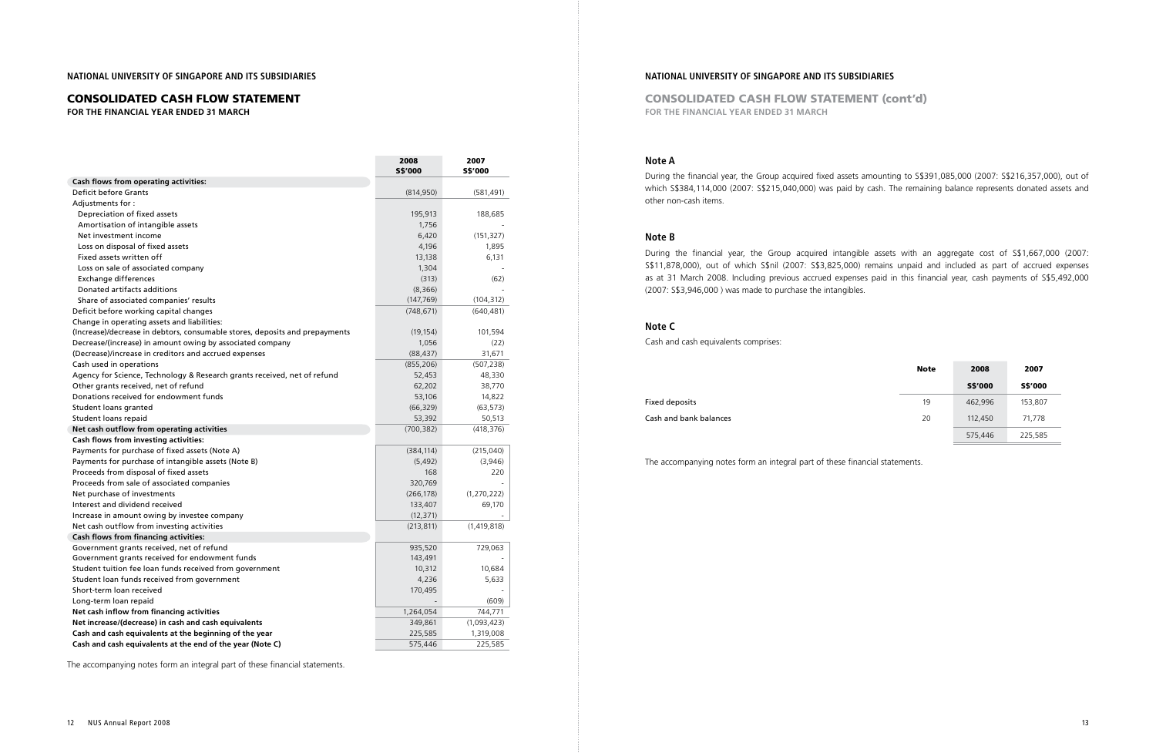# CONSOLIDATED CASH FLOW STATEMENT (cont'd) **FOR THE FINANCIAL YEAR ENDED 31 MARCH**

# **Note A**

During the financial year, the Group acquired fixed assets amounting to S\$391,085,000 (2007: S\$216,357,000), out of which S\$384,114,000 (2007: S\$215,040,000) was paid by cash. The remaining balance represents donated assets and other non-cash items.

### **Note B**

During the financial year, the Group acquired intangible assets with an aggregate cost of S\$1,667,000 (2007: S\$11,878,000), out of which S\$nil (2007: S\$3,825,000) remains unpaid and included as part of accrued expenses as at 31 March 2008. Including previous accrued expenses paid in this financial year, cash payments of S\$5,492,000 (2007: S\$3,946,000 ) was made to purchase the intangibles.

# **Note C**

Cash and cash equivalents comprises:

### Fixed deposits

Cash and bank balances

| Note | 2008           | 2007    |
|------|----------------|---------|
|      | <b>S\$'000</b> | S\$'000 |
| 19   | 462,996        | 153,807 |
| 20   | 112,450        | 71,778  |
|      | 575,446        | 225,585 |

The accompanying notes form an integral part of these financial statements.

# CONSOLIDATED CASH FLOW STATEMENT

**FOR THE FINANCIAL YEAR ENDED 31 MARCH**

|                                                                             | 2008<br><b>S\$'000</b> | 2007<br><b>S\$'000</b> |
|-----------------------------------------------------------------------------|------------------------|------------------------|
| Cash flows from operating activities:                                       |                        |                        |
| Deficit before Grants                                                       | (814, 950)             | (581, 491)             |
| Adjustments for:                                                            |                        |                        |
| Depreciation of fixed assets                                                | 195,913                | 188,685                |
| Amortisation of intangible assets                                           | 1,756                  |                        |
| Net investment income                                                       | 6,420                  | (151, 327)             |
| Loss on disposal of fixed assets                                            | 4,196                  | 1,895                  |
| Fixed assets written off                                                    | 13,138                 | 6,131                  |
| Loss on sale of associated company                                          | 1,304                  |                        |
| Exchange differences                                                        | (313)                  | (62)                   |
| Donated artifacts additions                                                 | (8,366)                |                        |
| Share of associated companies' results                                      | (147, 769)             | (104, 312)             |
| Deficit before working capital changes                                      | (748, 671)             | (640, 481)             |
| Change in operating assets and liabilities:                                 |                        |                        |
| (Increase)/decrease in debtors, consumable stores, deposits and prepayments | (19, 154)              | 101,594                |
| Decrease/(increase) in amount owing by associated company                   | 1,056                  | (22)                   |
| (Decrease)/increase in creditors and accrued expenses                       | (88, 437)              | 31,671                 |
| Cash used in operations                                                     | (855, 206)             | (507, 238)             |
| Agency for Science, Technology & Research grants received, net of refund    | 52,453                 | 48,330                 |
| Other grants received, net of refund                                        | 62,202                 | 38,770                 |
| Donations received for endowment funds                                      | 53,106                 | 14,822                 |
| Student loans granted                                                       | (66, 329)              | (63, 573)              |
| Student loans repaid                                                        | 53,392                 | 50,513                 |
| Net cash outflow from operating activities                                  | (700, 382)             | (418, 376)             |
| Cash flows from investing activities:                                       |                        |                        |
| Payments for purchase of fixed assets (Note A)                              | (384, 114)             | (215,040)              |
| Payments for purchase of intangible assets (Note B)                         | (5, 492)               | (3,946)                |
| Proceeds from disposal of fixed assets                                      | 168                    | 220                    |
| Proceeds from sale of associated companies                                  | 320,769                |                        |
| Net purchase of investments                                                 | (266, 178)             | (1, 270, 222)          |
| Interest and dividend received                                              | 133,407                | 69,170                 |
| Increase in amount owing by investee company                                | (12, 371)              |                        |
| Net cash outflow from investing activities                                  | (213, 811)             | (1,419,818)            |
| Cash flows from financing activities:                                       |                        |                        |
| Government grants received, net of refund                                   | 935,520                | 729,063                |
| Government grants received for endowment funds                              | 143,491                |                        |
| Student tuition fee loan funds received from government                     | 10,312                 | 10,684                 |
| Student loan funds received from government                                 | 4,236                  | 5,633                  |
| Short-term loan received                                                    | 170,495                |                        |
| Long-term loan repaid                                                       |                        | (609)                  |
| Net cash inflow from financing activities                                   | 1,264,054              | 744,771                |
| Net increase/(decrease) in cash and cash equivalents                        | 349,861                | (1,093,423)            |
| Cash and cash equivalents at the beginning of the year                      | 225,585                | 1,319,008              |
| Cash and cash equivalents at the end of the year (Note C)                   | 575,446                | 225,585                |

The accompanying notes form an integral part of these financial statements.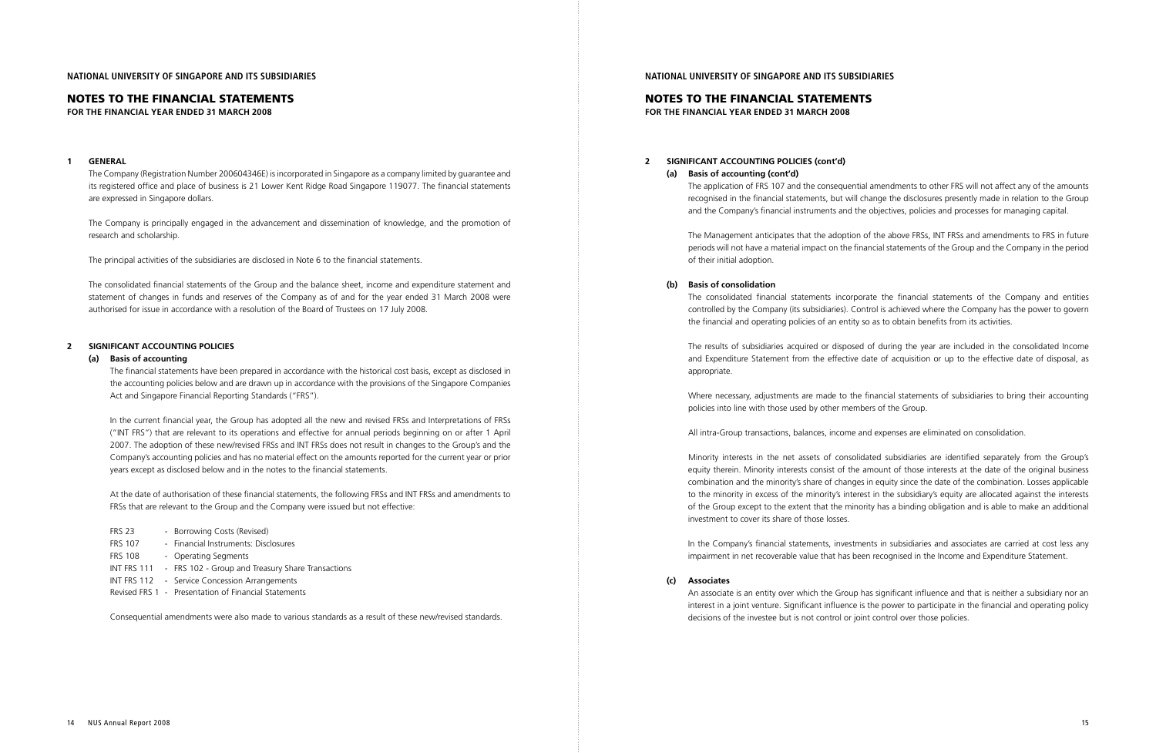# NOTES TO THE FINANCIAL STATEMENTS

**FOR THE FINANCIAL YEAR ENDED 31 MARCH 2008**

# **2 SIGNIFICANT ACCOUNTING POLICIES (cont'd) (a) Basis of accounting (cont'd)**

 The application of FRS 107 and the consequential amendments to other FRS will not affect any of the amounts recognised in the financial statements, but will change the disclosures presently made in relation to the Group and the Company's financial instruments and the objectives, policies and processes for managing capital.

 The Management anticipates that the adoption of the above FRSs, INT FRSs and amendments to FRS in future periods will not have a material impact on the financial statements of the Group and the Company in the period of their initial adoption.

# **(b) Basis of consolidation**

 The consolidated financial statements incorporate the financial statements of the Company and entities controlled by the Company (its subsidiaries). Control is achieved where the Company has the power to govern the financial and operating policies of an entity so as to obtain benefits from its activities.

 The results of subsidiaries acquired or disposed of during the year are included in the consolidated Income and Expenditure Statement from the effective date of acquisition or up to the effective date of disposal, as appropriate.

 Where necessary, adjustments are made to the financial statements of subsidiaries to bring their accounting policies into line with those used by other members of the Group.

 All intra-Group transactions, balances, income and expenses are eliminated on consolidation.

 Minority interests in the net assets of consolidated subsidiaries are identified separately from the Group's equity therein. Minority interests consist of the amount of those interests at the date of the original business combination and the minority's share of changes in equity since the date of the combination. Losses applicable to the minority in excess of the minority's interest in the subsidiary's equity are allocated against the interests of the Group except to the extent that the minority has a binding obligation and is able to make an additional investment to cover its share of those losses.

 In the Company's financial statements, investments in subsidiaries and associates are carried at cost less any impairment in net recoverable value that has been recognised in the Income and Expenditure Statement.

### **(c) Associates**

 An associate is an entity over which the Group has significant influence and that is neither a subsidiary nor an interest in a joint venture. Significant influence is the power to participate in the financial and operating policy decisions of the investee but is not control or joint control over those policies.

# NOTES TO THE FINANCIAL STATEMENTS

**FOR THE FINANCIAL YEAR ENDED 31 MARCH 2008**

## **1 GENERAL**

 The Company (Registration Number 200604346E) is incorporated in Singapore as a company limited by guarantee and its registered office and place of business is 21 Lower Kent Ridge Road Singapore 119077. The financial statements are expressed in Singapore dollars.

 The Company is principally engaged in the advancement and dissemination of knowledge, and the promotion of research and scholarship.

 The principal activities of the subsidiaries are disclosed in Note 6 to the financial statements.

 The consolidated financial statements of the Group and the balance sheet, income and expenditure statement and statement of changes in funds and reserves of the Company as of and for the year ended 31 March 2008 were authorised for issue in accordance with a resolution of the Board of Trustees on 17 July 2008.

# **2 SIGNIFICANT ACCOUNTING POLICIES**

### **(a) Basis of accounting**

 The financial statements have been prepared in accordance with the historical cost basis, except as disclosed in the accounting policies below and are drawn up in accordance with the provisions of the Singapore Companies Act and Singapore Financial Reporting Standards ("FRS").

 In the current financial year, the Group has adopted all the new and revised FRSs and Interpretations of FRSs ("INT FRS") that are relevant to its operations and effective for annual periods beginning on or after 1 April 2007. The adoption of these new/revised FRSs and INT FRSs does not result in changes to the Group's and the Company's accounting policies and has no material effect on the amounts reported for the current year or prior years except as disclosed below and in the notes to the financial statements.

 At the date of authorisation of these financial statements, the following FRSs and INT FRSs and amendments to FRSs that are relevant to the Group and the Company were issued but not effective:

- FRS 23 Borrowing Costs (Revised)
- FRS 107 Financial Instruments: Disclosures
- FRS 108 Operating Segments
- INT FRS 111 FRS 102 Group and Treasury Share Transactions
- INT FRS 112 Service Concession Arrangements
- Revised FRS 1 Presentation of Financial Statements

 Consequential amendments were also made to various standards as a result of these new/revised standards.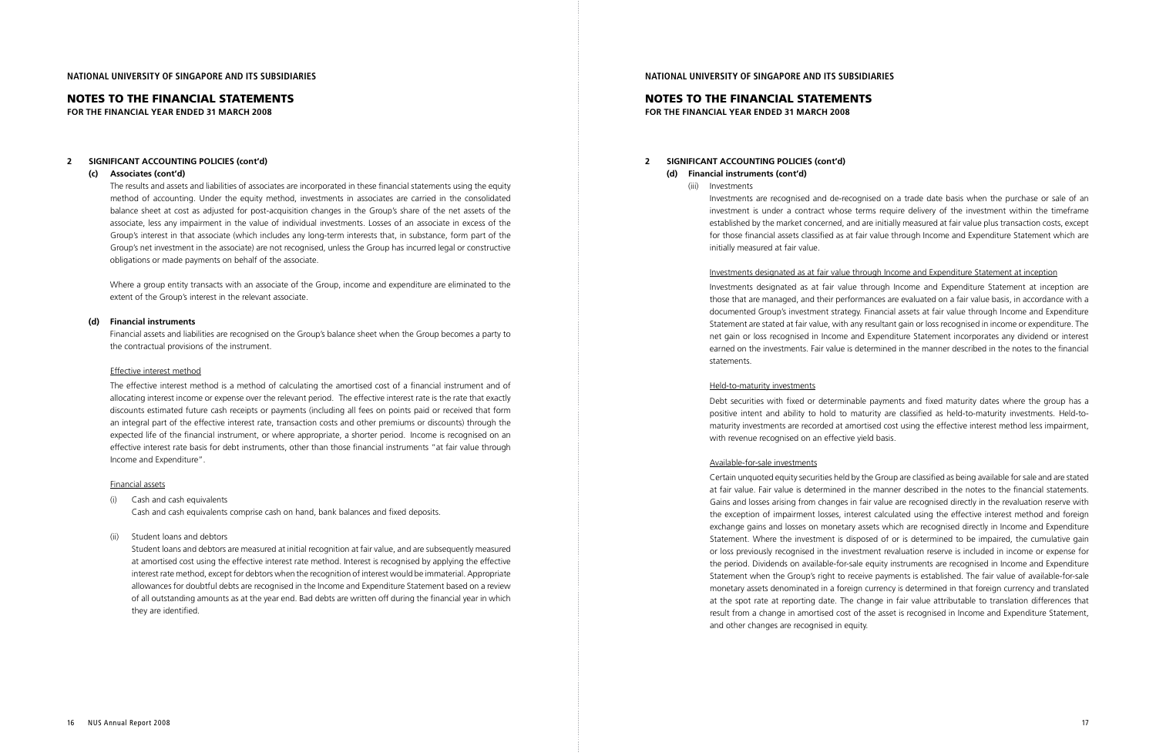**FOR THE FINANCIAL YEAR ENDED 31 MARCH 2008**

### **2 SIGNIFICANT ACCOUNTING POLICIES (cont'd) (d) Financial instruments (cont'd)**

(iii) Investments

 Investments are recognised and de-recognised on a trade date basis when the purchase or sale of an investment is under a contract whose terms require delivery of the investment within the timeframe established by the market concerned, and are initially measured at fair value plus transaction costs, except for those financial assets classified as at fair value through Income and Expenditure Statement which are

initially measured at fair value.

# Investments designated as at fair value through Income and Expenditure Statement at inception

 Investments designated as at fair value through Income and Expenditure Statement at inception are those that are managed, and their performances are evaluated on a fair value basis, in accordance with a documented Group's investment strategy. Financial assets at fair value through Income and Expenditure Statement are stated at fair value, with any resultant gain or loss recognised in income or expenditure. The net gain or loss recognised in Income and Expenditure Statement incorporates any dividend or interest earned on the investments. Fair value is determined in the manner described in the notes to the financial statements.

### Held-to-maturity investments

 Debt securities with fixed or determinable payments and fixed maturity dates where the group has a positive intent and ability to hold to maturity are classified as held-to-maturity investments. Held-tomaturity investments are recorded at amortised cost using the effective interest method less impairment, with revenue recognised on an effective yield basis.

### Available-for-sale investments

 Certain unquoted equity securities held by the Group are classified as being available forsale and are stated at fair value. Fair value is determined in the manner described in the notes to the financial statements. Gains and losses arising from changes in fair value are recognised directly in the revaluation reserve with the exception of impairment losses, interest calculated using the effective interest method and foreign exchange gains and losses on monetary assets which are recognised directly in Income and Expenditure Statement. Where the investment is disposed of or is determined to be impaired, the cumulative gain or loss previously recognised in the investment revaluation reserve is included in income or expense for the period. Dividends on available-for-sale equity instruments are recognised in Income and Expenditure Statement when the Group's right to receive payments is established. The fair value of available-for-sale monetary assets denominated in a foreign currency is determined in that foreign currency and translated at the spot rate at reporting date. The change in fair value attributable to translation differences that result from a change in amortised cost of the asset is recognised in Income and Expenditure Statement, and other changes are recognised in equity.

# NOTES TO THE FINANCIAL STATEMENTS

**FOR THE FINANCIAL YEAR ENDED 31 MARCH 2008**

# **2 SIGNIFICANT ACCOUNTING POLICIES (cont'd)**

### **(c) Associates (cont'd)**

 The results and assets and liabilities of associates are incorporated in these financial statements using the equity method of accounting. Under the equity method, investments in associates are carried in the consolidated balance sheet at cost as adjusted for post-acquisition changes in the Group's share of the net assets of the associate, less any impairment in the value of individual investments. Losses of an associate in excess of the Group's interest in that associate (which includes any long-term interests that, in substance, form part of the Group's net investment in the associate) are not recognised, unless the Group has incurred legal or constructive obligations or made payments on behalf of the associate.

 Where a group entity transacts with an associate of the Group, income and expenditure are eliminated to the extent of the Group's interest in the relevant associate.

### **(d) Financial instruments**

 Financial assets and liabilities are recognised on the Group's balance sheet when the Group becomes a party to the contractual provisions of the instrument.

### Effective interest method

 The effective interest method is a method of calculating the amortised cost of a financial instrument and of allocating interest income or expense over the relevant period. The effective interest rate is the rate that exactly discounts estimated future cash receipts or payments (including all fees on points paid or received that form an integral part of the effective interest rate, transaction costs and other premiums or discounts) through the expected life of the financial instrument, or where appropriate, a shorter period. Income is recognised on an effective interest rate basis for debt instruments, other than those financial instruments "at fair value through Income and Expenditure".

### Financial assets

- (i) Cash and cash equivalents Cash and cash equivalents comprise cash on hand, bank balances and fixed deposits.
- (ii) Student loans and debtors

 Student loans and debtors are measured at initial recognition at fair value, and are subsequently measured at amortised cost using the effective interest rate method. Interest is recognised by applying the effective interest rate method, except for debtors when the recognition of interest would be immaterial. Appropriate allowances for doubtful debts are recognised in the Income and Expenditure Statement based on a review of all outstanding amounts as at the year end. Bad debts are written off during the financial year in which they are identified.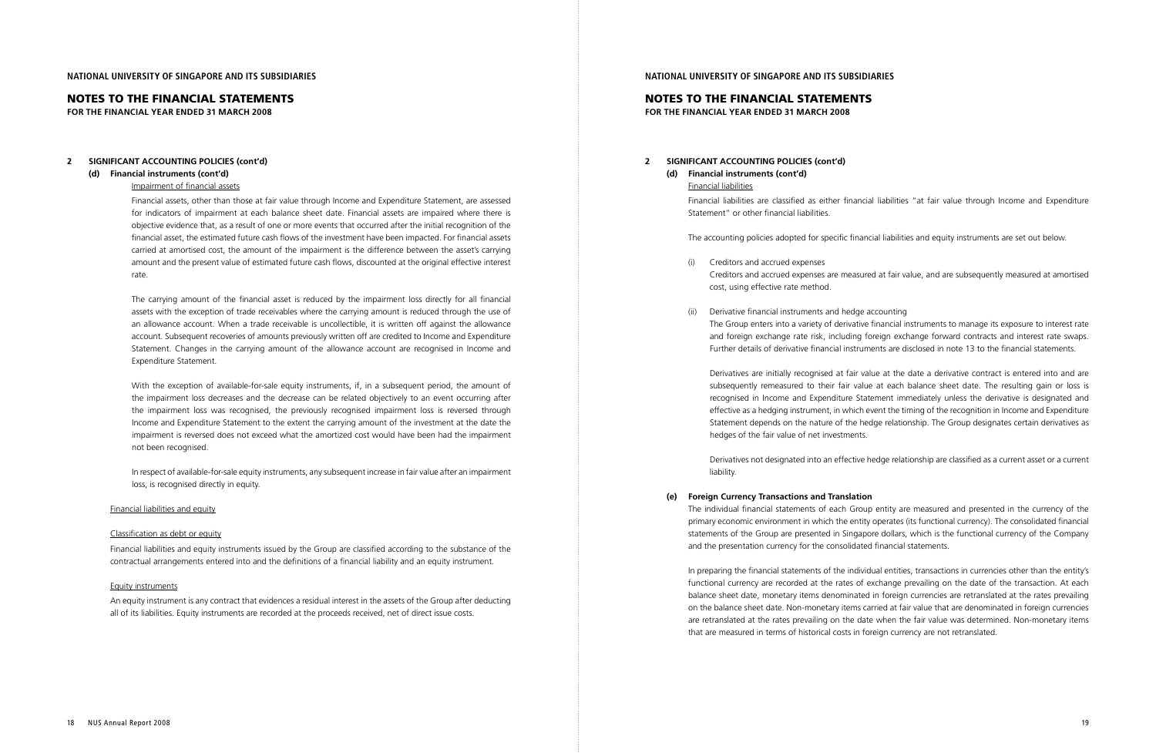**FOR THE FINANCIAL YEAR ENDED 31 MARCH 2008**

# **2 SIGNIFICANT ACCOUNTING POLICIES (cont'd)**

### **(d) Financial instruments (cont'd)** Financial liabilities

- (i) Creditors and accrued expenses cost, using effective rate method.
- (ii) Derivative financial instruments and hedge accounting

 Financial liabilities are classified as either financial liabilities "at fair value through Income and Expenditure Statement" or other financial liabilities.

 The accounting policies adopted for specific financial liabilities and equity instruments are set out below.

 Creditors and accrued expenses are measured at fair value, and are subsequently measured at amortised

 The Group enters into a variety of derivative financial instruments to manage its exposure to interest rate and foreign exchange rate risk, including foreign exchange forward contracts and interest rate swaps. Further details of derivative financial instruments are disclosed in note 13 to the financial statements.

 Derivatives are initially recognised at fair value at the date a derivative contract is entered into and are subsequently remeasured to their fair value at each balance sheet date. The resulting gain or loss is recognised in Income and Expenditure Statement immediately unless the derivative is designated and effective as a hedging instrument, in which event the timing of the recognition in Income and Expenditure Statement depends on the nature of the hedge relationship. The Group designates certain derivatives as hedges of the fair value of net investments.

 Derivatives not designated into an effective hedge relationship are classified as a current asset or a current

liability.

 The individual financial statements of each Group entity are measured and presented in the currency of the primary economic environment in which the entity operates (its functional currency). The consolidated financial statements of the Group are presented in Singapore dollars, which is the functional currency of the Company

**(e) Foreign Currency Transactions and Translation** and the presentation currency for the consolidated financial statements.

 In preparing the financial statements of the individual entities, transactions in currencies other than the entity's functional currency are recorded at the rates of exchange prevailing on the date of the transaction. At each balance sheet date, monetary items denominated in foreign currencies are retranslated at the rates prevailing on the balance sheet date. Non-monetary items carried at fair value that are denominated in foreign currencies are retranslated at the rates prevailing on the date when the fair value was determined. Non-monetary items that are measured in terms of historical costs in foreign currency are not retranslated.

# NOTES TO THE FINANCIAL STATEMENTS

**FOR THE FINANCIAL YEAR ENDED 31 MARCH 2008**

# **2 SIGNIFICANT ACCOUNTING POLICIES (cont'd)**

### **(d) Financial instruments (cont'd)**

# Impairment of financial assets

 Financial assets, other than those at fair value through Income and Expenditure Statement, are assessed for indicators of impairment at each balance sheet date. Financial assets are impaired where there is objective evidence that, as a result of one or more events that occurred after the initial recognition of the financial asset, the estimated future cash flows of the investment have been impacted. For financial assets carried at amortised cost, the amount of the impairment is the difference between the asset's carrying amount and the present value of estimated future cash flows, discounted at the original effective interest rate.

 The carrying amount of the financial asset is reduced by the impairment loss directly for all financial assets with the exception of trade receivables where the carrying amount is reduced through the use of an allowance account. When a trade receivable is uncollectible, it is written off against the allowance account. Subsequent recoveries of amounts previously written off are credited to Income and Expenditure Statement. Changes in the carrying amount of the allowance account are recognised in Income and Expenditure Statement.

 With the exception of available-for-sale equity instruments, if, in a subsequent period, the amount of the impairment loss decreases and the decrease can be related objectively to an event occurring after the impairment loss was recognised, the previously recognised impairment loss is reversed through Income and Expenditure Statement to the extent the carrying amount of the investment at the date the impairment is reversed does not exceed what the amortized cost would have been had the impairment not been recognised.

 In respect of available-for-sale equity instruments, any subsequent increase in fair value after an impairment loss, is recognised directly in equity.

### Financial liabilities and equity

### Classification as debt or equity

 Financial liabilities and equity instruments issued by the Group are classified according to the substance of the contractual arrangements entered into and the definitions of a financial liability and an equity instrument.

### Equity instruments

 An equity instrument is any contract that evidences a residual interest in the assets of the Group after deducting all of its liabilities. Equity instruments are recorded at the proceeds received, net of direct issue costs.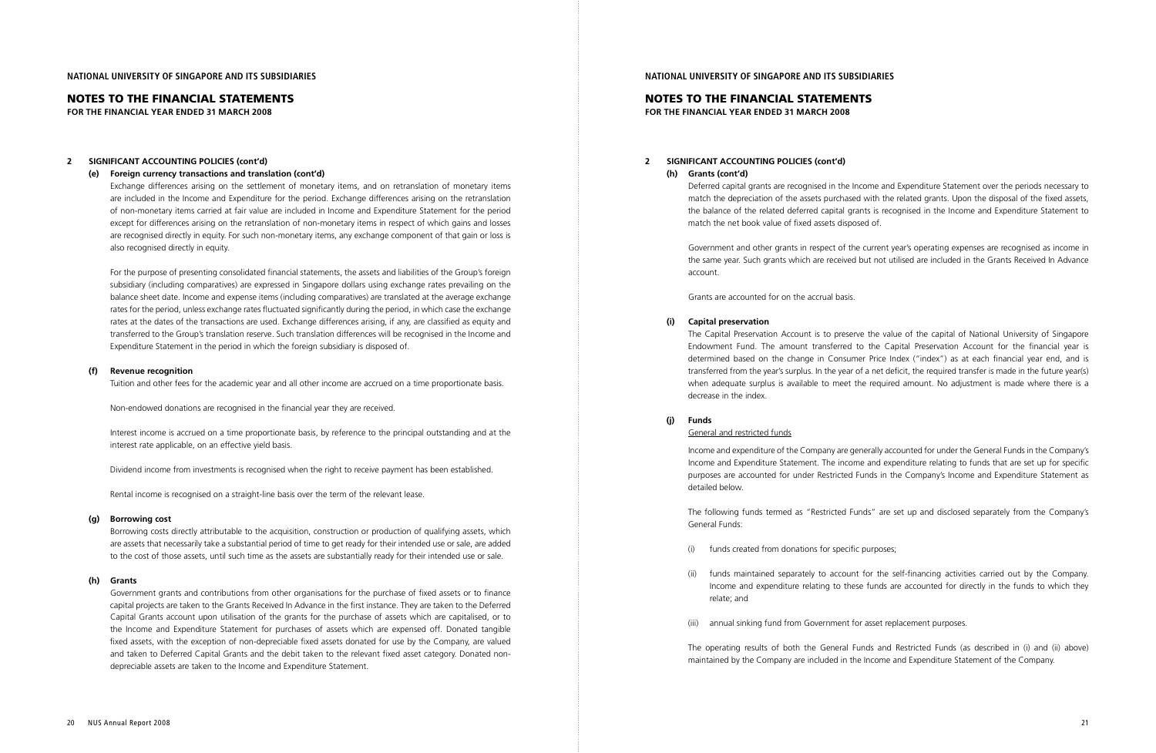**FOR THE FINANCIAL YEAR ENDED 31 MARCH 2008**

# **2 SIGNIFICANT ACCOUNTING POLICIES (cont'd) (h) Grants (cont'd)**

 Deferred capital grants are recognised in the Income and Expenditure Statement over the periods necessary to match the depreciation of the assets purchased with the related grants. Upon the disposal of the fixed assets, the balance of the related deferred capital grants is recognised in the Income and Expenditure Statement to match the net book value of fixed assets disposed of.

 Government and other grants in respect of the current year's operating expenses are recognised as income in the same year. Such grants which are received but not utilised are included in the Grants Received In Advance account.

 Grants are accounted for on the accrual basis.

### **(i) Capital preservation**

 The Capital Preservation Account is to preserve the value of the capital of National University of Singapore Endowment Fund. The amount transferred to the Capital Preservation Account for the financial year is determined based on the change in Consumer Price Index ("index") as at each financial year end, and is transferred from the year's surplus. In the year of a net deficit, the required transfer is made in the future year(s) when adequate surplus is available to meet the required amount. No adjustment is made where there is a decrease in the index.

 Exchange differences arising on the settlement of monetary items, and on retranslation of monetary items are included in the Income and Expenditure for the period. Exchange differences arising on the retranslation of non-monetary items carried at fair value are included in Income and Expenditure Statement for the period except for differences arising on the retranslation of non-monetary items in respect of which gains and losses are recognised directly in equity. For such non-monetary items, any exchange component of that gain or loss is also recognised directly in equity.

### **(j) Funds**

# General and restricted funds

 Income and expenditure of the Company are generally accounted for under the General Funds in the Company's Income and Expenditure Statement. The income and expenditure relating to funds that are set up for specific purposes are accounted for under Restricted Funds in the Company's Income and Expenditure Statement as detailed below.

 The following funds termed as "Restricted Funds" are set up and disclosed separately from the Company's

General Funds:

- (i) funds created from donations for specific purposes;
- relate; and
- annual sinking fund from Government for asset replacement purposes.

 (ii) funds maintained separately to account for the self-financing activities carried out by the Company. Income and expenditure relating to these funds are accounted for directly in the funds to which they

 The operating results of both the General Funds and Restricted Funds (as described in (i) and (ii) above) maintained by the Company are included in the Income and Expenditure Statement of the Company.

# NOTES TO THE FINANCIAL STATEMENTS

**FOR THE FINANCIAL YEAR ENDED 31 MARCH 2008**

### **2 SIGNIFICANT ACCOUNTING POLICIES (cont'd)**

### **(e) Foreign currency transactions and translation (cont'd)**

 For the purpose of presenting consolidated financial statements, the assets and liabilities of the Group's foreign subsidiary (including comparatives) are expressed in Singapore dollars using exchange rates prevailing on the balance sheet date. Income and expense items (including comparatives) are translated at the average exchange rates for the period, unless exchange rates fluctuated significantly during the period, in which case the exchange rates at the dates of the transactions are used. Exchange differences arising, if any, are classified as equity and transferred to the Group's translation reserve. Such translation differences will be recognised in the Income and Expenditure Statement in the period in which the foreign subsidiary is disposed of.

### **(f) Revenue recognition**

 Tuition and other fees for the academic year and all other income are accrued on a time proportionate basis.

 Non-endowed donations are recognised in the financial year they are received.

 Interest income is accrued on a time proportionate basis, by reference to the principal outstanding and at the interest rate applicable, on an effective yield basis.

 Dividend income from investments is recognised when the right to receive payment has been established.

 Rental income is recognised on a straight-line basis over the term of the relevant lease.

### **(g) Borrowing cost**

 Borrowing costs directly attributable to the acquisition, construction or production of qualifying assets, which are assets that necessarily take a substantial period of time to get ready for their intended use or sale, are added to the cost of those assets, until such time as the assets are substantially ready for their intended use or sale.

### **(h) Grants**

 Government grants and contributions from other organisations for the purchase of fixed assets or to finance capital projects are taken to the Grants Received In Advance in the first instance. They are taken to the Deferred Capital Grants account upon utilisation of the grants for the purchase of assets which are capitalised, or to the Income and Expenditure Statement for purchases of assets which are expensed off. Donated tangible fixed assets, with the exception of non-depreciable fixed assets donated for use by the Company, are valued and taken to Deferred Capital Grants and the debit taken to the relevant fixed asset category. Donated nondepreciable assets are taken to the Income and Expenditure Statement.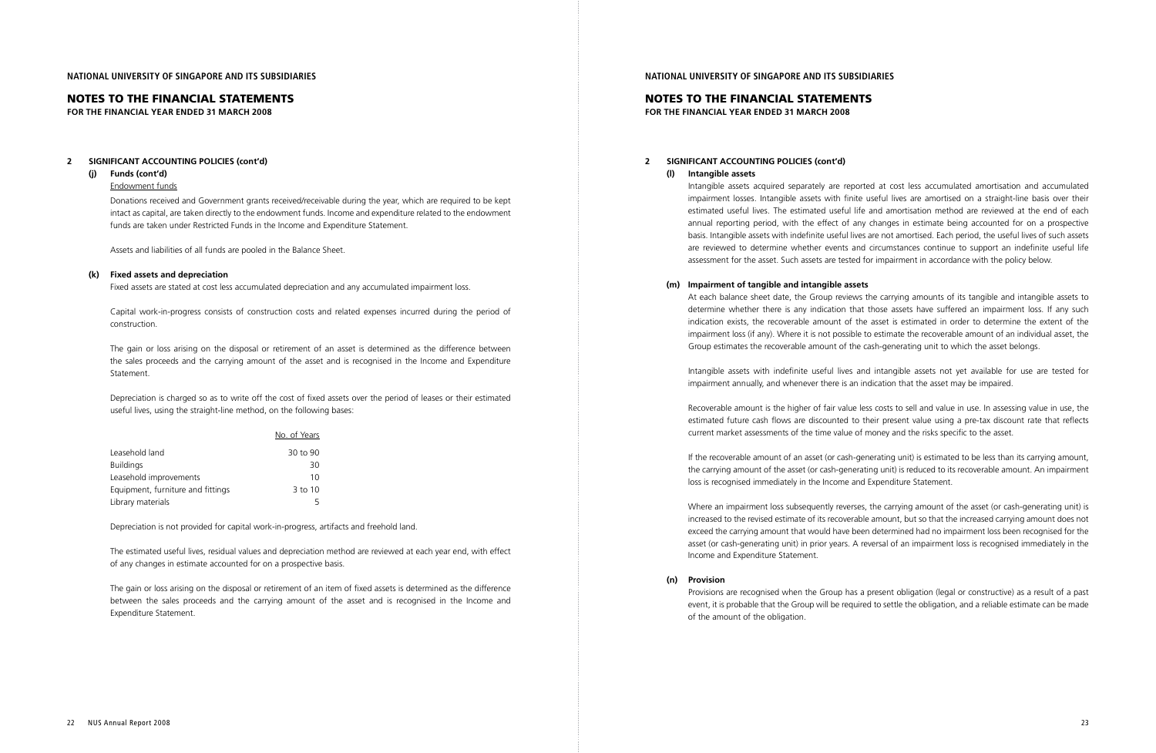# NOTES TO THE FINANCIAL STATEMENTS

**FOR THE FINANCIAL YEAR ENDED 31 MARCH 2008**

# **2 SIGNIFICANT ACCOUNTING POLICIES (cont'd) (l) Intangible assets**

 Intangible assets acquired separately are reported at cost less accumulated amortisation and accumulated impairment losses. Intangible assets with finite useful lives are amortised on a straight-line basis over their estimated useful lives. The estimated useful life and amortisation method are reviewed at the end of each annual reporting period, with the effect of any changes in estimate being accounted for on a prospective basis. Intangible assets with indefinite useful lives are not amortised. Each period, the useful lives of such assets are reviewed to determine whether events and circumstances continue to support an indefinite useful life assessment for the asset. Such assets are tested for impairment in accordance with the policy below.

# **(m) Impairment of tangible and intangible assets**

 At each balance sheet date, the Group reviews the carrying amounts of its tangible and intangible assets to determine whether there is any indication that those assets have suffered an impairment loss. If any such indication exists, the recoverable amount of the asset is estimated in order to determine the extent of the impairment loss (if any). Where it is not possible to estimate the recoverable amount of an individual asset, the Group estimates the recoverable amount of the cash-generating unit to which the asset belongs.

 Intangible assets with indefinite useful lives and intangible assets not yet available for use are tested for impairment annually, and whenever there is an indication that the asset may be impaired.

 Recoverable amount is the higher of fair value less costs to sell and value in use. In assessing value in use, the estimated future cash flows are discounted to their present value using a pre-tax discount rate that reflects current market assessments of the time value of money and the risks specific to the asset.

 If the recoverable amount of an asset (or cash-generating unit) is estimated to be less than its carrying amount, the carrying amount of the asset (or cash-generating unit) is reduced to its recoverable amount. An impairment loss is recognised immediately in the Income and Expenditure Statement.

 Where an impairment loss subsequently reverses, the carrying amount of the asset (or cash-generating unit) is increased to the revised estimate of its recoverable amount, but so that the increased carrying amount does not exceed the carrying amount that would have been determined had no impairment loss been recognised for the asset (or cash-generating unit) in prior years. A reversal of an impairment loss is recognised immediately in the Income and Expenditure Statement.

# **(n) Provision**

 Provisions are recognised when the Group has a present obligation (legal or constructive) as a result of a past event, it is probable that the Group will be required to settle the obligation, and a reliable estimate can be made of the amount of the obligation.

# NOTES TO THE FINANCIAL STATEMENTS

**FOR THE FINANCIAL YEAR ENDED 31 MARCH 2008**

## **2 SIGNIFICANT ACCOUNTING POLICIES (cont'd)**

### **(j) Funds (cont'd)**

# Endowment funds

 Donations received and Government grants received/receivable during the year, which are required to be kept intact as capital, are taken directly to the endowment funds. Income and expenditure related to the endowment funds are taken under Restricted Funds in the Income and Expenditure Statement.

 Assets and liabilities of all funds are pooled in the Balance Sheet.

### **(k) Fixed assets and depreciation**

 Fixed assets are stated at cost less accumulated depreciation and any accumulated impairment loss.

 Capital work-in-progress consists of construction costs and related expenses incurred during the period of construction.

 The gain or loss arising on the disposal or retirement of an asset is determined as the difference between the sales proceeds and the carrying amount of the asset and is recognised in the Income and Expenditure Statement.

 Depreciation is charged so as to write off the cost of fixed assets over the period of leases or their estimated useful lives, using the straight-line method, on the following bases:

|                                   | No. of Years |
|-----------------------------------|--------------|
| Leasehold land                    | 30 to 90     |
| <b>Buildings</b>                  | 30           |
| Leasehold improvements            | 10           |
| Equipment, furniture and fittings | 3 to 10      |
| Library materials                 | ь            |

 Depreciation is not provided for capital work-in-progress, artifacts and freehold land.

 The estimated useful lives, residual values and depreciation method are reviewed at each year end, with effect of any changes in estimate accounted for on a prospective basis.

 The gain or loss arising on the disposal or retirement of an item of fixed assets is determined as the difference between the sales proceeds and the carrying amount of the asset and is recognised in the Income and Expenditure Statement.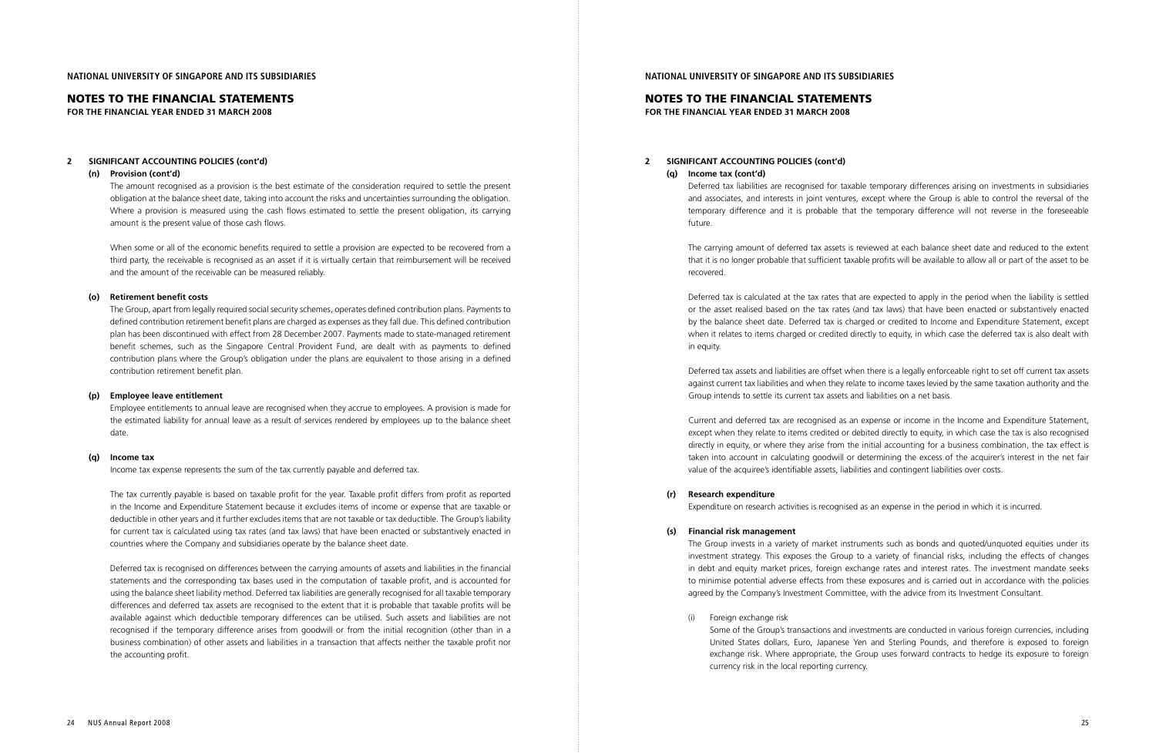**FOR THE FINANCIAL YEAR ENDED 31 MARCH 2008**

# **2 SIGNIFICANT ACCOUNTING POLICIES (cont'd) (q) Income tax (cont'd)**

 Deferred tax liabilities are recognised for taxable temporary differences arising on investments in subsidiaries and associates, and interests in joint ventures, except where the Group is able to control the reversal of the temporary difference and it is probable that the temporary difference will not reverse in the foreseeable future.

 The carrying amount of deferred tax assets is reviewed at each balance sheet date and reduced to the extent that it is no longer probable that sufficient taxable profits will be available to allow all or part of the asset to be recovered.

 Deferred tax is calculated at the tax rates that are expected to apply in the period when the liability is settled or the asset realised based on the tax rates (and tax laws) that have been enacted or substantively enacted by the balance sheet date. Deferred tax is charged or credited to Income and Expenditure Statement, except when it relates to items charged or credited directly to equity, in which case the deferred tax is also dealt with in equity.

 Deferred tax assets and liabilities are offset when there is a legally enforceable right to set off current tax assets against current tax liabilities and when they relate to income taxes levied by the same taxation authority and the Group intends to settle its current tax assets and liabilities on a net basis.

 Current and deferred tax are recognised as an expense or income in the Income and Expenditure Statement, except when they relate to items credited or debited directly to equity, in which case the tax is also recognised directly in equity, or where they arise from the initial accounting for a business combination, the tax effect is taken into account in calculating goodwill or determining the excess of the acquirer's interest in the net fair value of the acquiree's identifiable assets, liabilities and contingent liabilities over costs.

### **(r) Research expenditure**

 Expenditure on research activities is recognised as an expense in the period in which it is incurred.

### **(s) Financial risk management**

 The Group invests in a variety of market instruments such as bonds and quoted/unquoted equities under its investment strategy. This exposes the Group to a variety of financial risks, including the effects of changes in debt and equity market prices, foreign exchange rates and interest rates. The investment mandate seeks to minimise potential adverse effects from these exposures and is carried out in accordance with the policies agreed by the Company's Investment Committee, with the advice from its Investment Consultant.

 Some of the Group's transactions and investments are conducted in various foreign currencies, including United States dollars, Euro, Japanese Yen and Sterling Pounds, and therefore is exposed to foreign exchange risk. Where appropriate, the Group uses forward contracts to hedge its exposure to foreign

- (i) Foreign exchange risk
	- currency risk in the local reporting currency.

# NOTES TO THE FINANCIAL STATEMENTS

**FOR THE FINANCIAL YEAR ENDED 31 MARCH 2008**

# **2 SIGNIFICANT ACCOUNTING POLICIES (cont'd)**

### **(n) Provision (cont'd)**

 The amount recognised as a provision is the best estimate of the consideration required to settle the present obligation at the balance sheet date, taking into account the risks and uncertainties surrounding the obligation. Where a provision is measured using the cash flows estimated to settle the present obligation, its carrying amount is the present value of those cash flows.

 When some or all of the economic benefits required to settle a provision are expected to be recovered from a third party, the receivable is recognised as an asset if it is virtually certain that reimbursement will be received and the amount of the receivable can be measured reliably.

### **(o) Retirement benefit costs**

 The Group, apart from legally required social security schemes, operates defined contribution plans. Payments to defined contribution retirement benefit plans are charged as expenses as they fall due. This defined contribution plan has been discontinued with effect from 28 December 2007. Payments made to state-managed retirement benefit schemes, such as the Singapore Central Provident Fund, are dealt with as payments to defined contribution plans where the Group's obligation under the plans are equivalent to those arising in a defined contribution retirement benefit plan.

### **(p) Employee leave entitlement**

 Employee entitlements to annual leave are recognised when they accrue to employees. A provision is made for the estimated liability for annual leave as a result of services rendered by employees up to the balance sheet date.

### **(q) Income tax**

 Income tax expense represents the sum of the tax currently payable and deferred tax.

 The tax currently payable is based on taxable profit for the year. Taxable profit differs from profit as reported in the Income and Expenditure Statement because it excludes items of income or expense that are taxable or deductible in other years and it further excludes items that are not taxable or tax deductible. The Group's liability for current tax is calculated using tax rates (and tax laws) that have been enacted or substantively enacted in countries where the Company and subsidiaries operate by the balance sheet date.

 Deferred tax is recognised on differences between the carrying amounts of assets and liabilities in the financial statements and the corresponding tax bases used in the computation of taxable profit, and is accounted for using the balance sheet liability method. Deferred tax liabilities are generally recognised for all taxable temporary differences and deferred tax assets are recognised to the extent that it is probable that taxable profits will be available against which deductible temporary differences can be utilised. Such assets and liabilities are not recognised if the temporary difference arises from goodwill or from the initial recognition (other than in a business combination) of other assets and liabilities in a transaction that affects neither the taxable profit nor the accounting profit.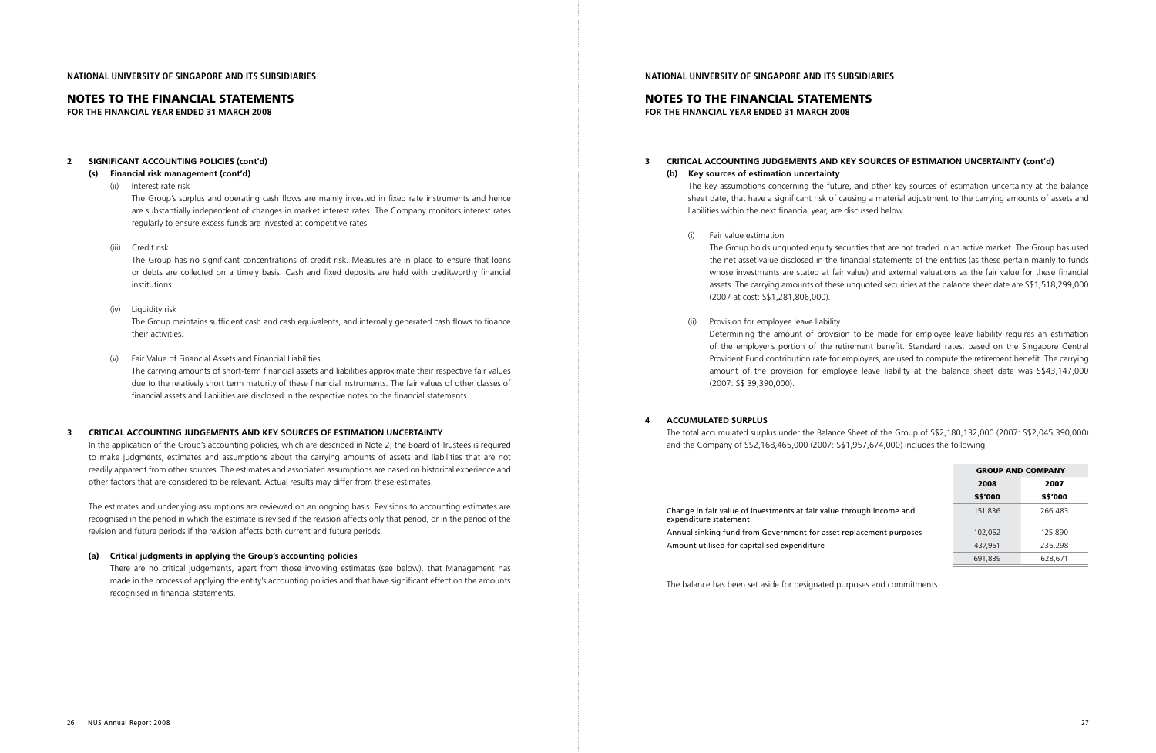# NOTES TO THE FINANCIAL STATEMENTS

**FOR THE FINANCIAL YEAR ENDED 31 MARCH 2008**

# **3 CRITICAL ACCOUNTING JUDGEMENTS AND KEY SOURCES OF ESTIMATION UNCERTAINTY (cont'd) (b) Key sources of estimation uncertainty**

 The key assumptions concerning the future, and other key sources of estimation uncertainty at the balance sheet date, that have a significant risk of causing a material adjustment to the carrying amounts of assets and liabilities within the next financial year, are discussed below.

 The Group holds unquoted equity securities that are not traded in an active market. The Group has used the net asset value disclosed in the financial statements of the entities (as these pertain mainly to funds whose investments are stated at fair value) and external valuations as the fair value for these financial assets. The carrying amounts of these unquoted securities at the balance sheet date are S\$1,518,299,000

Change in fair value of investments at fair value through expenditure statement

Annual sinking fund from Government for asset rep Amount utilised for capitalised expenditure

- (i) Fair value estimation (2007 at cost: S\$1,281,806,000).
- (ii) Provision for employee leave liability (2007: S\$ 39,390,000).

 Determining the amount of provision to be made for employee leave liability requires an estimation of the employer's portion of the retirement benefit. Standard rates, based on the Singapore Central Provident Fund contribution rate for employers, are used to compute the retirement benefit. The carrying amount of the provision for employee leave liability at the balance sheet date was S\$43,147,000

### **4 ACCUMULATED SURPLUS**

 The total accumulated surplus under the Balance Sheet of the Group of S\$2,180,132,000 (2007: S\$2,045,390,000) and the Company of S\$2,168,465,000 (2007: S\$1,957,674,000) includes the following:

|                   | <b>GROUP AND COMPANY</b> |                |  |  |  |  |
|-------------------|--------------------------|----------------|--|--|--|--|
|                   | 2008                     | 2007           |  |  |  |  |
|                   | <b>S\$'000</b>           | <b>S\$'000</b> |  |  |  |  |
| ough income and   | 151,836                  | 266,483        |  |  |  |  |
| Iacement purposes | 102,052                  | 125,890        |  |  |  |  |
|                   | 437,951                  | 236,298        |  |  |  |  |
|                   | 691,839                  | 628,671        |  |  |  |  |

 The balance has been set aside for designated purposes and commitments.

# NOTES TO THE FINANCIAL STATEMENTS

**FOR THE FINANCIAL YEAR ENDED 31 MARCH 2008**

# **2 SIGNIFICANT ACCOUNTING POLICIES (cont'd)**

# **(s) Financial risk management (cont'd)**

# (ii) Interest rate risk

 The Group's surplus and operating cash flows are mainly invested in fixed rate instruments and hence are substantially independent of changes in market interest rates. The Company monitors interest rates regularly to ensure excess funds are invested at competitive rates.

 (iii) Credit risk

 The Group has no significant concentrations of credit risk. Measures are in place to ensure that loans or debts are collected on a timely basis. Cash and fixed deposits are held with creditworthy financial institutions.

# (iv) Liquidity risk

 The Group maintains sufficient cash and cash equivalents, and internally generated cash flows to finance their activities.

 (v) Fair Value of Financial Assets and Financial Liabilities

 The carrying amounts of short-term financial assets and liabilities approximate their respective fair values due to the relatively short term maturity of these financial instruments. The fair values of other classes of financial assets and liabilities are disclosed in the respective notes to the financial statements.

### **3 CRITICAL ACCOUNTING JUDGEMENTS AND KEY SOURCES OF ESTIMATION UNCERTAINTY**

 In the application of the Group's accounting policies, which are described in Note 2, the Board of Trustees is required to make judgments, estimates and assumptions about the carrying amounts of assets and liabilities that are not readily apparent from other sources. The estimates and associated assumptions are based on historical experience and other factors that are considered to be relevant. Actual results may differ from these estimates.

 The estimates and underlying assumptions are reviewed on an ongoing basis. Revisions to accounting estimates are recognised in the period in which the estimate is revised if the revision affects only that period, or in the period of the revision and future periods if the revision affects both current and future periods.

# **(a) Critical judgments in applying the Group's accounting policies**

 There are no critical judgements, apart from those involving estimates (see below), that Management has made in the process of applying the entity's accounting policies and that have significant effect on the amounts recognised in financial statements.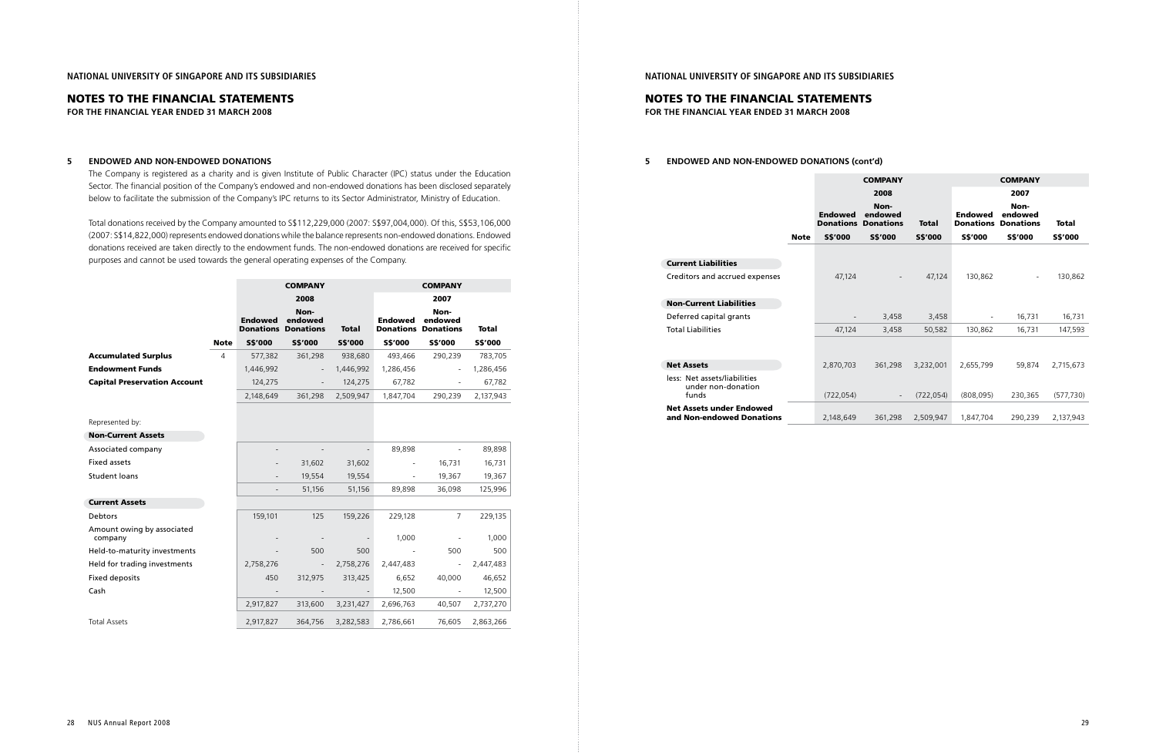**FOR THE FINANCIAL YEAR ENDED 31 MARCH 2008**

# **5 ENDOWED AND NON-ENDOWED DONATIONS (cont'd)**

|                                                              |             |                                    | <b>COMPANY</b>                      |                | <b>COMPANY</b>           |                                               |                |  |
|--------------------------------------------------------------|-------------|------------------------------------|-------------------------------------|----------------|--------------------------|-----------------------------------------------|----------------|--|
|                                                              |             |                                    | 2008                                |                | 2007                     |                                               |                |  |
|                                                              |             | <b>Endowed</b><br><b>Donations</b> | Non-<br>endowed<br><b>Donations</b> | <b>Total</b>   | <b>Endowed</b>           | Non-<br>endowed<br><b>Donations Donations</b> | Total          |  |
|                                                              | <b>Note</b> | <b>S\$'000</b>                     | <b>S\$'000</b>                      | <b>S\$'000</b> | <b>S\$'000</b>           | <b>S\$'000</b>                                | <b>S\$'000</b> |  |
|                                                              |             |                                    |                                     |                |                          |                                               |                |  |
| <b>Current Liabilities</b>                                   |             |                                    |                                     |                |                          |                                               |                |  |
| Creditors and accrued expenses                               |             | 47,124                             | $\overline{\phantom{a}}$            | 47,124         | 130,862                  | $\overline{\phantom{a}}$                      | 130,862        |  |
|                                                              |             |                                    |                                     |                |                          |                                               |                |  |
| <b>Non-Current Liabilities</b>                               |             |                                    |                                     |                |                          |                                               |                |  |
| Deferred capital grants                                      |             |                                    | 3,458                               | 3,458          | $\overline{\phantom{a}}$ | 16,731                                        | 16,731         |  |
| <b>Total Liabilities</b>                                     |             | 47,124                             | 3,458                               | 50,582         | 130,862                  | 16,731                                        | 147,593        |  |
|                                                              |             |                                    |                                     |                |                          |                                               |                |  |
|                                                              |             |                                    |                                     |                |                          |                                               |                |  |
| <b>Net Assets</b>                                            |             | 2,870,703                          | 361,298                             | 3,232,001      | 2,655,799                | 59,874                                        | 2,715,673      |  |
| less: Net assets/liabilities<br>under non-donation           |             |                                    |                                     |                |                          |                                               |                |  |
| funds                                                        |             | (722, 054)                         | $\overline{\phantom{a}}$            | (722, 054)     | (808,095)                | 230,365                                       | (577, 730)     |  |
| <b>Net Assets under Endowed</b><br>and Non-endowed Donations |             | 2,148,649                          | 361,298                             | 2,509,947      | 1,847,704                | 290,239                                       | 2,137,943      |  |

# NOTES TO THE FINANCIAL STATEMENTS

**FOR THE FINANCIAL YEAR ENDED 31 MARCH 2008**

### **5 ENDOWED AND NON-ENDOWED DONATIONS**

 The Company is registered as a charity and is given Institute of Public Character (IPC) status under the Education Sector. The financial position of the Company's endowed and non-endowed donations has been disclosed separately below to facilitate the submission of the Company's IPC returns to its Sector Administrator, Ministry of Education.

 Total donations received by the Company amounted to S\$112,229,000 (2007: S\$97,004,000). Of this, S\$53,106,000 (2007: S\$14,822,000) represents endowed donations while the balance represents non-endowed donations. Endowed donations received are taken directly to the endowment funds. The non-endowed donations are received for specific purposes and cannot be used towards the general operating expenses of the Company.

|                                       |                |                                              | <b>COMPANY</b>           |                | <b>COMPANY</b> |                                               |                |
|---------------------------------------|----------------|----------------------------------------------|--------------------------|----------------|----------------|-----------------------------------------------|----------------|
|                                       |                |                                              | 2008                     |                |                | 2007                                          |                |
|                                       |                | <b>Endowed</b><br><b>Donations Donations</b> | Non-<br>endowed          | <b>Total</b>   | <b>Endowed</b> | Non-<br>endowed<br><b>Donations Donations</b> | <b>Total</b>   |
|                                       | <b>Note</b>    | <b>S\$'000</b>                               | <b>S\$'000</b>           | <b>S\$'000</b> | <b>S\$'000</b> | <b>S\$'000</b>                                | <b>S\$'000</b> |
| <b>Accumulated Surplus</b>            | $\overline{4}$ | 577,382                                      | 361,298                  | 938,680        | 493,466        | 290,239                                       | 783,705        |
| <b>Endowment Funds</b>                |                | 1,446,992                                    |                          | 1,446,992      | 1,286,456      |                                               | 1,286,456      |
| <b>Capital Preservation Account</b>   |                | 124,275                                      |                          | 124,275        | 67,782         |                                               | 67,782         |
|                                       |                | 2,148,649                                    | 361,298                  | 2,509,947      | 1,847,704      | 290,239                                       | 2,137,943      |
|                                       |                |                                              |                          |                |                |                                               |                |
| Represented by:                       |                |                                              |                          |                |                |                                               |                |
| <b>Non-Current Assets</b>             |                |                                              |                          |                |                |                                               |                |
| Associated company                    |                |                                              |                          |                | 89,898         |                                               | 89,898         |
| <b>Fixed assets</b>                   |                |                                              | 31,602                   | 31,602         |                | 16,731                                        | 16,731         |
| <b>Student loans</b>                  |                |                                              | 19,554                   | 19,554         |                | 19,367                                        | 19,367         |
|                                       |                |                                              | 51,156                   | 51,156         | 89,898         | 36,098                                        | 125,996        |
| <b>Current Assets</b>                 |                |                                              |                          |                |                |                                               |                |
| <b>Debtors</b>                        |                | 159,101                                      | 125                      | 159,226        | 229,128        | 7                                             | 229,135        |
| Amount owing by associated<br>company |                |                                              |                          |                | 1,000          |                                               | 1,000          |
| Held-to-maturity investments          |                |                                              | 500                      | 500            |                | 500                                           | 500            |
| Held for trading investments          |                | 2,758,276                                    | $\overline{\phantom{a}}$ | 2,758,276      | 2,447,483      | $\blacksquare$                                | 2,447,483      |
| <b>Fixed deposits</b>                 |                | 450                                          | 312,975                  | 313,425        | 6,652          | 40,000                                        | 46,652         |
| Cash                                  |                |                                              |                          |                | 12,500         | $\overline{\phantom{a}}$                      | 12,500         |
|                                       |                | 2,917,827                                    | 313,600                  | 3,231,427      | 2,696,763      | 40,507                                        | 2,737,270      |
| <b>Total Assets</b>                   |                | 2,917,827                                    | 364,756                  | 3,282,583      | 2,786,661      | 76,605                                        | 2,863,266      |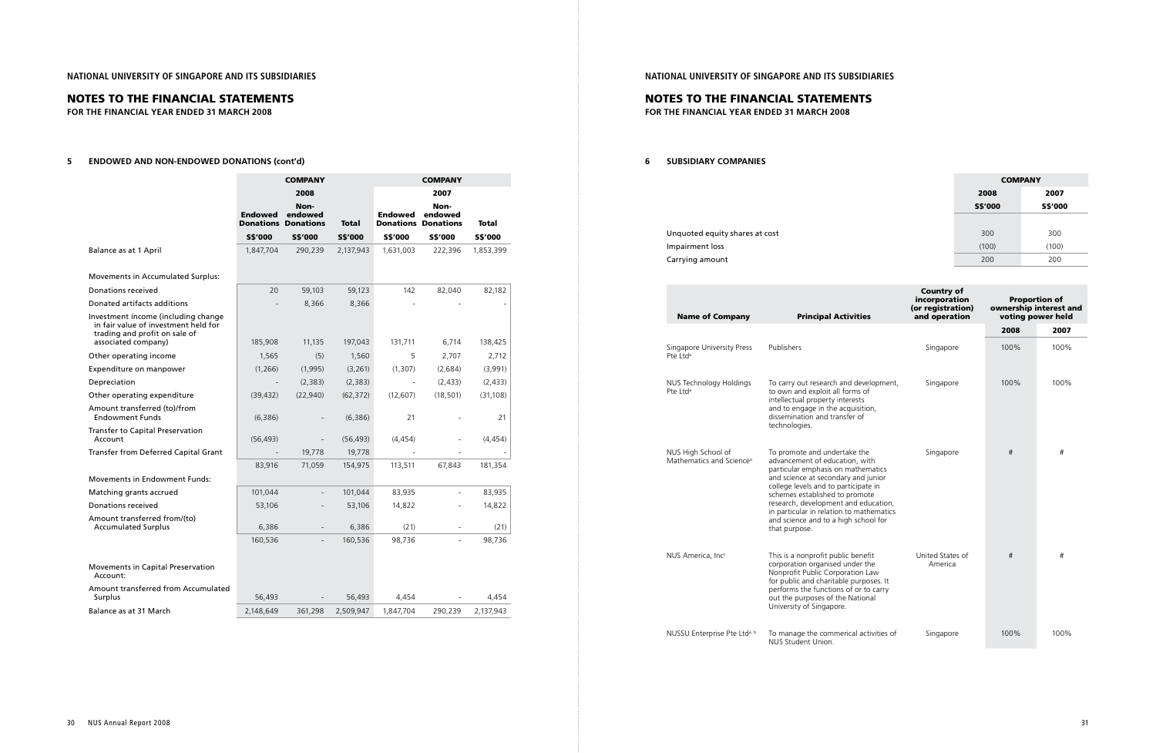**FOR THE FINANCIAL YEAR ENDED 31 MARCH 2008**

# **6 SUBSIDIARY COMPANIES**

|                                | <b>COMPANY</b> |                |  |
|--------------------------------|----------------|----------------|--|
|                                | 2008           | 2007           |  |
|                                | <b>S\$'000</b> | <b>S\$'000</b> |  |
|                                |                |                |  |
| Unquoted equity shares at cost | 300            | 300            |  |
| Impairment loss                | (100)          | (100)          |  |
| Carrying amount                | 200            | 200            |  |

| Unquoted equity shares at cost | 300   | 300   |
|--------------------------------|-------|-------|
| Impairment loss                | (100) | (100) |
| Carrving amount                | 200   | 200   |

| <b>Name of Company</b>                                     | <b>Principal Activities</b>                                                                                                                                                                                                                                                                                                                                        | <b>Country of</b><br>incorporation<br>(or registration)<br>and operation |      | <b>Proportion of</b><br>ownership interest and<br>voting power held |
|------------------------------------------------------------|--------------------------------------------------------------------------------------------------------------------------------------------------------------------------------------------------------------------------------------------------------------------------------------------------------------------------------------------------------------------|--------------------------------------------------------------------------|------|---------------------------------------------------------------------|
|                                                            |                                                                                                                                                                                                                                                                                                                                                                    |                                                                          | 2008 | 2007                                                                |
| Singapore University Press<br>Pte Ltd <sup>a</sup>         | Publishers                                                                                                                                                                                                                                                                                                                                                         | Singapore                                                                | 100% | 100%                                                                |
| NUS Technology Holdings<br>Pte Ltd <sup>a</sup>            | To carry out research and development,<br>to own and exploit all forms of<br>intellectual property interests<br>and to engage in the acquisition,<br>dissemination and transfer of<br>technologies.                                                                                                                                                                | Singapore                                                                | 100% | 100%                                                                |
| NUS High School of<br>Mathematics and Science <sup>a</sup> | To promote and undertake the<br>advancement of education, with<br>particular emphasis on mathematics<br>and science at secondary and junior<br>college levels and to participate in<br>schemes established to promote<br>research, development and education,<br>in particular in relation to mathematics<br>and science and to a high school for<br>that purpose. | Singapore                                                                | #    | #                                                                   |
| NUS America, Incc                                          | This is a nonprofit public benefit<br>corporation organised under the<br>Nonprofit Public Corporation Law<br>for public and charitable purposes. It<br>performs the functions of or to carry<br>out the purposes of the National<br>University of Singapore.                                                                                                       | United States of<br>America                                              | #    | #                                                                   |
| NUSSU Enterprise Pte Ltda, b                               | To manage the commerical activities of<br>NUS Student Union.                                                                                                                                                                                                                                                                                                       | Singapore                                                                | 100% | 100%                                                                |

# NOTES TO THE FINANCIAL STATEMENTS

**FOR THE FINANCIAL YEAR ENDED 31 MARCH 2008**

# **5 ENDOWED AND NON-ENDOWED DONATIONS (cont'd)**

|                                                                                                                                     |                | <b>COMPANY</b>                                |              |                          | <b>COMPANY</b>                                |                |
|-------------------------------------------------------------------------------------------------------------------------------------|----------------|-----------------------------------------------|--------------|--------------------------|-----------------------------------------------|----------------|
|                                                                                                                                     |                | 2008                                          |              |                          | 2007                                          |                |
|                                                                                                                                     | <b>Endowed</b> | Non-<br>endowed<br><b>Donations Donations</b> | <b>Total</b> | <b>Endowed</b>           | Non-<br>endowed<br><b>Donations Donations</b> | Total          |
|                                                                                                                                     | <b>S\$'000</b> | <b>S\$'000</b>                                | S\$'000      | S\$'000                  | <b>S\$'000</b>                                | <b>S\$'000</b> |
| Balance as at 1 April                                                                                                               | 1,847,704      | 290,239                                       | 2,137,943    | 1,631,003                | 222,396                                       | 1,853,399      |
| Movements in Accumulated Surplus:                                                                                                   |                |                                               |              |                          |                                               |                |
| Donations received                                                                                                                  | 20             | 59,103                                        | 59,123       | 142                      | 82,040                                        | 82,182         |
| Donated artifacts additions                                                                                                         |                | 8,366                                         | 8,366        |                          |                                               |                |
| Investment income (including change<br>in fair value of investment held for<br>trading and profit on sale of<br>associated company) | 185,908        | 11,135                                        | 197,043      | 131,711                  | 6,714                                         | 138,425        |
| Other operating income                                                                                                              | 1,565          | (5)                                           | 1,560        | 5                        | 2,707                                         | 2,712          |
| Expenditure on manpower                                                                                                             | (1,266)        | (1,995)                                       | (3,261)      | (1, 307)                 | (2,684)                                       | (3,991)        |
| Depreciation                                                                                                                        |                | (2,383)                                       | (2, 383)     | $\overline{\phantom{a}}$ | (2,433)                                       | (2,433)        |
| Other operating expenditure                                                                                                         | (39, 432)      | (22, 940)                                     | (62, 372)    | (12,607)                 | (18, 501)                                     | (31, 108)      |
| Amount transferred (to)/from<br><b>Endowment Funds</b>                                                                              | (6,386)        | $\overline{\phantom{m}}$                      | (6,386)      | 21                       |                                               | 21             |
| <b>Transfer to Capital Preservation</b><br>Account                                                                                  | (56, 493)      | $\overline{\phantom{a}}$                      | (56, 493)    | (4, 454)                 |                                               | (4, 454)       |
| Transfer from Deferred Capital Grant                                                                                                |                | 19,778                                        | 19,778       |                          |                                               |                |
|                                                                                                                                     | 83,916         | 71,059                                        | 154,975      | 113,511                  | 67,843                                        | 181,354        |
| <b>Movements in Endowment Funds:</b>                                                                                                |                |                                               |              |                          |                                               |                |
| Matching grants accrued                                                                                                             | 101,044        |                                               | 101,044      | 83,935                   | $\overline{a}$                                | 83,935         |
| <b>Donations received</b>                                                                                                           | 53,106         |                                               | 53,106       | 14,822                   |                                               | 14,822         |
| Amount transferred from/(to)<br><b>Accumulated Surplus</b>                                                                          | 6,386          |                                               | 6,386        | (21)                     |                                               | (21)           |
|                                                                                                                                     | 160,536        | $\overline{a}$                                | 160,536      | 98,736                   |                                               | 98,736         |
| Movements in Capital Preservation<br>Account:                                                                                       |                |                                               |              |                          |                                               |                |
| Amount transferred from Accumulated<br>Surplus                                                                                      | 56,493         |                                               | 56,493       | 4,454                    |                                               | 4,454          |
| Balance as at 31 March                                                                                                              | 2,148,649      | 361,298                                       | 2,509,947    | 1,847,704                | 290,239                                       | 2,137,943      |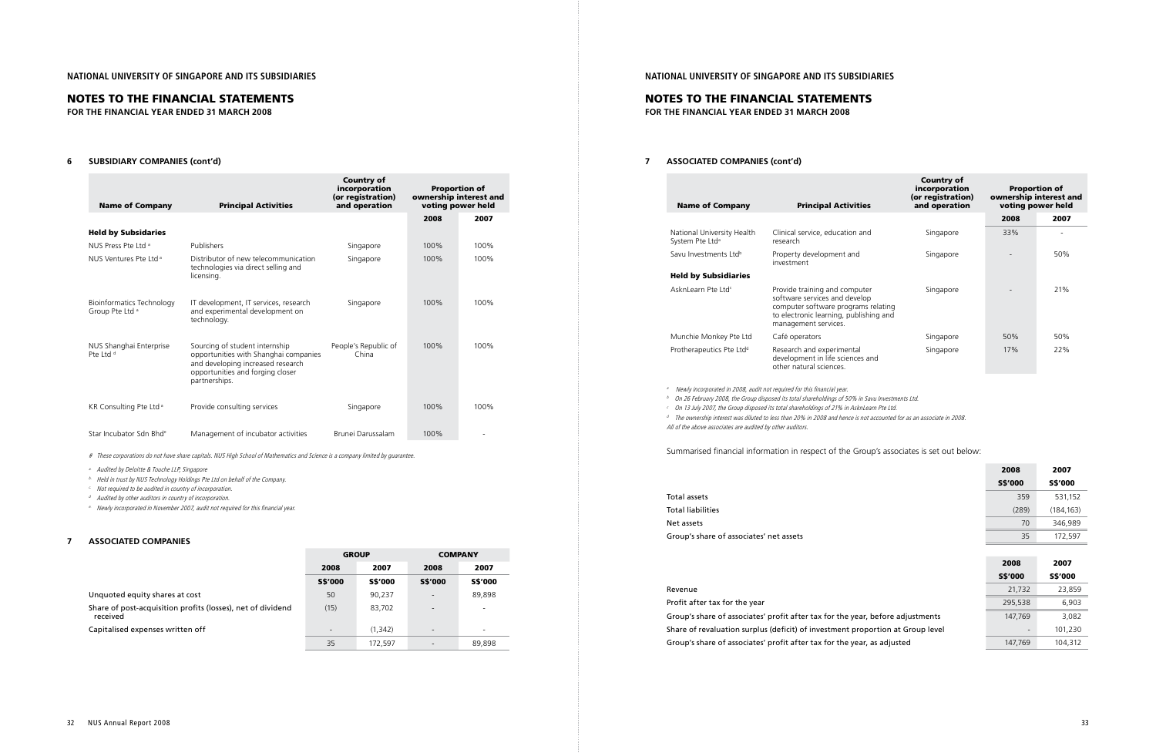**FOR THE FINANCIAL YEAR ENDED 31 MARCH 2008**

# **7 ASSOCIATED COMPANIES (cont'd)**

Total assets 359 531,152 **Total liabilities** Net assets 70 346,989 Group's share of associates' net assets

| <b>Name of Company</b>                                                                                                                                                                     | <b>Principal Activities</b>                                                                                                                                                                                                                                                                                        | <b>Country of</b><br>incorporation<br>(or registration)<br>and operation |      | <b>Proportion of</b><br>ownership interest and<br>voting power held |
|--------------------------------------------------------------------------------------------------------------------------------------------------------------------------------------------|--------------------------------------------------------------------------------------------------------------------------------------------------------------------------------------------------------------------------------------------------------------------------------------------------------------------|--------------------------------------------------------------------------|------|---------------------------------------------------------------------|
|                                                                                                                                                                                            |                                                                                                                                                                                                                                                                                                                    |                                                                          | 2008 | 2007                                                                |
| National University Health<br>System Pte Ltd <sup>a</sup>                                                                                                                                  | Clinical service, education and<br>research                                                                                                                                                                                                                                                                        | Singapore                                                                | 33%  |                                                                     |
| Savu Investments Ltdb                                                                                                                                                                      | Property development and<br>investment                                                                                                                                                                                                                                                                             | Singapore                                                                |      | 50%                                                                 |
| <b>Held by Subsidiaries</b>                                                                                                                                                                |                                                                                                                                                                                                                                                                                                                    |                                                                          |      |                                                                     |
| AsknLearn Pte Ltd <sup>c</sup>                                                                                                                                                             | Provide training and computer<br>software services and develop<br>computer software programs relating<br>to electronic learning, publishing and<br>management services.                                                                                                                                            | Singapore                                                                |      | 21%                                                                 |
| Munchie Monkey Pte Ltd                                                                                                                                                                     | Café operators                                                                                                                                                                                                                                                                                                     | Singapore                                                                | 50%  | 50%                                                                 |
| Protherapeutics Pte Ltd <sup>d</sup>                                                                                                                                                       | Research and experimental<br>development in life sciences and<br>other natural sciences                                                                                                                                                                                                                            | Singapore                                                                | 17%  | 22%                                                                 |
| Newly incorporated in 2008, audit not required for this financial year.<br>$\partial$<br>b<br>$\epsilon$<br>$\boldsymbol{d}$<br>All of the above associates are audited by other auditors. | On 26 February 2008, the Group disposed its total shareholdings of 50% in Savu Investments Ltd.<br>On 13 July 2007, the Group disposed its total shareholdings of 21% in AsknLearn Pte Ltd.<br>The ownership interest was diluted to less than 20% in 2008 and hence is not accounted for as an associate in 2008. |                                                                          |      |                                                                     |

 Summarised financial information in respect of the Group's associates is set out below:

| 2008           | 2007           |
|----------------|----------------|
| <b>S\$'000</b> | <b>S\$'000</b> |
| 359            | 531,152        |
| (289)          | (184.163)      |
| 70             | 346.989        |
| 35             | 172.597        |
|                |                |

|                                                                                | 2008                     | 2007           |
|--------------------------------------------------------------------------------|--------------------------|----------------|
|                                                                                | <b>S\$'000</b>           | <b>S\$'000</b> |
| Revenue                                                                        | 21,732                   | 23,859         |
| Profit after tax for the year                                                  | 295,538                  | 6,903          |
| Group's share of associates' profit after tax for the year, before adjustments | 147.769                  | 3,082          |
| Share of revaluation surplus (deficit) of investment proportion at Group level | $\overline{\phantom{a}}$ | 101,230        |
| Group's share of associates' profit after tax for the year, as adjusted        | 147,769                  | 104,312        |

# NOTES TO THE FINANCIAL STATEMENTS

**FOR THE FINANCIAL YEAR ENDED 31 MARCH 2008**

## **6 SUBSIDIARY COMPANIES (cont'd)**

| <b>Name of Company</b>                                  | <b>Principal Activities</b>                                                                                                                                       | <b>Country of</b><br>incorporation<br>(or registration)<br>and operation | <b>Proportion of</b><br>ownership interest and<br>voting power held |      |
|---------------------------------------------------------|-------------------------------------------------------------------------------------------------------------------------------------------------------------------|--------------------------------------------------------------------------|---------------------------------------------------------------------|------|
|                                                         |                                                                                                                                                                   |                                                                          | 2008                                                                | 2007 |
| <b>Held by Subsidaries</b>                              |                                                                                                                                                                   |                                                                          |                                                                     |      |
| NUS Press Pte Ltd <sup>a</sup>                          | Publishers                                                                                                                                                        | Singapore                                                                | 100%                                                                | 100% |
| NUS Ventures Pte Ltd <sup>a</sup>                       | Distributor of new telecommunication<br>technologies via direct selling and<br>licensing.                                                                         | Singapore                                                                | 100%                                                                | 100% |
| Bioinformatics Technology<br>Group Pte Ltd <sup>a</sup> | IT development, IT services, research<br>and experimental development on<br>technology.                                                                           | Singapore                                                                | 100%                                                                | 100% |
| NUS Shanghai Enterprise<br>Pte Ltd <sup>d</sup>         | Sourcing of student internship<br>opportunities with Shanghai companies<br>and developing increased research<br>opportunities and forging closer<br>partnerships. | People's Republic of<br>China                                            | 100%                                                                | 100% |
| KR Consulting Pte Ltd <sup>a</sup>                      | Provide consulting services                                                                                                                                       | Singapore                                                                | 100%                                                                | 100% |
| Star Incubator Sdn Bhd <sup>e</sup>                     | Management of incubator activities                                                                                                                                | Brunei Darussalam                                                        | 100%                                                                |      |

# These corporations do not have share capitals. NUS High School of Mathematics and Science is a company limited by guarantee.

<sup>a.</sup> Audited by Deloitte & Touche LLP, Singapore

 $^{\rm b.}$  Held in trust by NUS Technology Holdings Pte Ltd on behalf of the Company.

 $\sim$  Not required to be audited in country of incorporation.

<sup>d</sup> Audited by other auditors in country of incorporation.

e. Newly incorporated in November 2007, audit not required for this financial year.

# **7 ASSOCIATED COMPANIES**

|                                                                         |                          | <b>GROUP</b>   |                          | <b>COMPANY</b> |
|-------------------------------------------------------------------------|--------------------------|----------------|--------------------------|----------------|
|                                                                         | 2008                     | 2007           | 2008                     | 2007           |
|                                                                         | <b>S\$'000</b>           | <b>S\$'000</b> | <b>S\$'000</b>           | <b>S\$'000</b> |
| Unquoted equity shares at cost                                          | 50                       | 90,237         | $\overline{\phantom{a}}$ | 89,898         |
| Share of post-acquisition profits (losses), net of dividend<br>received | (15)                     | 83,702         | $\overline{\phantom{a}}$ | -              |
| Capitalised expenses written off                                        | $\overline{\phantom{0}}$ | (1,342)        | $\overline{\phantom{a}}$ | -              |
|                                                                         | 35                       | 172.597        | -                        | 89.898         |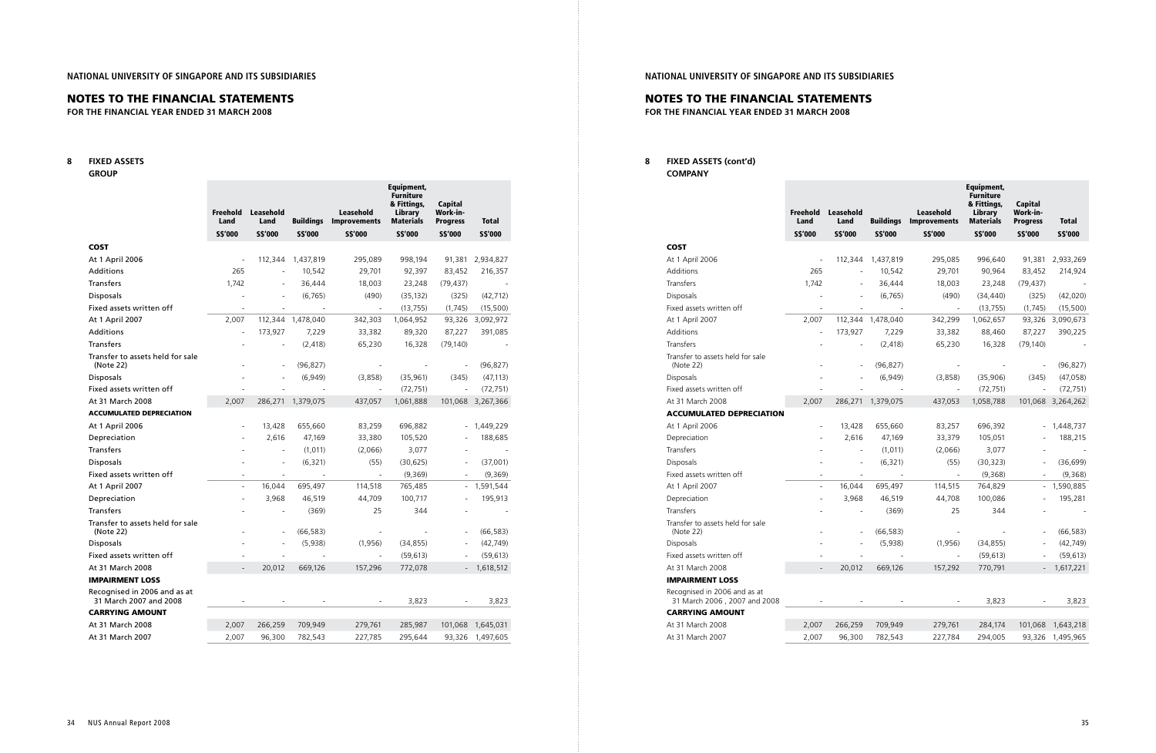**FOR THE FINANCIAL YEAR ENDED 31 MARCH 2008**

# **8 FIXED ASSETS (cont'd) COMPANY**

|                                                              | <b>Freehold</b><br>Land  | Leasehold<br>Land | <b>Buildings</b> | Leasehold<br><b>Improvements</b> | Equipment,<br><b>Furniture</b><br>& Fittings,<br>Library<br><b>Materials</b> | Capital<br>Work-in-<br><b>Progress</b> | <b>Total</b>      |
|--------------------------------------------------------------|--------------------------|-------------------|------------------|----------------------------------|------------------------------------------------------------------------------|----------------------------------------|-------------------|
|                                                              | <b>S\$'000</b>           | <b>S\$'000</b>    | <b>S\$'000</b>   | <b>S\$'000</b>                   | <b>S\$'000</b>                                                               | <b>S\$'000</b>                         | <b>S\$'000</b>    |
| COST                                                         |                          |                   |                  |                                  |                                                                              |                                        |                   |
| At 1 April 2006                                              | $\overline{a}$           | 112,344           | 1,437,819        | 295,085                          | 996,640                                                                      | 91,381                                 | 2,933,269         |
| Additions                                                    | 265                      |                   | 10,542           | 29,701                           | 90,964                                                                       | 83,452                                 | 214,924           |
| Transfers                                                    | 1,742                    | $\overline{a}$    | 36,444           | 18,003                           | 23,248                                                                       | (79, 437)                              |                   |
| Disposals                                                    | $\overline{a}$           |                   | (6, 765)         | (490)                            | (34, 440)                                                                    | (325)                                  | (42,020)          |
| Fixed assets written off                                     | $\overline{a}$           | $\overline{a}$    |                  | $\overline{\phantom{a}}$         | (13, 755)                                                                    | (1,745)                                | (15, 500)         |
| At 1 April 2007                                              | 2,007                    | 112,344           | 1,478,040        | 342,299                          | 1,062,657                                                                    |                                        | 93,326 3,090,673  |
| Additions                                                    | $\overline{\phantom{a}}$ | 173,927           | 7,229            | 33,382                           | 88,460                                                                       | 87,227                                 | 390,225           |
| Transfers                                                    |                          |                   | (2, 418)         | 65,230                           | 16,328                                                                       | (79, 140)                              |                   |
| Transfer to assets held for sale<br>(Note 22)                |                          |                   | (96, 827)        |                                  |                                                                              | $\overline{\phantom{a}}$               | (96, 827)         |
| Disposals                                                    |                          |                   | (6,949)          | (3,858)                          | (35,906)                                                                     | (345)                                  | (47,058)          |
| Fixed assets written off                                     |                          |                   |                  |                                  | (72, 751)                                                                    |                                        | (72, 751)         |
| At 31 March 2008                                             | 2,007                    | 286,271           | 1,379,075        | 437,053                          | 1,058,788                                                                    |                                        | 101,068 3,264,262 |
| <b>ACCUMULATED DEPRECIATION</b>                              |                          |                   |                  |                                  |                                                                              |                                        |                   |
| At 1 April 2006                                              |                          | 13,428            | 655,660          | 83,257                           | 696,392                                                                      |                                        | 1,448,737         |
| Depreciation                                                 |                          | 2,616             | 47,169           | 33,379                           | 105,051                                                                      |                                        | 188,215           |
| Transfers                                                    |                          |                   | (1,011)          | (2,066)                          | 3,077                                                                        |                                        |                   |
| Disposals                                                    |                          |                   | (6, 321)         | (55)                             | (30, 323)                                                                    |                                        | (36, 699)         |
| Fixed assets written off                                     |                          |                   |                  | $\overline{\phantom{a}}$         | (9,368)                                                                      | $\blacksquare$                         | (9,368)           |
| At 1 April 2007                                              |                          | 16,044            | 695,497          | 114,515                          | 764,829                                                                      |                                        | 1,590,885         |
| Depreciation                                                 |                          | 3,968             | 46,519           | 44,708                           | 100,086                                                                      |                                        | 195,281           |
| Transfers                                                    |                          |                   | (369)            | 25                               | 344                                                                          |                                        |                   |
| Transfer to assets held for sale<br>(Note 22)                |                          |                   | (66, 583)        |                                  |                                                                              |                                        | (66, 583)         |
| Disposals                                                    |                          |                   | (5,938)          | (1,956)                          | (34, 855)                                                                    |                                        | (42, 749)         |
| Fixed assets written off                                     |                          |                   |                  |                                  | (59, 613)                                                                    |                                        | (59, 613)         |
| At 31 March 2008                                             | $\overline{\phantom{a}}$ | 20,012            | 669,126          | 157,292                          | 770,791                                                                      |                                        | 1,617,221         |
| <b>IMPAIRMENT LOSS</b>                                       |                          |                   |                  |                                  |                                                                              |                                        |                   |
| Recognised in 2006 and as at<br>31 March 2006, 2007 and 2008 |                          |                   |                  |                                  | 3,823                                                                        |                                        | 3,823             |
| <b>CARRYING AMOUNT</b>                                       |                          |                   |                  |                                  |                                                                              |                                        |                   |
| At 31 March 2008                                             | 2,007                    | 266,259           | 709,949          | 279,761                          | 284,174                                                                      | 101,068                                | 1,643,218         |
| At 31 March 2007                                             | 2,007                    | 96,300            | 782,543          | 227,784                          | 294,005                                                                      | 93,326                                 | 1,495,965         |

# NOTES TO THE FINANCIAL STATEMENTS

**FOR THE FINANCIAL YEAR ENDED 31 MARCH 2008**

# **8 FIXED ASSETS**

**GROUP**

|                                                        | <b>Freehold</b><br>Land | Leasehold<br>Land            | <b>Buildings</b> | Leasehold<br><b>Improvements</b> | Equipment,<br><b>Furniture</b><br>& Fittings,<br>Library<br><b>Materials</b> | <b>Capital</b><br>Work-in-<br><b>Progress</b> | <b>Total</b>     |
|--------------------------------------------------------|-------------------------|------------------------------|------------------|----------------------------------|------------------------------------------------------------------------------|-----------------------------------------------|------------------|
|                                                        | <b>S\$'000</b>          | <b>S\$'000</b>               | <b>S\$'000</b>   | <b>S\$'000</b>                   | <b>S\$'000</b>                                                               | <b>S\$'000</b>                                | <b>S\$'000</b>   |
| <b>COST</b>                                            |                         |                              |                  |                                  |                                                                              |                                               |                  |
| At 1 April 2006                                        | L,                      | 112,344                      | 1,437,819        | 295,089                          | 998,194                                                                      | 91,381                                        | 2,934,827        |
| Additions                                              | 265                     | $\overline{a}$               | 10,542           | 29,701                           | 92,397                                                                       | 83,452                                        | 216,357          |
| <b>Transfers</b>                                       | 1,742                   | $\sim$                       | 36,444           | 18,003                           | 23,248                                                                       | (79, 437)                                     |                  |
| <b>Disposals</b>                                       | ÷,                      |                              | (6, 765)         | (490)                            | (35, 132)                                                                    | (325)                                         | (42, 712)        |
| Fixed assets written off                               | $\overline{a}$          | $\overline{a}$               |                  | $\overline{\phantom{a}}$         | (13, 755)                                                                    | (1,745)                                       | (15,500)         |
| At 1 April 2007                                        | 2,007                   | 112,344                      | 1,478,040        | 342,303                          | 1,064,952                                                                    |                                               | 93,326 3,092,972 |
| Additions                                              | $\overline{a}$          | 173,927                      | 7,229            | 33,382                           | 89,320                                                                       | 87,227                                        | 391,085          |
| <b>Transfers</b>                                       |                         |                              | (2, 418)         | 65,230                           | 16,328                                                                       | (79, 140)                                     |                  |
| Transfer to assets held for sale<br>(Note 22)          |                         |                              | (96, 827)        |                                  |                                                                              | $\overline{a}$                                | (96, 827)        |
| <b>Disposals</b>                                       |                         |                              | (6,949)          | (3,858)                          | (35, 961)                                                                    | (345)                                         | (47, 113)        |
| Fixed assets written off                               |                         |                              |                  |                                  | (72, 751)                                                                    | $\frac{1}{2}$                                 | (72, 751)        |
| At 31 March 2008                                       | 2,007                   | 286,271                      | 1,379,075        | 437,057                          | 1,061,888                                                                    | 101,068                                       | 3,267,366        |
| <b>ACCUMULATED DEPRECIATION</b>                        |                         |                              |                  |                                  |                                                                              |                                               |                  |
| At 1 April 2006                                        |                         | 13,428                       | 655,660          | 83,259                           | 696,882                                                                      |                                               | 1,449,229        |
| Depreciation                                           |                         | 2,616                        | 47,169           | 33,380                           | 105,520                                                                      |                                               | 188,685          |
| <b>Transfers</b>                                       |                         | $\overline{a}$               | (1,011)          | (2,066)                          | 3,077                                                                        |                                               |                  |
| Disposals                                              |                         | $\qquad \qquad \blacksquare$ | (6, 321)         | (55)                             | (30, 625)                                                                    |                                               | (37,001)         |
| Fixed assets written off                               |                         | $\frac{1}{2}$                |                  | $\overline{\phantom{a}}$         | (9,369)                                                                      |                                               | (9,369)          |
| At 1 April 2007                                        | $\overline{a}$          | 16,044                       | 695,497          | 114,518                          | 765,485                                                                      | $\blacksquare$                                | 1,591,544        |
| Depreciation                                           | $\overline{a}$          | 3,968                        | 46,519           | 44,709                           | 100,717                                                                      |                                               | 195,913          |
| <b>Transfers</b>                                       |                         |                              | (369)            | 25                               | 344                                                                          |                                               |                  |
| Transfer to assets held for sale<br>(Note 22)          |                         | $\sim$                       | (66, 583)        |                                  |                                                                              | $\overline{a}$                                | (66, 583)        |
| <b>Disposals</b>                                       |                         |                              | (5,938)          | (1,956)                          | (34, 855)                                                                    |                                               | (42, 749)        |
| Fixed assets written off                               |                         |                              |                  |                                  | (59, 613)                                                                    |                                               | (59, 613)        |
| At 31 March 2008                                       |                         | 20,012                       | 669,126          | 157,296                          | 772,078                                                                      | $\frac{1}{2}$                                 | 1,618,512        |
| <b>IMPAIRMENT LOSS</b>                                 |                         |                              |                  |                                  |                                                                              |                                               |                  |
| Recognised in 2006 and as at<br>31 March 2007 and 2008 |                         |                              |                  |                                  | 3,823                                                                        |                                               | 3,823            |
| <b>CARRYING AMOUNT</b>                                 |                         |                              |                  |                                  |                                                                              |                                               |                  |
| At 31 March 2008                                       | 2,007                   | 266,259                      | 709,949          | 279,761                          | 285,987                                                                      | 101,068                                       | 1,645,031        |
| At 31 March 2007                                       | 2,007                   | 96,300                       | 782,543          | 227,785                          | 295,644                                                                      | 93,326                                        | 1,497,605        |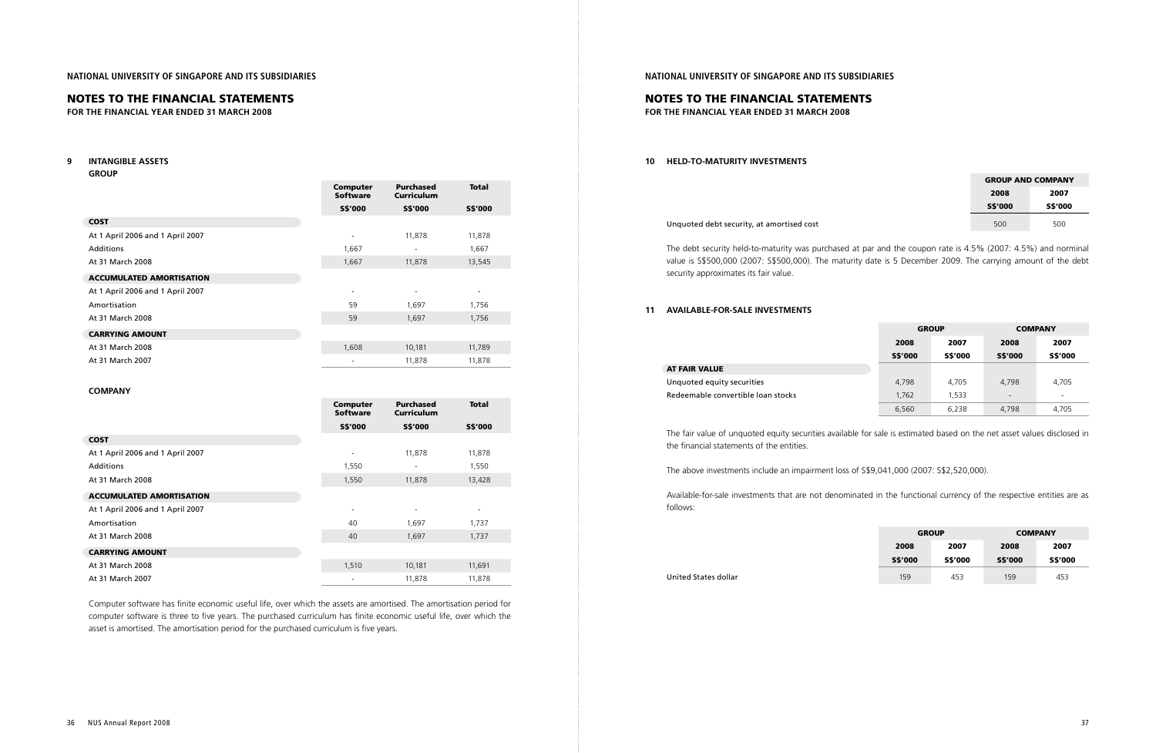# NOTES TO THE FINANCIAL STATEMENTS

**FOR THE FINANCIAL YEAR ENDED 31 MARCH 2008**

### **10 HELD-TO-MATURITY INVESTMENTS**

Unquoted debt security, at amortised cost

| <b>GROUP AND COMPANY</b> |                |  |  |
|--------------------------|----------------|--|--|
| 2008<br>2007             |                |  |  |
| <b>S\$'000</b>           | <b>S\$'000</b> |  |  |
| 500                      | 500            |  |  |

 The debt security held-to-maturity was purchased at par and the coupon rate is 4.5% (2007: 4.5%) and norminal value is S\$500,000 (2007: S\$500,000). The maturity date is 5 December 2009. The carrying amount of the debt security approximates its fair value.

# **11 AVAILABLE-FOR-SALE INVESTMENTS**

### AT FAIR VALUE

Unquoted equity securities Redeemable convertible loan stocks

| <b>GROUP</b>   |                | <b>COMPANY</b> |                |  |
|----------------|----------------|----------------|----------------|--|
| 2008           | 2007           |                | 2007           |  |
| <b>S\$'000</b> | <b>S\$'000</b> | <b>S\$'000</b> | <b>S\$'000</b> |  |
|                |                |                |                |  |
| 4.798          | 4,705          | 4.798          | 4,705          |  |
| 1,762          | 1,533          | -              |                |  |
| 6,560          | 6,238          | 4,798          | 4,705          |  |

 The fair value of unquoted equity securities available for sale is estimated based on the net asset values disclosed in the financial statements of the entities.

 The above investments include an impairment loss of S\$9,041,000 (2007: S\$2,520,000).

 Available-for-sale investments that are not denominated in the functional currency of the respective entities are as follows:

United States dollar

| <b>GROUP</b>   |                | <b>COMPANY</b> |                |
|----------------|----------------|----------------|----------------|
| 2008           | 2007<br>2008   |                | 2007           |
| <b>S\$'000</b> | <b>S\$'000</b> | <b>S\$'000</b> | <b>S\$'000</b> |
| 159            | 453            | 159            | 453            |

# NOTES TO THE FINANCIAL STATEMENTS

**FOR THE FINANCIAL YEAR ENDED 31 MARCH 2008**

# **9 INTANGIBLE ASSETS**

**GROUP**

|                                  | <b>Computer</b><br><b>Software</b> | <b>Purchased</b><br><b>Curriculum</b> | <b>Total</b>             |
|----------------------------------|------------------------------------|---------------------------------------|--------------------------|
|                                  | <b>S\$'000</b>                     | <b>S\$'000</b>                        | <b>S\$'000</b>           |
| <b>COST</b>                      |                                    |                                       |                          |
| At 1 April 2006 and 1 April 2007 |                                    | 11,878                                | 11,878                   |
| Additions                        | 1,667                              | $\overline{\phantom{a}}$              | 1,667                    |
| At 31 March 2008                 | 1,667                              | 11,878                                | 13,545                   |
| <b>ACCUMULATED AMORTISATION</b>  |                                    |                                       |                          |
| At 1 April 2006 and 1 April 2007 | $\overline{\phantom{a}}$           | ٠                                     | $\overline{\phantom{a}}$ |
| Amortisation                     | 59                                 | 1,697                                 | 1,756                    |
| At 31 March 2008                 | 59                                 | 1,697                                 | 1,756                    |
| <b>CARRYING AMOUNT</b>           |                                    |                                       |                          |
| At 31 March 2008                 | 1,608                              | 10,181                                | 11,789                   |
| At 31 March 2007                 |                                    | 11,878                                | 11,878                   |

**COMPANY**

|                                  | <b>Computer</b><br><b>Software</b> | <b>Purchased</b><br><b>Curriculum</b> | <b>Total</b>   |
|----------------------------------|------------------------------------|---------------------------------------|----------------|
|                                  | <b>S\$'000</b>                     | <b>S\$'000</b>                        | <b>S\$'000</b> |
| <b>COST</b>                      |                                    |                                       |                |
| At 1 April 2006 and 1 April 2007 | $\overline{\phantom{a}}$           | 11,878                                | 11,878         |
| Additions                        | 1,550                              | ۰                                     | 1,550          |
| At 31 March 2008                 | 1,550                              | 11,878                                | 13,428         |
| <b>ACCUMULATED AMORTISATION</b>  |                                    |                                       |                |
| At 1 April 2006 and 1 April 2007 | $\overline{\phantom{a}}$           | ٠                                     |                |
| Amortisation                     | 40                                 | 1,697                                 | 1,737          |
| At 31 March 2008                 | 40                                 | 1,697                                 | 1,737          |
| <b>CARRYING AMOUNT</b>           |                                    |                                       |                |
| At 31 March 2008                 | 1,510                              | 10,181                                | 11,691         |
| At 31 March 2007                 | $\blacksquare$                     | 11,878                                | 11,878         |

 Computer software has finite economic useful life, over which the assets are amortised. The amortisation period for computer software is three to five years. The purchased curriculum has finite economic useful life, over which the asset is amortised. The amortisation period for the purchased curriculum is five years.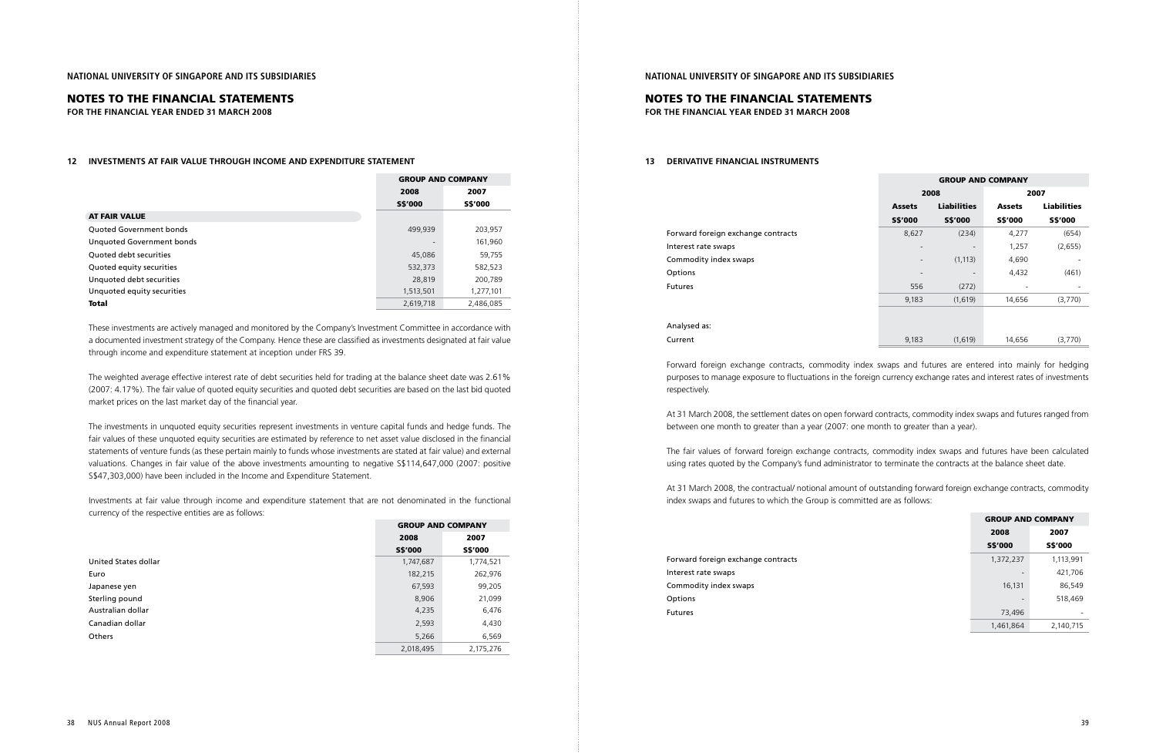**FOR THE FINANCIAL YEAR ENDED 31 MARCH 2008**

### **13 DERIVATIVE FINANCIAL INSTRUMENTS**

|                                    | <b>GROUP AND COMPANY</b> |                          |               |                    |
|------------------------------------|--------------------------|--------------------------|---------------|--------------------|
|                                    |                          | 2008                     |               | 2007               |
|                                    | <b>Assets</b>            | <b>Liabilities</b>       | <b>Assets</b> | <b>Liabilities</b> |
|                                    | <b>S\$'000</b>           | <b>S\$'000</b>           | S\$'000       | <b>S\$'000</b>     |
| Forward foreign exchange contracts | 8,627                    | (234)                    | 4,277         | (654)              |
| Interest rate swaps                |                          | $\overline{\phantom{0}}$ | 1,257         | (2,655)            |
| Commodity index swaps              | $\overline{\phantom{a}}$ | (1, 113)                 | 4,690         |                    |
| Options                            |                          | $\overline{\phantom{0}}$ | 4,432         | (461)              |
| Futures                            | 556                      | (272)                    |               |                    |
|                                    | 9,183                    | (1,619)                  | 14,656        | (3,770)            |
|                                    |                          |                          |               |                    |
| Analysed as:                       |                          |                          |               |                    |
| Current                            | 9,183                    | (1,619)                  | 14,656        | (3,770)            |

Analysed as:

 Forward foreign exchange contracts, commodity index swaps and futures are entered into mainly for hedging purposes to manage exposure to fluctuations in the foreign currency exchange rates and interest rates of investments respectively.

Forward foreign exchange contracts Interest rate swaps Commodity index swaps Options - 518,469 Futures 73,496 -

 At 31 March 2008, the settlement dates on open forward contracts, commodity index swaps and futures ranged from between one month to greater than a year (2007: one month to greater than a year).

 The fair values of forward foreign exchange contracts, commodity index swaps and futures have been calculated using rates quoted by the Company's fund administrator to terminate the contracts at the balance sheet date.

 At 31 March 2008, the contractual/ notional amount of outstanding forward foreign exchange contracts, commodity index swaps and futures to which the Group is committed are as follows:

| <b>GROUP AND COMPANY</b> |                |  |  |  |
|--------------------------|----------------|--|--|--|
| 2008                     | 2007           |  |  |  |
| <b>S\$'000</b>           | <b>S\$'000</b> |  |  |  |
| 1,372,237                | 1,113,991      |  |  |  |
|                          | 421.706        |  |  |  |
| 16,131                   | 86,549         |  |  |  |
|                          | 518,469        |  |  |  |
| 73,496                   |                |  |  |  |
| 1,461,864                | 2,140,715      |  |  |  |

# NOTES TO THE FINANCIAL STATEMENTS

**FOR THE FINANCIAL YEAR ENDED 31 MARCH 2008**

### **12 INVESTMENTS AT FAIR VALUE THROUGH INCOME AND EXPENDITURE STATEMENT**

|                                | <b>GROUP AND COMPANY</b> |                |
|--------------------------------|--------------------------|----------------|
|                                | 2008                     | 2007           |
|                                | <b>S\$'000</b>           | <b>S\$'000</b> |
| <b>AT FAIR VALUE</b>           |                          |                |
| <b>Ouoted Government bonds</b> | 499,939                  | 203,957        |
| Unquoted Government bonds      |                          | 161,960        |
| Quoted debt securities         | 45,086                   | 59,755         |
| Quoted equity securities       | 532,373                  | 582.523        |
| Unquoted debt securities       | 28,819                   | 200,789        |
| Unquoted equity securities     | 1,513,501                | 1,277,101      |
| <b>Total</b>                   | 2,619,718                | 2,486,085      |

 These investments are actively managed and monitored by the Company's Investment Committee in accordance with a documented investment strategy of the Company. Hence these are classified as investments designated at fair value through income and expenditure statement at inception under FRS 39.

 The weighted average effective interest rate of debt securities held for trading at the balance sheet date was 2.61% (2007: 4.17%). The fair value of quoted equity securities and quoted debt securities are based on the last bid quoted market prices on the last market day of the financial year.

 The investments in unquoted equity securities represent investments in venture capital funds and hedge funds. The fair values of these unquoted equity securities are estimated by reference to net asset value disclosed in the financial statements of venture funds (as these pertain mainly to funds whose investments are stated at fair value) and external valuations. Changes in fair value of the above investments amounting to negative S\$114,647,000 (2007: positive S\$47,303,000) have been included in the Income and Expenditure Statement.

 Investments at fair value through income and expenditure statement that are not denominated in the functional currency of the respective entities are as follows:

|                      | <b>GROUP AND COMPANY</b> |                |
|----------------------|--------------------------|----------------|
|                      | 2008                     | 2007           |
|                      | <b>S\$'000</b>           | <b>S\$'000</b> |
| United States dollar | 1,747,687                | 1,774,521      |
| Euro                 | 182,215                  | 262,976        |
| Japanese yen         | 67,593                   | 99,205         |
| Sterling pound       | 8,906                    | 21,099         |
| Australian dollar    | 4,235                    | 6,476          |
| Canadian dollar      | 2,593                    | 4,430          |
| <b>Others</b>        | 5,266                    | 6,569          |
|                      | 2,018,495                | 2,175,276      |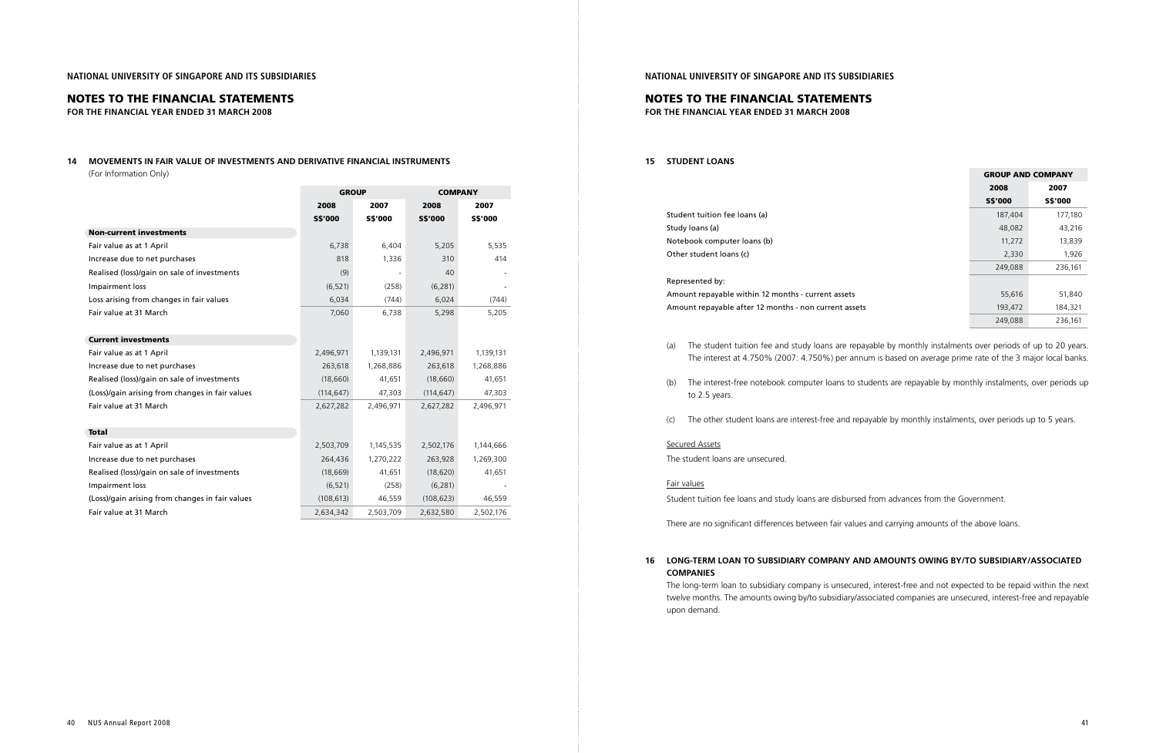# NOTES TO THE FINANCIAL STATEMENTS

**FOR THE FINANCIAL YEAR ENDED 31 MARCH 2008**

## **15 STUDENT LOANS**

Student tuition fee loans (a) Study loans (a) Notebook computer loans (b) Other student loans (c)

| <b>GROUP AND COMPANY</b> |                |
|--------------------------|----------------|
| 2008                     | 2007           |
| <b>S\$'000</b>           | <b>S\$'000</b> |
| 187,404                  | 177,180        |
| 48,082                   | 43,216         |
| 11,272                   | 13,839         |
| 2,330                    | 1,926          |
| 249,088                  | 236,161        |
|                          |                |
| 55,616                   | 51,840         |
| 193,472                  | 184,321        |
| 249,088                  | 236,161        |

### Represented by:

Amount repayable within 12 months - current assets Amount repayable after 12 months - non current assets

 (a) The student tuition fee and study loans are repayable by monthly instalments over periods of up to 20 years. The interest at 4.750% (2007: 4.750%) per annum is based on average prime rate of the 3 major local banks.

 (b) The interest-free notebook computer loans to students are repayable by monthly instalments, over periods up

- 
- to 2.5 years.
- 

 (c) The other student loans are interest-free and repayable by monthly instalments, over periods up to 5 years.

# Secured Assets

 The student loans are unsecured.

### Fair values

 Student tuition fee loans and study loans are disbursed from advances from the Government.

 There are no significant differences between fair values and carrying amounts of the above loans.

# **16 LONG-TERM LOAN TO SUBSIDIARY COMPANY AND AMOUNTS OWING BY/TO SUBSIDIARY/ASSOCIATED COMPANIES**

 The long-term loan to subsidiary company is unsecured, interest-free and not expected to be repaid within the next twelve months. The amounts owing by/to subsidiary/associated companies are unsecured, interest-free and repayable upon demand.

# NOTES TO THE FINANCIAL STATEMENTS

**FOR THE FINANCIAL YEAR ENDED 31 MARCH 2008**

# **14 MOVEMENTS IN FAIR VALUE OF INVESTMENTS AND DERIVATIVE FINANCIAL INSTRUMENTS**

 (For Information Only)

|                                                 |                | <b>GROUP</b>   |                | <b>COMPANY</b> |  |
|-------------------------------------------------|----------------|----------------|----------------|----------------|--|
|                                                 | 2008           | 2007           | 2008           | 2007           |  |
|                                                 | <b>S\$'000</b> | <b>S\$'000</b> | <b>S\$'000</b> | <b>S\$'000</b> |  |
| <b>Non-current investments</b>                  |                |                |                |                |  |
| Fair value as at 1 April                        | 6,738          | 6,404          | 5,205          | 5,535          |  |
| Increase due to net purchases                   | 818            | 1,336          | 310            | 414            |  |
| Realised (loss)/gain on sale of investments     | (9)            |                | 40             |                |  |
| Impairment loss                                 | (6, 521)       | (258)          | (6, 281)       |                |  |
| Loss arising from changes in fair values        | 6,034          | (744)          | 6,024          | (744)          |  |
| Fair value at 31 March                          | 7,060          | 6,738          | 5,298          | 5,205          |  |
|                                                 |                |                |                |                |  |
| <b>Current investments</b>                      |                |                |                |                |  |
| Fair value as at 1 April                        | 2,496,971      | 1,139,131      | 2,496,971      | 1,139,131      |  |
| Increase due to net purchases                   | 263,618        | 1,268,886      | 263,618        | 1,268,886      |  |
| Realised (loss)/gain on sale of investments     | (18,660)       | 41,651         | (18,660)       | 41,651         |  |
| (Loss)/gain arising from changes in fair values | (114, 647)     | 47,303         | (114, 647)     | 47,303         |  |
| Fair value at 31 March                          | 2,627,282      | 2,496,971      | 2,627,282      | 2,496,971      |  |
|                                                 |                |                |                |                |  |
| <b>Total</b>                                    |                |                |                |                |  |
| Fair value as at 1 April                        | 2,503,709      | 1,145,535      | 2,502,176      | 1,144,666      |  |
| Increase due to net purchases                   | 264,436        | 1,270,222      | 263,928        | 1,269,300      |  |
| Realised (loss)/gain on sale of investments     | (18, 669)      | 41,651         | (18, 620)      | 41,651         |  |
| Impairment loss                                 | (6, 521)       | (258)          | (6, 281)       |                |  |
| (Loss)/gain arising from changes in fair values | (108, 613)     | 46,559         | (108, 623)     | 46,559         |  |
| Fair value at 31 March                          | 2,634,342      | 2,503,709      | 2,632,580      | 2,502,176      |  |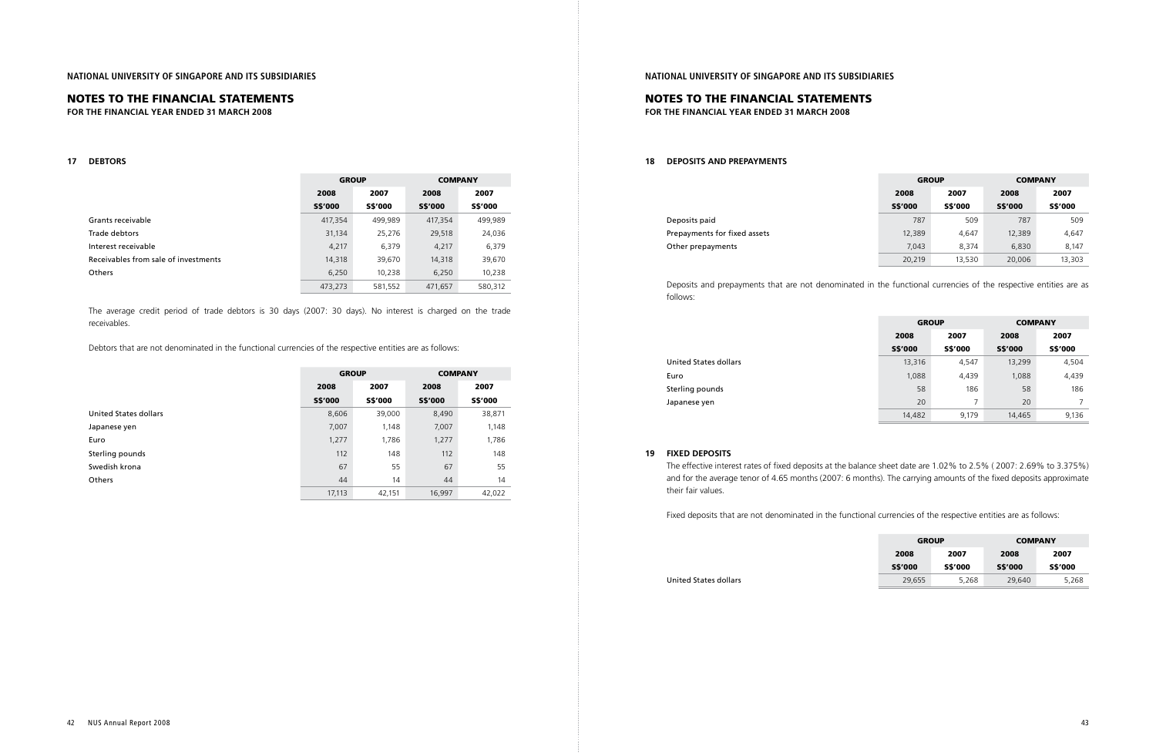**FOR THE FINANCIAL YEAR ENDED 31 MARCH 2008**

### **18 DEPOSITS AND PREPAYMENTS**

Deposits paid Prepayments for fixed assets Other prepayments

| <b>GROUP</b>   |                |                | <b>COMPANY</b> |  |
|----------------|----------------|----------------|----------------|--|
| 2008           | 2007           | 2008           | 2007           |  |
| <b>S\$'000</b> | <b>S\$'000</b> | <b>S\$'000</b> | <b>S\$'000</b> |  |
| 787            | 509            | 787            | 509            |  |
| 12,389         | 4.647          | 12,389         | 4,647          |  |
| 7.043          | 8,374          | 6,830          | 8,147          |  |
| 20,219         | 13,530         | 20,006         | 13,303         |  |

 Deposits and prepayments that are not denominated in the functional currencies of the respective entities are as

follows:

|                              | <b>GROUP</b>   |                | <b>COMPANY</b> |         |  |      |
|------------------------------|----------------|----------------|----------------|---------|--|------|
|                              | 2008<br>2007   | 2008           |                |         |  | 2007 |
|                              | <b>S\$'000</b> | <b>S\$'000</b> | <b>S\$'000</b> | S\$'000 |  |      |
| <b>United States dollars</b> | 13,316         | 4,547          | 13,299         | 4,504   |  |      |
| Euro                         | 1,088          | 4,439          | 1,088          | 4,439   |  |      |
| Sterling pounds              | 58             | 186            | 58             | 186     |  |      |
| Japanese yen                 | 20             |                | 20             |         |  |      |
|                              | 14,482         | 9.179          | 14,465         | 9,136   |  |      |

# **19 FIXED DEPOSITS**

 The effective interest rates of fixed deposits at the balance sheet date are 1.02% to 2.5% ( 2007: 2.69% to 3.375%) and for the average tenor of 4.65 months (2007: 6 months). The carrying amounts of the fixed deposits approximate

their fair values.

 Fixed deposits that are not denominated in the functional currencies of the respective entities are as follows:

United States dollars

| <b>GROUP</b>   |                | <b>COMPANY</b> |                |
|----------------|----------------|----------------|----------------|
| 2008           | 2007           | 2008           | 2007           |
| <b>S\$'000</b> | <b>S\$'000</b> | <b>S\$'000</b> | <b>S\$'000</b> |
| 29,655         | 5.268          | 29,640         | 5,268          |

# NOTES TO THE FINANCIAL STATEMENTS

**FOR THE FINANCIAL YEAR ENDED 31 MARCH 2008**

### **17 DEBTORS**

|                                      | <b>GROUP</b>   |                | <b>COMPANY</b> |                |
|--------------------------------------|----------------|----------------|----------------|----------------|
|                                      | 2008<br>2007   |                | 2008           | 2007           |
|                                      | <b>S\$'000</b> | <b>S\$'000</b> | <b>S\$'000</b> | <b>S\$'000</b> |
| Grants receivable                    | 417,354        | 499,989        | 417,354        | 499,989        |
| Trade debtors                        | 31,134         | 25.276         | 29,518         | 24,036         |
| Interest receivable                  | 4,217          | 6,379          | 4,217          | 6,379          |
| Receivables from sale of investments | 14,318         | 39,670         | 14,318         | 39,670         |
| <b>Others</b>                        | 6,250          | 10.238         | 6,250          | 10,238         |
|                                      | 473,273        | 581,552        | 471,657        | 580,312        |

 The average credit period of trade debtors is 30 days (2007: 30 days). No interest is charged on the trade receivables.

 Debtors that are not denominated in the functional currencies of the respective entities are as follows:

|                       | <b>GROUP</b>   |                | <b>COMPANY</b> |                |
|-----------------------|----------------|----------------|----------------|----------------|
|                       | 2008           | 2007           |                | 2007           |
|                       | <b>S\$'000</b> | <b>S\$'000</b> | <b>S\$'000</b> | <b>S\$'000</b> |
| United States dollars | 8,606          | 39,000         | 8,490          | 38,871         |
|                       | 7,007          | 1,148          | 7,007          | 1,148          |
|                       | 1,277          | 1,786          | 1,277          | 1,786          |
|                       | 112            | 148            | 112            | 148            |
|                       | 67             | 55             | 67             | 55             |
|                       | 44             | 14             | 44             | 14             |
|                       | 17,113         | 42,151         | 16,997         | 42,022         |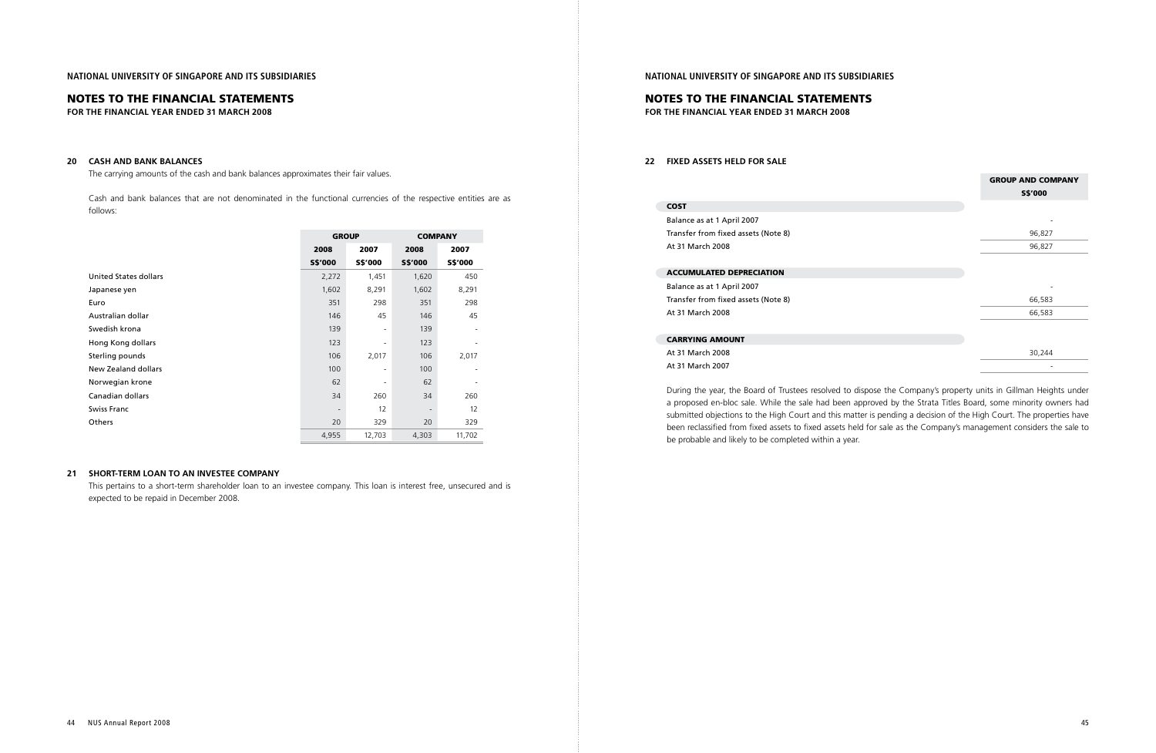# NOTES TO THE FINANCIAL STATEMENTS

**FOR THE FINANCIAL YEAR ENDED 31 MARCH 2008**

# **22 Fixed ASSETS HELD FOR SALE**

| <b>GROUP AND COMPANY</b><br><b>S\$'000</b> |
|--------------------------------------------|
|                                            |
|                                            |
| 96,827                                     |
| 96,827                                     |
|                                            |
|                                            |
|                                            |
| 66,583                                     |
| 66,583                                     |
|                                            |
|                                            |
| 30,244                                     |
|                                            |

# COST

Balance as at 1 April 2007 Transfer from fixed assets (Note 8) At 31 March 2008

# ACCUMULATED DEPRECIATION

Balance as at 1 April 2007 Transfer from fixed assets (Note 8) At 31 March 2008

### CARRYING AMOUNT

At 31 March 2008 At 31 March 2007

 During the year, the Board of Trustees resolved to dispose the Company's property units in Gillman Heights under a proposed en-bloc sale. While the sale had been approved by the Strata Titles Board, some minority owners had submitted objections to the High Court and this matter is pending a decision of the High Court. The properties have been reclassified from fixed assets to fixed assets held for sale as the Company's management considers the sale to be probable and likely to be completed within a year.

# NOTES TO THE FINANCIAL STATEMENTS

**FOR THE FINANCIAL YEAR ENDED 31 MARCH 2008**

# **20 CASH AND BANK BALANCES**

 The carrying amounts of the cash and bank balances approximates their fair values.

 Cash and bank balances that are not denominated in the functional currencies of the respective entities are as follows:

|                              | <b>GROUP</b>   |                          | <b>COMPANY</b> |                |
|------------------------------|----------------|--------------------------|----------------|----------------|
|                              | 2008           | 2007                     | 2008           | 2007           |
|                              | <b>S\$'000</b> | S\$'000                  | <b>S\$'000</b> | <b>S\$'000</b> |
| <b>United States dollars</b> | 2,272          | 1,451                    | 1,620          | 450            |
| Japanese yen                 | 1,602          | 8,291                    | 1,602          | 8,291          |
| Euro                         | 351            | 298                      | 351            | 298            |
| Australian dollar            | 146            | 45                       | 146            | 45             |
| Swedish krona                | 139            | $\overline{\phantom{a}}$ | 139            |                |
| Hong Kong dollars            | 123            | $\overline{\phantom{0}}$ | 123            |                |
| Sterling pounds              | 106            | 2,017                    | 106            | 2,017          |
| New Zealand dollars          | 100            | $\overline{\phantom{a}}$ | 100            |                |
| Norwegian krone              | 62             | $\overline{\phantom{0}}$ | 62             |                |
| Canadian dollars             | 34             | 260                      | 34             | 260            |
| <b>Swiss Franc</b>           |                | 12                       |                | 12             |
| Others                       | 20             | 329                      | 20             | 329            |
|                              | 4,955          | 12,703                   | 4,303          | 11,702         |

# **21 SHORT-TERM LOAN TO AN INVESTEE COMPANY**

 This pertains to a short-term shareholder loan to an investee company. This loan is interest free, unsecured and is expected to be repaid in December 2008.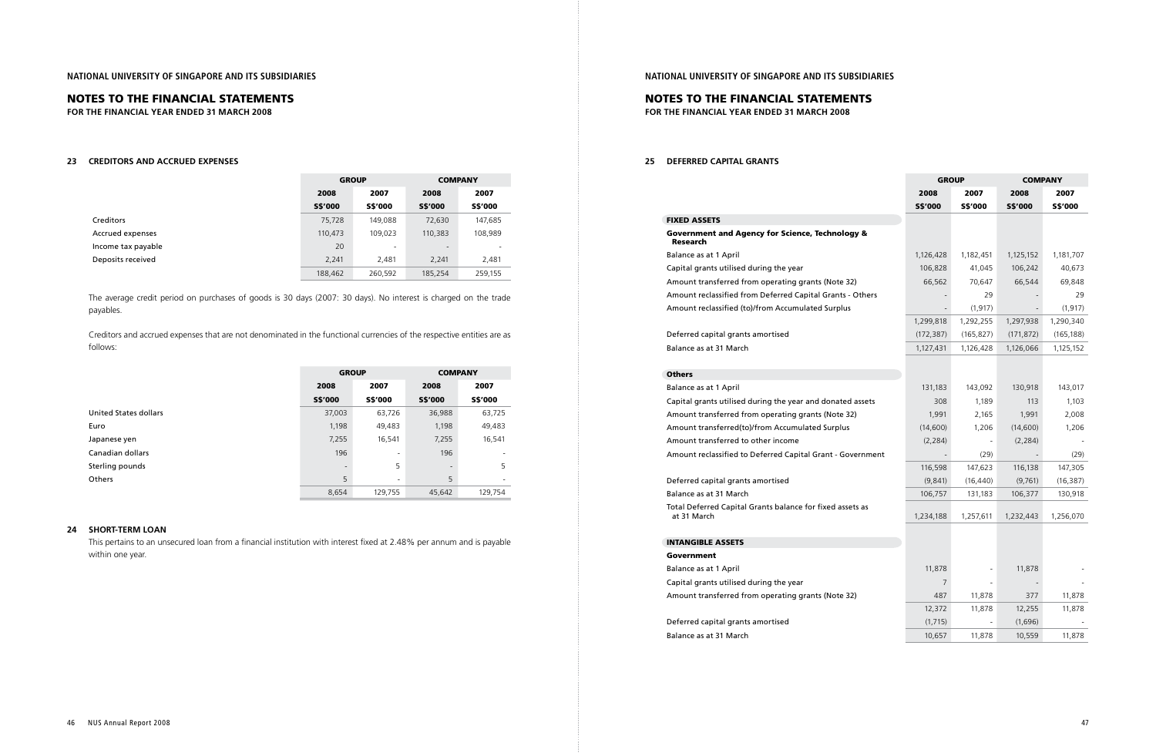**FOR THE FINANCIAL YEAR ENDED 31 MARCH 2008**

### Government and Agency for Science, Technology Research

# Balance as at 1 April

Deferred capital grants amortised Balance as at 31 March

# **Others**

# Balance as at 1 April

Deferred capital grants amortised

Balance as at 31 March

Total Deferred Capital Grants balance for fixed asset<br>at 31 March

### **25 DEFERRED CAPITAL GRANTS**

### Fixed Assets

|                                                                         | <b>GROUP</b> |                          |                | <b>COMPANY</b> |  |
|-------------------------------------------------------------------------|--------------|--------------------------|----------------|----------------|--|
|                                                                         | 2008         | 2007                     | 2008           | 2007           |  |
|                                                                         | S\$'000      | S\$'000                  | <b>S\$'000</b> | S\$'000        |  |
| <b>IXED ASSETS</b>                                                      |              |                          |                |                |  |
| overnment and Agency for Science, Technology &<br>Research              |              |                          |                |                |  |
| alance as at 1 April                                                    | 1,126,428    | 1,182,451                | 1,125,152      | 1,181,707      |  |
| apital grants utilised during the year                                  | 106,828      | 41,045                   | 106,242        | 40,673         |  |
| mount transferred from operating grants (Note 32)                       | 66,562       | 70,647                   | 66,544         | 69,848         |  |
| mount reclassified from Deferred Capital Grants - Others                |              | 29                       |                | 29             |  |
| mount reclassified (to)/from Accumulated Surplus                        |              | (1, 917)                 |                | (1, 917)       |  |
|                                                                         | 1,299,818    | 1,292,255                | 1,297,938      | 1,290,340      |  |
| eferred capital grants amortised                                        | (172, 387)   | (165, 827)               | (171, 872)     | (165, 188)     |  |
| alance as at 31 March                                                   | 1,127,431    | 1,126,428                | 1,126,066      | 1,125,152      |  |
|                                                                         |              |                          |                |                |  |
| thers                                                                   |              |                          |                |                |  |
| alance as at 1 April                                                    | 131,183      | 143,092                  | 130,918        | 143,017        |  |
| apital grants utilised during the year and donated assets               | 308          | 1,189                    | 113            | 1,103          |  |
| mount transferred from operating grants (Note 32)                       | 1,991        | 2,165                    | 1,991          | 2,008          |  |
| mount transferred(to)/from Accumulated Surplus                          | (14,600)     | 1,206                    | (14,600)       | 1,206          |  |
| mount transferred to other income                                       | (2, 284)     | $\blacksquare$           | (2, 284)       |                |  |
| mount reclassified to Deferred Capital Grant - Government               |              | (29)                     |                | (29)           |  |
|                                                                         | 116,598      | 147,623                  | 116,138        | 147,305        |  |
| eferred capital grants amortised                                        | (9,841)      | (16, 440)                | (9,761)        | (16, 387)      |  |
| alance as at 31 March                                                   | 106,757      | 131,183                  | 106,377        | 130,918        |  |
| otal Deferred Capital Grants balance for fixed assets as<br>at 31 March | 1,234,188    | 1,257,611                | 1,232,443      | 1,256,070      |  |
|                                                                         |              |                          |                |                |  |
| <b>ITANGIBLE ASSETS</b>                                                 |              |                          |                |                |  |
| overnment                                                               |              |                          |                |                |  |
| alance as at 1 April                                                    | 11,878       | $\overline{\phantom{a}}$ | 11,878         |                |  |
| apital grants utilised during the year                                  | 7            |                          |                |                |  |
| mount transferred from operating grants (Note 32)                       | 487          | 11,878                   | 377            | 11,878         |  |
|                                                                         | 12,372       | 11,878                   | 12,255         | 11,878         |  |
| eferred capital grants amortised                                        | (1,715)      |                          | (1,696)        |                |  |
| alance as at 31 March                                                   | 10,657       | 11,878                   | 10,559         | 11,878         |  |
|                                                                         |              |                          |                |                |  |

# Intangible Assets

# Government

Balance as at 1 April Capital grants utilised during the year Amount transferred from operating grants (Note 32)

Deferred capital grants amortised Balance as at 31 March

# NOTES TO THE FINANCIAL STATEMENTS

**FOR THE FINANCIAL YEAR ENDED 31 MARCH 2008**

### **23 CREDITORS AND ACCRUED EXPENSES**

|                         | <b>GROUP</b>   |                          | <b>COMPANY</b>           |                |
|-------------------------|----------------|--------------------------|--------------------------|----------------|
|                         | 2007<br>2008   |                          | 2008                     | 2007           |
|                         | <b>S\$'000</b> | <b>S\$'000</b>           | <b>S\$'000</b>           | <b>S\$'000</b> |
| Creditors               | 75,728         | 149,088                  | 72,630                   | 147,685        |
| <b>Accrued expenses</b> | 110,473        | 109,023                  | 110,383                  | 108,989        |
| Income tax payable      | 20             | $\overline{\phantom{a}}$ | $\overline{\phantom{a}}$ | ۰              |
| Deposits received       | 2,241          | 2,481                    | 2,241                    | 2,481          |
|                         | 188,462        | 260,592                  | 185,254                  | 259,155        |

 The average credit period on purchases of goods is 30 days (2007: 30 days). No interest is charged on the trade payables.

 Creditors and accrued expenses that are not denominated in the functional currencies of the respective entities are as follows:

|                       | <b>GROUP</b>             |                          | <b>COMPANY</b>           |                          |
|-----------------------|--------------------------|--------------------------|--------------------------|--------------------------|
|                       | 2007<br>2008             |                          | 2008                     | 2007                     |
|                       | <b>S\$'000</b>           | <b>S\$'000</b>           | <b>S\$'000</b>           | S\$'000                  |
| United States dollars | 37,003                   | 63,726                   | 36,988                   | 63,725                   |
| Euro                  | 1,198                    | 49,483                   | 1,198                    | 49,483                   |
| Japanese yen          | 7,255                    | 16,541                   | 7,255                    | 16,541                   |
| Canadian dollars      | 196                      | $\overline{\phantom{a}}$ | 196                      | $\overline{\phantom{a}}$ |
| Sterling pounds       | $\overline{\phantom{0}}$ | 5                        | $\overline{\phantom{0}}$ | 5                        |
| Others                | 5                        | $\overline{\phantom{a}}$ | 5                        | -                        |
|                       | 8,654                    | 129,755                  | 45.642                   | 129,754                  |

### **24 SHORT-TERM LOAN**

 This pertains to an unsecured loan from a financial institution with interest fixed at 2.48% per annum and is payable within one year.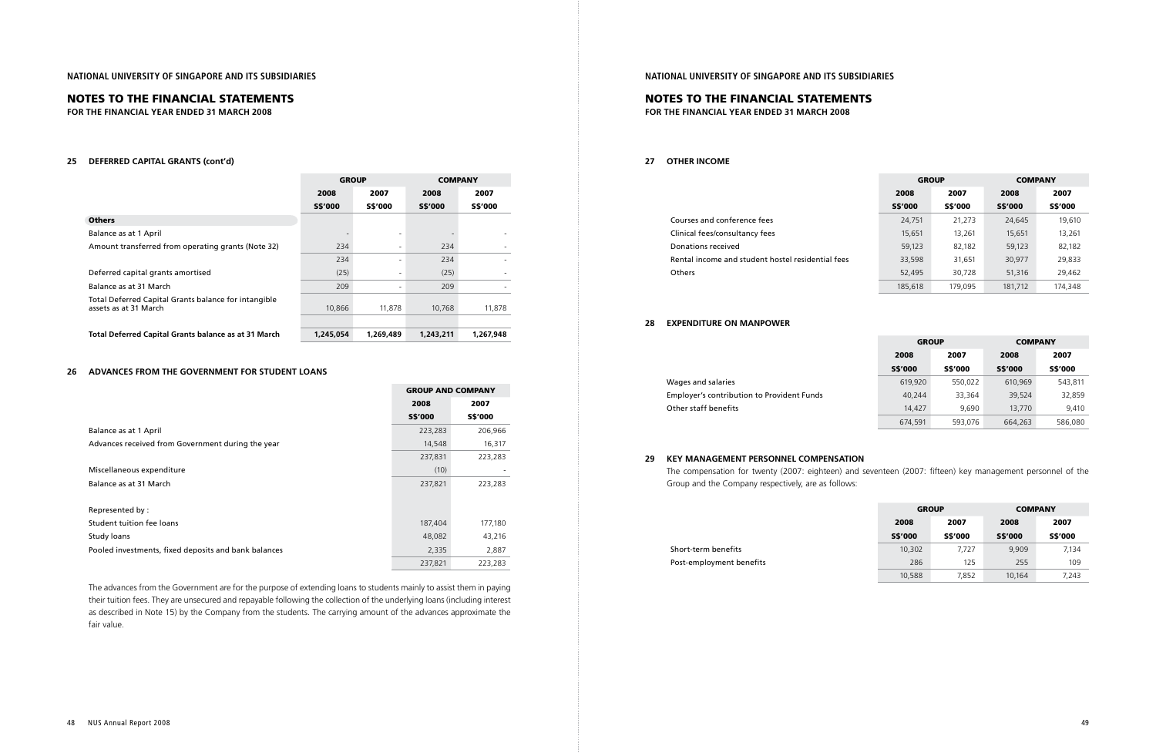**FOR THE FINANCIAL YEAR ENDED 31 MARCH 2008**

# **27 OTHER INCOME**

|                                                   | <b>GROUP</b>   |                | <b>COMPANY</b> |         |
|---------------------------------------------------|----------------|----------------|----------------|---------|
|                                                   | 2007<br>2008   |                | 2008<br>2007   |         |
|                                                   | <b>S\$'000</b> | <b>S\$'000</b> | <b>S\$'000</b> | S\$'000 |
| Courses and conference fees                       | 24,751         | 21,273         | 24,645         | 19,610  |
| Clinical fees/consultancy fees                    | 15,651         | 13,261         | 15,651         | 13,261  |
| Donations received                                | 59,123         | 82,182         | 59,123         | 82,182  |
| Rental income and student hostel residential fees | 33,598         | 31,651         | 30,977         | 29,833  |
| Others                                            | 52,495         | 30,728         | 51,316         | 29,462  |
|                                                   | 185,618        | 179.095        | 181.712        | 174,348 |

# **28 EXPENDITURE ON MANPOWER**

Wages and salaries Employer's contribution to Provident Funds Other staff benefits

| <b>GROUP</b>   |                | <b>COMPANY</b> |                |
|----------------|----------------|----------------|----------------|
| 2008           | 2007           | 2008           | 2007           |
| <b>S\$'000</b> | <b>S\$'000</b> | <b>S\$'000</b> | <b>S\$'000</b> |
| 619,920        | 550,022        | 610,969        | 543,811        |
| 40,244         | 33,364         | 39,524         | 32,859         |
| 14,427         | 9.690          | 13,770         | 9.410          |
| 674,591        | 593,076        | 664,263        | 586,080        |

 The compensation for twenty (2007: eighteen) and seventeen (2007: fifteen) key management personnel of the

# **29 KEY MANAGEMENT PERSONNEL COMPENSATION** Group and the Company respectively, are as follows:

Short-term benefits Post-employment benefits

|                | <b>GROUP</b>   | <b>COMPANY</b> |                |
|----------------|----------------|----------------|----------------|
| 2008           | 2007           | 2008           | 2007           |
| <b>S\$'000</b> | <b>S\$'000</b> | <b>S\$'000</b> | <b>S\$'000</b> |
| 10,302         | 7.727          | 9.909          | 7,134          |
| 286            | 125            | 255            | 109            |
| 10,588         | 7,852          | 10,164         | 7.243          |

# NOTES TO THE FINANCIAL STATEMENTS

**FOR THE FINANCIAL YEAR ENDED 31 MARCH 2008**

# **25 DEFERRED CAPITAL GRANTS (cont'd)**

|                                                                               | <b>GROUP</b>   |                          | <b>COMPANY</b> |                |
|-------------------------------------------------------------------------------|----------------|--------------------------|----------------|----------------|
|                                                                               | 2008           | 2007                     | 2008           | 2007           |
|                                                                               | <b>S\$'000</b> | <b>S\$'000</b>           | <b>S\$'000</b> | <b>S\$'000</b> |
| <b>Others</b>                                                                 |                |                          |                |                |
| Balance as at 1 April                                                         |                |                          |                |                |
| Amount transferred from operating grants (Note 32)                            | 234            | $\overline{\phantom{0}}$ | 234            |                |
|                                                                               | 234            |                          | 234            |                |
| Deferred capital grants amortised                                             | (25)           | $\overline{\phantom{0}}$ | (25)           |                |
| Balance as at 31 March                                                        | 209            | $\overline{\phantom{0}}$ | 209            |                |
| Total Deferred Capital Grants balance for intangible<br>assets as at 31 March | 10,866         | 11,878                   | 10,768         | 11,878         |
| Total Deferred Capital Grants balance as at 31 March                          | 1,245,054      | 1,269,489                | 1.243.211      | 1.267.948      |

### **26 ADVANCES FROM THE GOVERNMENT FOR STUDENT LOANS**

|                                                      | <b>GROUP AND COMPANY</b> |                |
|------------------------------------------------------|--------------------------|----------------|
|                                                      | 2008                     | 2007           |
|                                                      | <b>S\$'000</b>           | <b>S\$'000</b> |
| Balance as at 1 April                                | 223,283                  | 206,966        |
| Advances received from Government during the year    | 14,548                   | 16,317         |
|                                                      | 237,831                  | 223,283        |
| Miscellaneous expenditure                            | (10)                     |                |
| Balance as at 31 March                               | 237,821                  | 223,283        |
|                                                      |                          |                |
| Represented by:                                      |                          |                |
| Student tuition fee loans                            | 187,404                  | 177,180        |
| Study loans                                          | 48,082                   | 43,216         |
| Pooled investments, fixed deposits and bank balances | 2,335                    | 2,887          |
|                                                      | 237,821                  | 223,283        |

 The advances from the Government are for the purpose of extending loans to students mainly to assist them in paying their tuition fees. They are unsecured and repayable following the collection of the underlying loans (including interest as described in Note 15) by the Company from the students. The carrying amount of the advances approximate the fair value.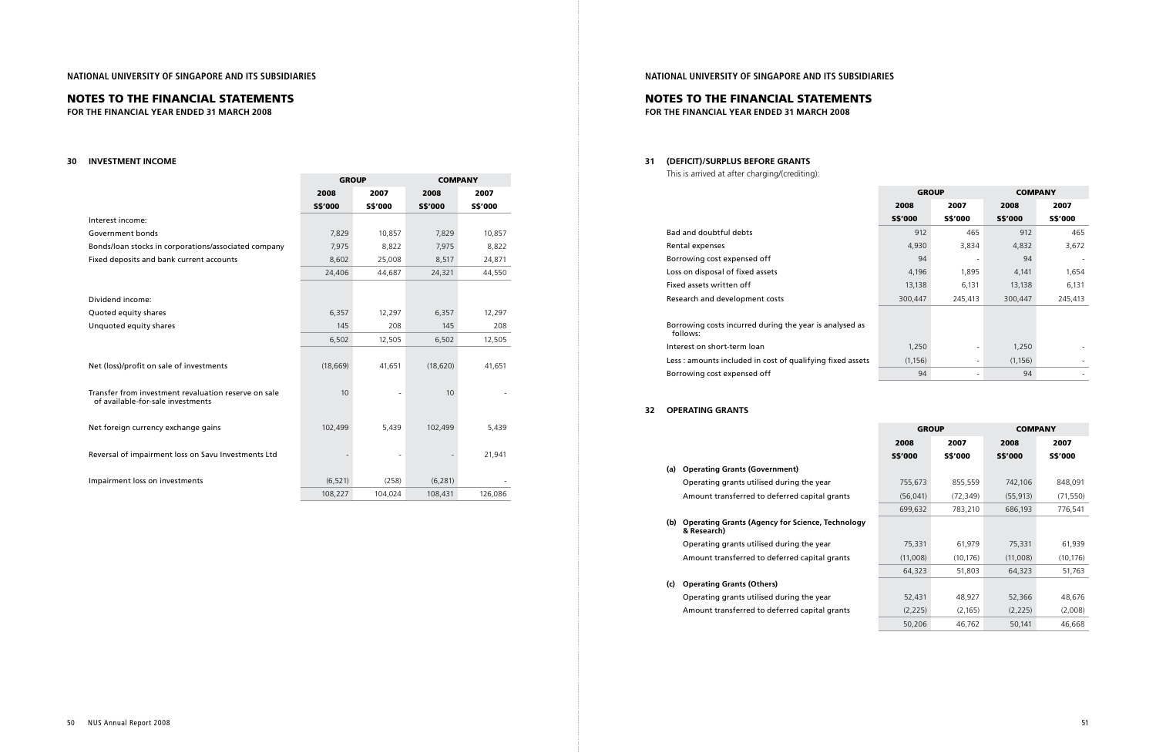**FOR THE FINANCIAL YEAR ENDED 31 MARCH 2008**

# **31 (DEFICIT)/SURPLUS BEFORE GRANTS**

 This is arrived at after charging/(crediting):

| ad and doubtful debts           |
|---------------------------------|
| ental expenses                  |
| orrowing cost expensed off      |
| oss on disposal of fixed assets |
| ixed assets written off         |
| esearch and development costs   |
|                                 |
|                                 |

|                                                                     | <b>GROUP</b>   |                | <b>COMPANY</b> |                |
|---------------------------------------------------------------------|----------------|----------------|----------------|----------------|
|                                                                     | 2008           | 2007           | 2008           | 2007           |
|                                                                     | <b>S\$'000</b> | <b>S\$'000</b> | <b>S\$'000</b> | <b>S\$'000</b> |
| Bad and doubtful debts                                              | 912            | 465            | 912            | 465            |
| Rental expenses                                                     | 4,930          | 3,834          | 4,832          | 3,672          |
| Borrowing cost expensed off                                         | 94             |                | 94             |                |
| Loss on disposal of fixed assets                                    | 4,196          | 1,895          | 4,141          | 1,654          |
| Fixed assets written off                                            | 13,138         | 6,131          | 13,138         | 6,131          |
| Research and development costs                                      | 300,447        | 245,413        | 300,447        | 245,413        |
|                                                                     |                |                |                |                |
| Borrowing costs incurred during the year is analysed as<br>follows: |                |                |                |                |
| Interest on short-term loan                                         | 1,250          |                | 1,250          |                |
| Less: amounts included in cost of qualifying fixed assets           | (1, 156)       |                | (1, 156)       |                |
| Borrowing cost expensed off                                         | 94             |                | 94             |                |

# **32 OPERATING GRANTS**

- **(a) Operating Grants (Government)** Operating grants utilised during the year Amount transferred to deferred capital grants
- **(b) Operating Grants (Agency for Science, Technology & Research)**

Operating grants utilised during the year Amount transferred to deferred capital grants

|    |                | <b>GROUP</b>   |                | <b>COMPANY</b> |
|----|----------------|----------------|----------------|----------------|
|    | 2008           | 2007           | 2008           | 2007           |
|    | <b>S\$'000</b> | <b>S\$'000</b> | <b>S\$'000</b> | <b>S\$'000</b> |
|    |                |                |                |                |
|    | 755,673        | 855,559        | 742,106        | 848,091        |
|    | (56, 041)      | (72, 349)      | (55, 913)      | (71, 550)      |
|    | 699,632        | 783,210        | 686,193        | 776,541        |
| JУ |                |                |                |                |
|    |                |                |                |                |
|    | 75,331         | 61,979         | 75,331         | 61,939         |
|    | (11,008)       | (10, 176)      | (11,008)       | (10, 176)      |
|    | 64,323         | 51,803         | 64,323         | 51,763         |
|    |                |                |                |                |
|    | 52,431         | 48,927         | 52,366         | 48,676         |
|    | (2,225)        | (2,165)        | (2,225)        | (2,008)        |
|    | 50,206         | 46,762         | 50,141         | 46,668         |

**(c) Operating Grants (Others)**

Operating grants utilised during the year Amount transferred to deferred capital grants

# NOTES TO THE FINANCIAL STATEMENTS

**FOR THE FINANCIAL YEAR ENDED 31 MARCH 2008**

# **30 INVESTMENT INCOME**

|                                                                                           | <b>GROUP</b>   |                |                | <b>COMPANY</b> |  |  |
|-------------------------------------------------------------------------------------------|----------------|----------------|----------------|----------------|--|--|
|                                                                                           | 2008           | 2007           | 2008           | 2007           |  |  |
|                                                                                           | <b>S\$'000</b> | <b>S\$'000</b> | <b>S\$'000</b> | <b>S\$'000</b> |  |  |
| Interest income:                                                                          |                |                |                |                |  |  |
| Government bonds                                                                          | 7,829          | 10,857         | 7,829          | 10,857         |  |  |
| Bonds/loan stocks in corporations/associated company                                      | 7,975          | 8,822          | 7,975          | 8,822          |  |  |
| Fixed deposits and bank current accounts                                                  | 8,602          | 25,008         | 8,517          | 24,871         |  |  |
|                                                                                           | 24,406         | 44,687         | 24,321         | 44,550         |  |  |
|                                                                                           |                |                |                |                |  |  |
| Dividend income:                                                                          |                |                |                |                |  |  |
| Quoted equity shares                                                                      | 6,357          | 12,297         | 6,357          | 12,297         |  |  |
| Unquoted equity shares                                                                    | 145            | 208            | 145            | 208            |  |  |
|                                                                                           | 6,502          | 12,505         | 6,502          | 12,505         |  |  |
|                                                                                           |                |                |                |                |  |  |
| Net (loss)/profit on sale of investments                                                  | (18, 669)      | 41,651         | (18, 620)      | 41,651         |  |  |
|                                                                                           |                |                |                |                |  |  |
| Transfer from investment revaluation reserve on sale<br>of available-for-sale investments | 10             |                | 10             |                |  |  |
|                                                                                           |                |                |                |                |  |  |
| Net foreign currency exchange gains                                                       | 102,499        | 5,439          | 102,499        | 5,439          |  |  |
|                                                                                           |                |                |                |                |  |  |
| Reversal of impairment loss on Savu Investments Ltd                                       |                |                |                | 21,941         |  |  |
|                                                                                           |                |                |                |                |  |  |
| Impairment loss on investments                                                            | (6, 521)       | (258)          | (6, 281)       |                |  |  |
|                                                                                           | 108,227        | 104,024        | 108,431        | 126,086        |  |  |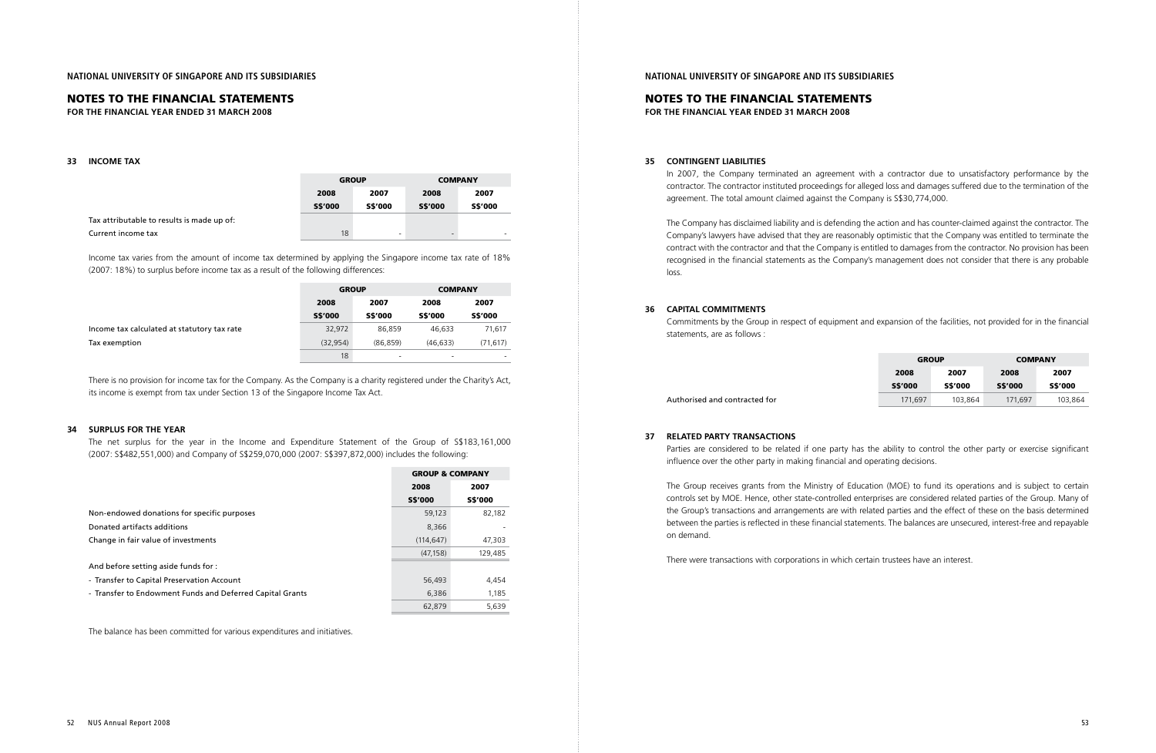**FOR THE FINANCIAL YEAR ENDED 31 MARCH 2008**

### **35 CONTINGENT LIABILITIES**

 In 2007, the Company terminated an agreement with a contractor due to unsatisfactory performance by the contractor. The contractor instituted proceedings for alleged loss and damages suffered due to the termination of the agreement. The total amount claimed against the Company is S\$30,774,000.

 The Company has disclaimed liability and is defending the action and has counter-claimed against the contractor. The Company's lawyers have advised that they are reasonably optimistic that the Company was entitled to terminate the contract with the contractor and that the Company is entitled to damages from the contractor. No provision has been recognised in the financial statements as the Company's management does not consider that there is any probable loss.

# **36 CAPITAL COMMITMENTS**

 Commitments by the Group in respect of equipment and expansion of the facilities, not provided for in the financial statements, are as follows :

Authorised and contracted for

| <b>GROUP</b>   |                | <b>COMPANY</b> |                |
|----------------|----------------|----------------|----------------|
| 2008           | 2007           | 2008           | 2007           |
| <b>S\$'000</b> | <b>S\$'000</b> | <b>S\$'000</b> | <b>S\$'000</b> |
| 171,697        | 103,864        | 171,697        | 103,864        |

# **37 RELATED PARTY TRANSACTIONS**

 Parties are considered to be related if one party has the ability to control the other party or exercise significant influence over the other party in making financial and operating decisions.

 The Group receives grants from the Ministry of Education (MOE) to fund its operations and is subject to certain controls set by MOE. Hence, other state-controlled enterprises are considered related parties of the Group. Many of the Group's transactions and arrangements are with related parties and the effect of these on the basis determined between the parties is reflected in these financial statements. The balances are unsecured, interest-free and repayable on demand.

 There were transactions with corporations in which certain trustees have an interest.

# NOTES TO THE FINANCIAL STATEMENTS

**FOR THE FINANCIAL YEAR ENDED 31 MARCH 2008**

### **33 INCOME TAX**

|                                            | <b>GROUP</b>           |                          | <b>COMPANY</b>           |                        |
|--------------------------------------------|------------------------|--------------------------|--------------------------|------------------------|
|                                            | 2008<br><b>S\$'000</b> | 2007<br><b>S\$'000</b>   | 2008<br><b>S\$'000</b>   | 2007<br><b>S\$'000</b> |
| Tax attributable to results is made up of: |                        |                          |                          |                        |
| Current income tax                         | 18                     | $\overline{\phantom{a}}$ | $\overline{\phantom{a}}$ |                        |

 Income tax varies from the amount of income tax determined by applying the Singapore income tax rate of 18% (2007: 18%) to surplus before income tax as a result of the following differences:

|                                             | <b>GROUP</b>   |                | <b>COMPANY</b> |                          |
|---------------------------------------------|----------------|----------------|----------------|--------------------------|
|                                             | 2008           | 2007           | 2008           | 2007                     |
|                                             | <b>S\$'000</b> | <b>S\$'000</b> | <b>S\$'000</b> | S\$'000                  |
| Income tax calculated at statutory tax rate | 32,972         | 86,859         | 46.633         | 71,617                   |
| Tax exemption                               | (32, 954)      | (86.859)       | (46, 633)      | (71, 617)                |
|                                             | 18             | -              | ۰              | $\overline{\phantom{0}}$ |

 There is no provision for income tax for the Company. As the Company is a charity registered under the Charity's Act, its income is exempt from tax under Section 13 of the Singapore Income Tax Act.

### **34 SURPLUS FOR THE YEAR**

 The net surplus for the year in the Income and Expenditure Statement of the Group of S\$183,161,000 (2007: S\$482,551,000) and Company of S\$259,070,000 (2007: S\$397,872,000) includes the following:

|                                                           | <b>GROUP &amp; COMPANY</b> |                |
|-----------------------------------------------------------|----------------------------|----------------|
|                                                           | 2008                       | 2007           |
|                                                           | <b>S\$'000</b>             | <b>S\$'000</b> |
| Non-endowed donations for specific purposes               | 59,123                     | 82,182         |
| Donated artifacts additions                               | 8,366                      |                |
| Change in fair value of investments                       | (114, 647)                 | 47,303         |
|                                                           | (47, 158)                  | 129,485        |
| And before setting aside funds for:                       |                            |                |
| - Transfer to Capital Preservation Account                | 56,493                     | 4,454          |
| - Transfer to Endowment Funds and Deferred Capital Grants | 6,386                      | 1,185          |
|                                                           | 62.879                     | 5.639          |

 The balance has been committed for various expenditures and initiatives.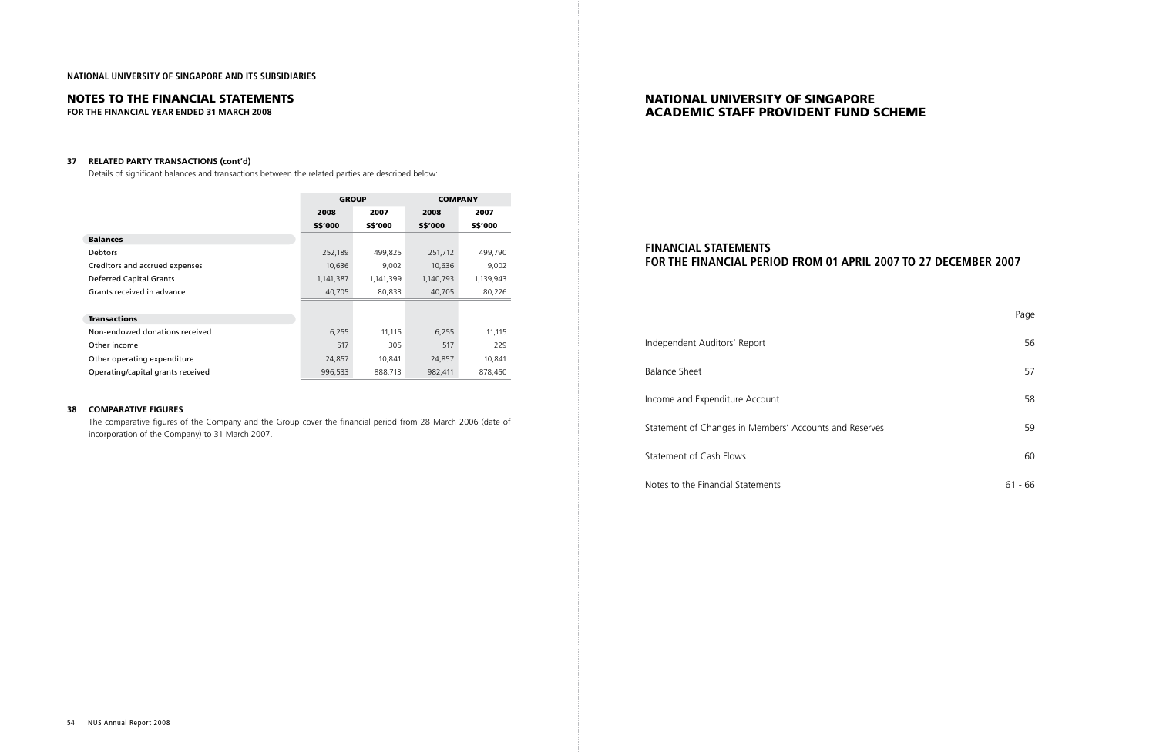# NATIONAL UNIVERSITY OF SINGAPORE ACADEMIC STAFF PROVIDENT FUND SCHEME

# **FINANCIAL STATEMENTS FOR THE FINANCIAL PERIOD FROM 01 APRIL 2007 TO 27 DECEMBER 2007**

Independent Auditors' Report

**Balance Sheet** 

Income and Expenditure Account

Statement of Changes in Members' Accounts and Re

Statement of Cash Flows

Notes to the Financial Statements

|         | Page      |
|---------|-----------|
|         | 56        |
|         | 57        |
|         | 58        |
| eserves | 59        |
|         | 60        |
|         | $61 - 66$ |

# NOTES TO THE FINANCIAL STATEMENTS

**FOR THE FINANCIAL YEAR ENDED 31 MARCH 2008**

# **37 RELATED PARTY TRANSACTIONS (cont'd)**

 Details of significant balances and transactions between the related parties are described below:

|                                   | <b>GROUP</b>   |                | <b>COMPANY</b> |                |
|-----------------------------------|----------------|----------------|----------------|----------------|
|                                   | 2008           | 2007           | 2008           | 2007           |
|                                   | <b>S\$'000</b> | <b>S\$'000</b> | <b>S\$'000</b> | <b>S\$'000</b> |
| <b>Balances</b>                   |                |                |                |                |
| <b>Debtors</b>                    | 252,189        | 499,825        | 251,712        | 499,790        |
| Creditors and accrued expenses    | 10,636         | 9,002          | 10,636         | 9,002          |
| <b>Deferred Capital Grants</b>    | 1,141,387      | 1,141,399      | 1,140,793      | 1,139,943      |
| Grants received in advance        | 40,705         | 80,833         | 40,705         | 80,226         |
|                                   |                |                |                |                |
| <b>Transactions</b>               |                |                |                |                |
| Non-endowed donations received    | 6,255          | 11,115         | 6,255          | 11,115         |
| Other income                      | 517            | 305            | 517            | 229            |
| Other operating expenditure       | 24,857         | 10,841         | 24,857         | 10,841         |
| Operating/capital grants received | 996,533        | 888,713        | 982,411        | 878,450        |

# **38 COMPARATIVE FIGURES**

 The comparative figures of the Company and the Group cover the financial period from 28 March 2006 (date of incorporation of the Company) to 31 March 2007.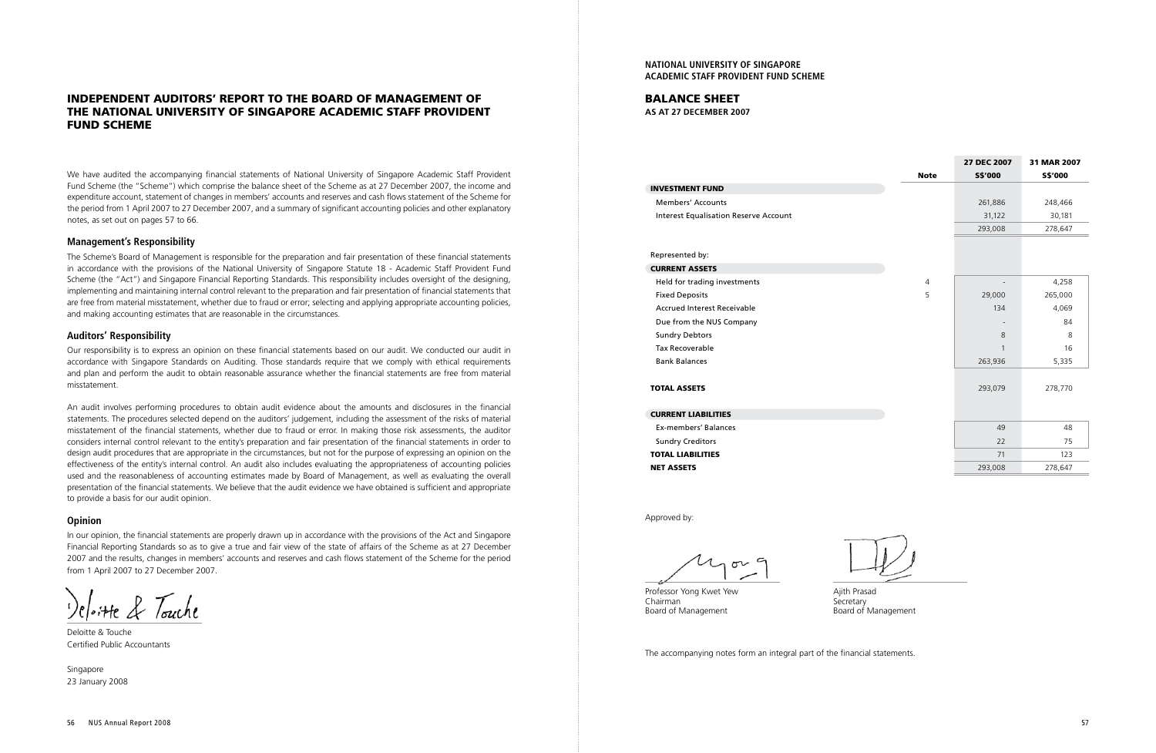# BALANCE SHEET

**AS AT 27 DECEMBER 2007**

### **TOTAL ASSETS**

# INVESTMENT FUND

# Represented by:

|                                              |                | 27 DEC 2007    | 31 MAR 2007 |
|----------------------------------------------|----------------|----------------|-------------|
|                                              | <b>Note</b>    | <b>S\$'000</b> | S\$'000     |
| <b>INVESTMENT FUND</b>                       |                |                |             |
| <b>Members' Accounts</b>                     |                | 261,886        | 248,466     |
| <b>Interest Equalisation Reserve Account</b> |                | 31,122         | 30,181      |
|                                              |                | 293,008        | 278,647     |
| Represented by:                              |                |                |             |
| <b>CURRENT ASSETS</b>                        |                |                |             |
| Held for trading investments                 | $\overline{4}$ |                | 4,258       |
| <b>Fixed Deposits</b>                        | 5              | 29,000         | 265,000     |
| <b>Accrued Interest Receivable</b>           |                | 134            | 4,069       |
| Due from the NUS Company                     |                |                | 84          |
| <b>Sundry Debtors</b>                        |                | 8              | 8           |
| <b>Tax Recoverable</b>                       |                | 1              | 16          |
| <b>Bank Balances</b>                         |                | 263,936        | 5,335       |
| <b>TOTAL ASSETS</b>                          |                | 293,079        | 278,770     |
| <b>CURRENT LIABILITIES</b>                   |                |                |             |
| <b>Ex-members' Balances</b>                  |                | 49             | 48          |
| <b>Sundry Creditors</b>                      |                | 22             | 75          |
| <b>TOTAL LIABILITIES</b>                     |                | 71             | 123         |
| <b>NET ASSETS</b>                            |                | 293,008        | 278,647     |
|                                              |                |                |             |

### CURRENT LIABILITIES

Approved by:

Professor Yong Kwet Yew **Agency Alleman** Agith Prasad Chairman **Secretary** Secretary Board of Management Board of Management

The accompanying notes form an integral part of the financial statements.

# INDEPENDENT AUDITORS' REPORT TO THE BOARD OF MANAGEMENT OF THE NATIONAL UNIVERSITY OF SINGAPORE ACADEMIC STAFF PROVIDENT FUND SCHEME

We have audited the accompanying financial statements of National University of Singapore Academic Staff Provident Fund Scheme (the "Scheme") which comprise the balance sheet of the Scheme as at 27 December 2007, the income and expenditure account, statement of changes in members' accounts and reserves and cash flows statement of the Scheme for the period from 1 April 2007 to 27 December 2007, and a summary of significant accounting policies and other explanatory notes, as set out on pages 57 to 66.

# **Management's Responsibility**

The Scheme's Board of Management is responsible for the preparation and fair presentation of these financial statements in accordance with the provisions of the National University of Singapore Statute 18 - Academic Staff Provident Fund Scheme (the "Act") and Singapore Financial Reporting Standards. This responsibility includes oversight of the designing, implementing and maintaining internal control relevant to the preparation and fair presentation of financial statements that are free from material misstatement, whether due to fraud or error; selecting and applying appropriate accounting policies, and making accounting estimates that are reasonable in the circumstances.

# **Auditors' Responsibility**

Our responsibility is to express an opinion on these financial statements based on our audit. We conducted our audit in accordance with Singapore Standards on Auditing. Those standards require that we comply with ethical requirements and plan and perform the audit to obtain reasonable assurance whether the financial statements are free from material misstatement.

An audit involves performing procedures to obtain audit evidence about the amounts and disclosures in the financial statements. The procedures selected depend on the auditors' judgement, including the assessment of the risks of material misstatement of the financial statements, whether due to fraud or error. In making those risk assessments, the auditor considers internal control relevant to the entity's preparation and fair presentation of the financial statements in order to design audit procedures that are appropriate in the circumstances, but not for the purpose of expressing an opinion on the effectiveness of the entity's internal control. An audit also includes evaluating the appropriateness of accounting policies used and the reasonableness of accounting estimates made by Board of Management, as well as evaluating the overall presentation of the financial statements. We believe that the audit evidence we have obtained is sufficient and appropriate to provide a basis for our audit opinion.

### **Opinion**

In our opinion, the financial statements are properly drawn up in accordance with the provisions of the Act and Singapore Financial Reporting Standards so as to give a true and fair view of the state of affairs of the Scheme as at 27 December 2007 and the results, changes in members' accounts and reserves and cash flows statement of the Scheme for the period from 1 April 2007 to 27 December 2007.

Deloitte & Touche Certified Public Accountants

Singapore 23 January 2008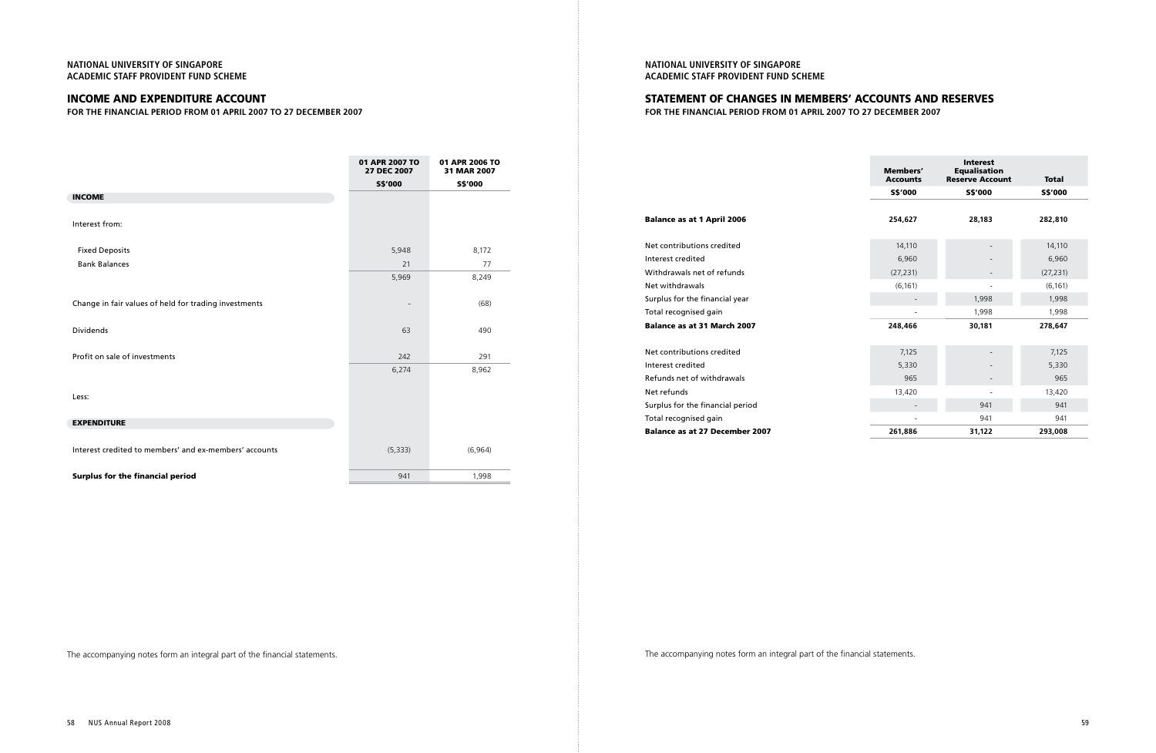# STATEMENT OF CHANGES in MEMBERS' ACCOUNTS AND RESERVES

**FOR THE FINANCIAL PERIOD FROM 01 APRIL 2007 TO 27 DECEMBER 2007**

# Balance as at 1 April 2006 **254,627 28,183 282,810**

|                                       | <b>Members'</b><br><b>Accounts</b> | <b>Interest</b><br><b>Equalisation</b><br><b>Reserve Account</b> | <b>Total</b>   |
|---------------------------------------|------------------------------------|------------------------------------------------------------------|----------------|
|                                       | <b>S\$'000</b>                     | <b>S\$'000</b>                                                   | <b>S\$'000</b> |
| <b>Balance as at 1 April 2006</b>     | 254,627                            | 28,183                                                           | 282,810        |
| Net contributions credited            | 14,110                             |                                                                  | 14,110         |
|                                       | 6,960                              |                                                                  | 6,960          |
| Withdrawals net of refunds            | (27, 231)                          |                                                                  | (27, 231)      |
|                                       | (6, 161)                           |                                                                  | (6, 161)       |
| Surplus for the financial year        |                                    | 1,998                                                            | 1,998          |
| Total recognised gain                 |                                    | 1,998                                                            | 1,998          |
| <b>Balance as at 31 March 2007</b>    | 248,466                            | 30,181                                                           | 278,647        |
| Net contributions credited            | 7,125                              |                                                                  | 7,125          |
| Interest credited                     | 5,330                              |                                                                  | 5,330          |
| Refunds net of withdrawals            | 965                                |                                                                  | 965            |
|                                       | 13,420                             |                                                                  | 13,420         |
| Surplus for the financial period      |                                    | 941                                                              | 941            |
| Total recognised gain                 |                                    | 941                                                              | 941            |
| <b>Balance as at 27 December 2007</b> | 261,886                            | 31,122                                                           | 293,008        |

The accompanying notes form an integral part of the financial statements.

# INCOME AND EXPENDITURE ACCOUNT

**FOR THE FINANCIAL PERIOD FROM 01 APRIL 2007 TO 27 DECEMBER 2007**

|                                                        | 01 APR 2007 TO<br>27 DEC 2007 | 01 APR 2006 TO<br>31 MAR 2007 |
|--------------------------------------------------------|-------------------------------|-------------------------------|
|                                                        | <b>S\$'000</b>                | S\$'000                       |
| <b>INCOME</b>                                          |                               |                               |
|                                                        |                               |                               |
| Interest from:                                         |                               |                               |
|                                                        |                               |                               |
| <b>Fixed Deposits</b>                                  | 5,948                         | 8,172                         |
| <b>Bank Balances</b>                                   | 21                            | 77                            |
|                                                        | 5,969                         | 8,249                         |
|                                                        |                               |                               |
| Change in fair values of held for trading investments  |                               | (68)                          |
|                                                        |                               |                               |
| <b>Dividends</b>                                       | 63                            | 490                           |
|                                                        |                               |                               |
| Profit on sale of investments                          | 242                           | 291                           |
|                                                        | 6,274                         | 8,962                         |
|                                                        |                               |                               |
| Less:                                                  |                               |                               |
|                                                        |                               |                               |
| <b>EXPENDITURE</b>                                     |                               |                               |
|                                                        |                               |                               |
| Interest credited to members' and ex-members' accounts | (5, 333)                      | (6,964)                       |
|                                                        |                               |                               |
| <b>Surplus for the financial period</b>                | 941                           | 1,998                         |

The accompanying notes form an integral part of the financial statements.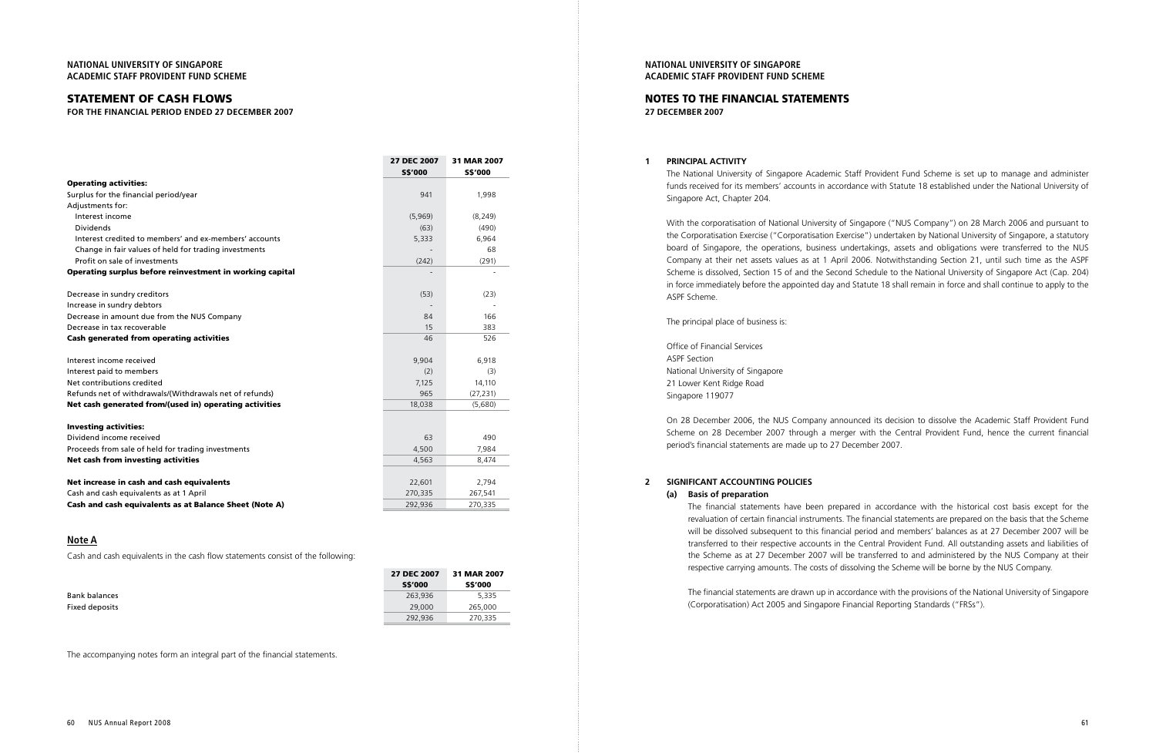# **NATIONAL UNIVERSITY OF SINGAPORE Academic Staff Provident Fund Scheme**

# NOTES TO THE FINANCIAL STATEMENTS **27 DECEMBER 2007**

# **1 PRINCIPAL ACTIVITY**

 The National University of Singapore Academic Staff Provident Fund Scheme is set up to manage and administer funds received for its members' accounts in accordance with Statute 18 established under the National University of Singapore Act, Chapter 204.

 With the corporatisation of National University of Singapore ("NUS Company") on 28 March 2006 and pursuant to the Corporatisation Exercise ("Corporatisation Exercise") undertaken by National University of Singapore, a statutory board of Singapore, the operations, business undertakings, assets and obligations were transferred to the NUS Company at their net assets values as at 1 April 2006. Notwithstanding Section 21, until such time as the ASPF Scheme is dissolved, Section 15 of and the Second Schedule to the National University of Singapore Act (Cap. 204) in force immediately before the appointed day and Statute 18 shall remain in force and shall continue to apply to the ASPF Scheme.

 The principal place of business is:

 Office of Financial Services ASPF Section National University of Singapore 21 Lower Kent Ridge Road Singapore 119077

 On 28 December 2006, the NUS Company announced its decision to dissolve the Academic Staff Provident Fund Scheme on 28 December 2007 through a merger with the Central Provident Fund, hence the current financial period's financial statements are made up to 27 December 2007.

# **2 SIGNIFICANT ACCOUNTING POLICIES (a) Basis of preparation**

 The financial statements have been prepared in accordance with the historical cost basis except for the revaluation of certain financial instruments. The financial statements are prepared on the basis that the Scheme will be dissolved subsequent to this financial period and members' balances as at 27 December 2007 will be transferred to their respective accounts in the Central Provident Fund. All outstanding assets and liabilities of the Scheme as at 27 December 2007 will be transferred to and administered by the NUS Company at their respective carrying amounts. The costs of dissolving the Scheme will be borne by the NUS Company.

 The financial statements are drawn up in accordance with the provisions of the National University of Singapore (Corporatisation) Act 2005 and Singapore Financial Reporting Standards ("FRSs").

# STATEMENT OF CASH FLOWS

**FOR THE FINANCIAL PERIOD ENDED 27 DECEMBER 2007**

|                                                          | 27 DEC 2007    | 31 MAR 2007    |
|----------------------------------------------------------|----------------|----------------|
|                                                          | <b>S\$'000</b> | <b>S\$'000</b> |
| <b>Operating activities:</b>                             |                |                |
| Surplus for the financial period/year                    | 941            | 1,998          |
| Adjustments for:                                         |                |                |
| Interest income                                          | (5,969)        | (8, 249)       |
| <b>Dividends</b>                                         | (63)           | (490)          |
| Interest credited to members' and ex-members' accounts   | 5,333          | 6,964          |
| Change in fair values of held for trading investments    |                | 68             |
| Profit on sale of investments                            | (242)          | (291)          |
| Operating surplus before reinvestment in working capital |                |                |
| Decrease in sundry creditors                             | (53)           | (23)           |
| Increase in sundry debtors                               |                |                |
| Decrease in amount due from the NUS Company              | 84             | 166            |
| Decrease in tax recoverable                              | 15             | 383            |
| <b>Cash generated from operating activities</b>          | 46             | 526            |
| Interest income received                                 | 9,904          | 6,918          |
| Interest paid to members                                 | (2)            | (3)            |
| Net contributions credited                               | 7,125          | 14,110         |
| Refunds net of withdrawals/(Withdrawals net of refunds)  | 965            | (27, 231)      |
| Net cash generated from/(used in) operating activities   | 18,038         | (5,680)        |
| <b>Investing activities:</b>                             |                |                |
| Dividend income received                                 | 63             | 490            |
| Proceeds from sale of held for trading investments       | 4,500          | 7,984          |
| Net cash from investing activities                       | 4,563          | 8,474          |
|                                                          |                |                |
| Net increase in cash and cash equivalents                | 22,601         | 2,794          |
| Cash and cash equivalents as at 1 April                  | 270,335        | 267,541        |
| Cash and cash equivalents as at Balance Sheet (Note A)   | 292,936        | 270,335        |

# **Note A**

Cash and cash equivalents in the cash flow statements consist of the following:

|                      | 27 DEC 2007<br><b>S\$'000</b> | 31 MAR 2007<br><b>S\$'000</b> |
|----------------------|-------------------------------|-------------------------------|
| <b>Bank balances</b> | 263,936                       | 5,335                         |
| Fixed deposits       | 29,000                        | 265,000                       |
|                      | 292,936                       | 270,335                       |

The accompanying notes form an integral part of the financial statements.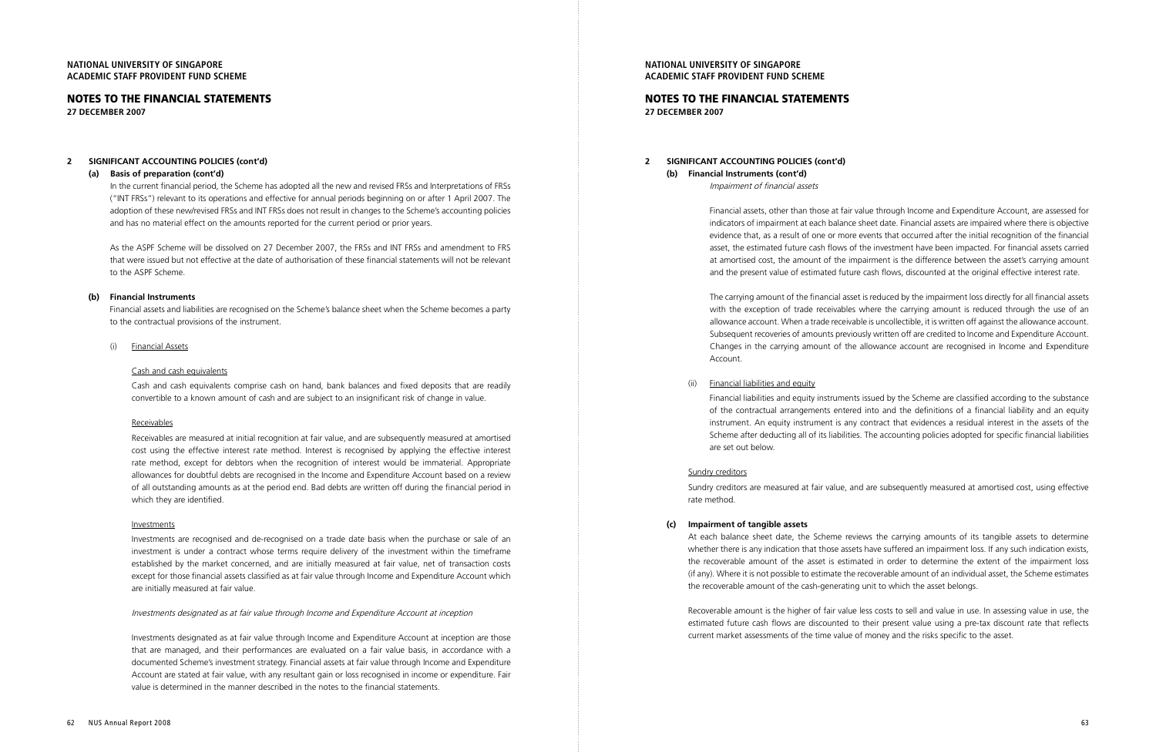**NATIONAL UNIVERSITY OF SINGAPORE Academic Staff Provident Fund Scheme**

# NOTES TO THE FINANCIAL STATEMENTS **27 DECEMBER 2007**

# **2 SIGNIFICANT ACCOUNTING POLICIES (cont'd) (b) Financial Instruments (cont'd)**

 Impairment of financial assets

 Financial assets, other than those at fair value through Income and Expenditure Account, are assessed for indicators of impairment at each balance sheet date. Financial assets are impaired where there is objective evidence that, as a result of one or more events that occurred after the initial recognition of the financial asset, the estimated future cash flows of the investment have been impacted. For financial assets carried at amortised cost, the amount of the impairment is the difference between the asset's carrying amount and the present value of estimated future cash flows, discounted at the original effective interest rate.

 The carrying amount of the financial asset is reduced by the impairment loss directly for all financial assets with the exception of trade receivables where the carrying amount is reduced through the use of an allowance account. When a trade receivable is uncollectible, it is written off against the allowance account. Subsequent recoveries of amounts previously written off are credited to Income and Expenditure Account. Changes in the carrying amount of the allowance account are recognised in Income and Expenditure Account.

### (ii) Financial liabilities and equity

 Financial liabilities and equity instruments issued by the Scheme are classified according to the substance of the contractual arrangements entered into and the definitions of a financial liability and an equity instrument. An equity instrument is any contract that evidences a residual interest in the assets of the Scheme after deducting all of its liabilities. The accounting policies adopted for specific financial liabilities are set out below.

### Sundry creditors

 Sundry creditors are measured at fair value, and are subsequently measured at amortised cost, using effective rate method.

### **(c) Impairment of tangible assets**

 At each balance sheet date, the Scheme reviews the carrying amounts of its tangible assets to determine whether there is any indication that those assets have suffered an impairment loss. If any such indication exists, the recoverable amount of the asset is estimated in order to determine the extent of the impairment loss (if any). Where it is not possible to estimate the recoverable amount of an individual asset, the Scheme estimates the recoverable amount of the cash-generating unit to which the asset belongs.

 Recoverable amount is the higher of fair value less costs to sell and value in use. In assessing value in use, the estimated future cash flows are discounted to their present value using a pre-tax discount rate that reflects current market assessments of the time value of money and the risks specific to the asset.

NOTES TO THE FINANCIAL STATEMENTS **27 DECEMBER 2007**

# **2 SIGNIFICANT ACCOUNTING POLICIES (cont'd)**

### **(a) Basis of preparation (cont'd)**

 In the current financial period, the Scheme has adopted all the new and revised FRSs and Interpretations of FRSs ("INT FRSs") relevant to its operations and effective for annual periods beginning on or after 1 April 2007. The adoption of these new/revised FRSs and INT FRSs does not result in changes to the Scheme's accounting policies and has no material effect on the amounts reported for the current period or prior years.

 As the ASPF Scheme will be dissolved on 27 December 2007, the FRSs and INT FRSs and amendment to FRS that were issued but not effective at the date of authorisation of these financial statements will not be relevant to the ASPF Scheme.

### **(b) Financial Instruments**

 Financial assets and liabilities are recognised on the Scheme's balance sheet when the Scheme becomes a party to the contractual provisions of the instrument.

### (i) Financial Assets

# Cash and cash equivalents

 Cash and cash equivalents comprise cash on hand, bank balances and fixed deposits that are readily convertible to a known amount of cash and are subject to an insignificant risk of change in value.

### Receivables

 Receivables are measured at initial recognition at fair value, and are subsequently measured at amortised cost using the effective interest rate method. Interest is recognised by applying the effective interest rate method, except for debtors when the recognition of interest would be immaterial. Appropriate allowances for doubtful debts are recognised in the Income and Expenditure Account based on a review of all outstanding amounts as at the period end. Bad debts are written off during the financial period in which they are identified.

### Investments

 Investments are recognised and de-recognised on a trade date basis when the purchase or sale of an investment is under a contract whose terms require delivery of the investment within the timeframe established by the market concerned, and are initially measured at fair value, net of transaction costs except for those financial assets classified as at fair value through Income and Expenditure Account which are initially measured at fair value.

 Investments designated as at fair value through Income and Expenditure Account at inception

 Investments designated as at fair value through Income and Expenditure Account at inception are those that are managed, and their performances are evaluated on a fair value basis, in accordance with a documented Scheme's investment strategy. Financial assets at fair value through Income and Expenditure Account are stated at fair value, with any resultant gain or loss recognised in income or expenditure. Fair value is determined in the manner described in the notes to the financial statements.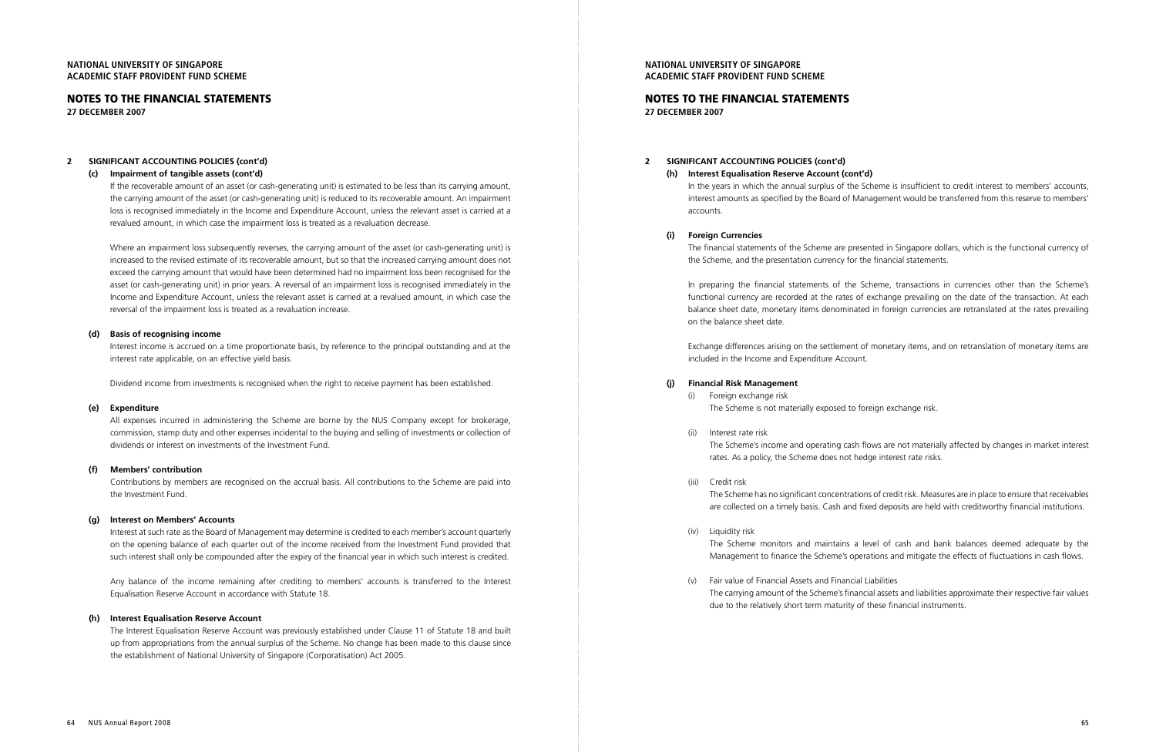**NATIONAL UNIVERSITY OF SINGAPORE Academic Staff Provident Fund Scheme**

# NOTES TO THE FINANCIAL STATEMENTS **27 DECEMBER 2007**

# **2 SIGNIFICANT ACCOUNTING POLICIES (cont'd)**

**(h) Interest Equalisation Reserve Account (cont'd)** In the years in which the annual surplus of the Scheme is insufficient to credit interest to members' accounts, interest amounts as specified by the Board of Management would be transferred from this reserve to members' accounts.

### **(i) Foreign Currencies**

 The financial statements of the Scheme are presented in Singapore dollars, which is the functional currency of the Scheme, and the presentation currency for the financial statements.

 In preparing the financial statements of the Scheme, transactions in currencies other than the Scheme's functional currency are recorded at the rates of exchange prevailing on the date of the transaction. At each balance sheet date, monetary items denominated in foreign currencies are retranslated at the rates prevailing on the balance sheet date.

 Exchange differences arising on the settlement of monetary items, and on retranslation of monetary items are included in the Income and Expenditure Account.

### **(j) Financial Risk Management**

 The Scheme's income and operating cash flows are not materially affected by changes in market interest

 The Scheme has no significant concentrations of credit risk. Measures are in place to ensure that receivables are collected on a timely basis. Cash and fixed deposits are held with creditworthy financial institutions.

- (i) Foreign exchange risk The Scheme is not materially exposed to foreign exchange risk.
- (ii) Interest rate risk rates. As a policy, the Scheme does not hedge interest rate risks.
- (iii) Credit risk
- (iv) Liquidity risk
- (v) Fair value of Financial Assets and Financial Liabilities due to the relatively short term maturity of these financial instruments.

 The Scheme monitors and maintains a level of cash and bank balances deemed adequate by the Management to finance the Scheme's operations and mitigate the effects of fluctuations in cash flows.

 The carrying amount of the Scheme's financial assets and liabilities approximate their respective fair values

NOTES TO THE FINANCIAL STATEMENTS **27 DECEMBER 2007**

# **2 SIGNIFICANT ACCOUNTING POLICIES (cont'd)**

### **(c) Impairment of tangible assets (cont'd)**

 If the recoverable amount of an asset (or cash-generating unit) is estimated to be less than its carrying amount, the carrying amount of the asset (or cash-generating unit) is reduced to its recoverable amount. An impairment loss is recognised immediately in the Income and Expenditure Account, unless the relevant asset is carried at a revalued amount, in which case the impairment loss is treated as a revaluation decrease.

 Where an impairment loss subsequently reverses, the carrying amount of the asset (or cash-generating unit) is increased to the revised estimate of its recoverable amount, but so that the increased carrying amount does not exceed the carrying amount that would have been determined had no impairment loss been recognised for the asset (or cash-generating unit) in prior years. A reversal of an impairment loss is recognised immediately in the Income and Expenditure Account, unless the relevant asset is carried at a revalued amount, in which case the reversal of the impairment loss is treated as a revaluation increase.

### **(d) Basis of recognising income**

 Interest income is accrued on a time proportionate basis, by reference to the principal outstanding and at the interest rate applicable, on an effective yield basis.

 Dividend income from investments is recognised when the right to receive payment has been established.

### **(e) Expenditure**

 All expenses incurred in administering the Scheme are borne by the NUS Company except for brokerage, commission, stamp duty and other expenses incidental to the buying and selling of investments or collection of dividends or interest on investments of the Investment Fund.

# **(f) Members' contribution**

 Contributions by members are recognised on the accrual basis. All contributions to the Scheme are paid into the Investment Fund.

### **(g) Interest on Members' Accounts**

 Interest at such rate as the Board of Management may determine is credited to each member's account quarterly on the opening balance of each quarter out of the income received from the Investment Fund provided that such interest shall only be compounded after the expiry of the financial year in which such interest is credited.

 Any balance of the income remaining after crediting to members' accounts is transferred to the Interest Equalisation Reserve Account in accordance with Statute 18.

# **(h) Interest Equalisation Reserve Account**

 The Interest Equalisation Reserve Account was previously established under Clause 11 of Statute 18 and built up from appropriations from the annual surplus of the Scheme. No change has been made to this clause since the establishment of National University of Singapore (Corporatisation) Act 2005.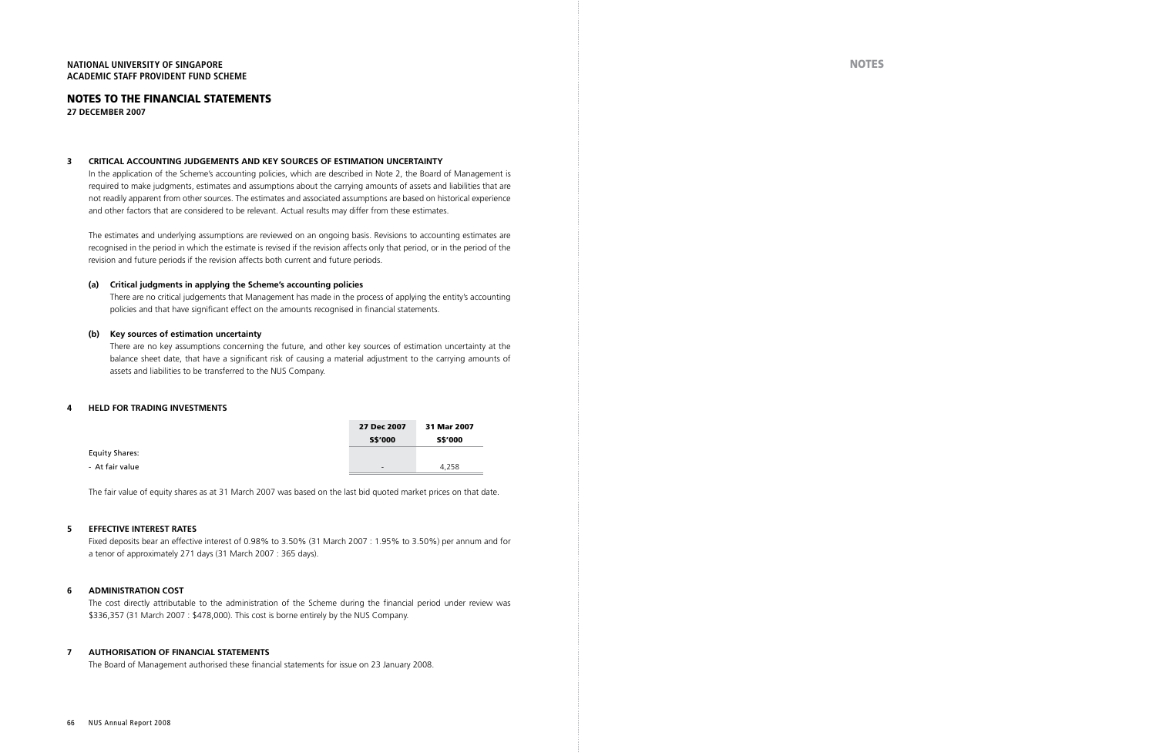# NOTES TO THE FINANCIAL STATEMENTS **27 DECEMBER 2007**

# **3 CRITICAL ACCOUNTING JUDGEMENTS AND KEY SOURCES OF ESTIMATION UNCERTAINTY**

 In the application of the Scheme's accounting policies, which are described in Note 2, the Board of Management is required to make judgments, estimates and assumptions about the carrying amounts of assets and liabilities that are not readily apparent from other sources. The estimates and associated assumptions are based on historical experience and other factors that are considered to be relevant. Actual results may differ from these estimates.

 The estimates and underlying assumptions are reviewed on an ongoing basis. Revisions to accounting estimates are recognised in the period in which the estimate is revised if the revision affects only that period, or in the period of the revision and future periods if the revision affects both current and future periods.

# **(a) Critical judgments in applying the Scheme's accounting policies**

 There are no critical judgements that Management has made in the process of applying the entity's accounting policies and that have significant effect on the amounts recognised in financial statements.

# **(b) Key sources of estimation uncertainty**

 There are no key assumptions concerning the future, and other key sources of estimation uncertainty at the balance sheet date, that have a significant risk of causing a material adjustment to the carrying amounts of assets and liabilities to be transferred to the NUS Company.

# **4 HELD FOR TRADING INVESTMENTS**

|                       | 27 Dec 2007              | 31 Mar 2007    |
|-----------------------|--------------------------|----------------|
|                       | <b>S\$'000</b>           | <b>S\$'000</b> |
| <b>Equity Shares:</b> |                          |                |
| - At fair value       | $\overline{\phantom{0}}$ | 4.258          |

 The fair value of equity shares as at 31 March 2007 was based on the last bid quoted market prices on that date.

# **5 EFFECTIVE INTEREST RATES**

 Fixed deposits bear an effective interest of 0.98% to 3.50% (31 March 2007 : 1.95% to 3.50%) per annum and for a tenor of approximately 271 days (31 March 2007 : 365 days).

# **6 ADMINISTRATION COST**

 The cost directly attributable to the administration of the Scheme during the financial period under review was \$336,357 (31 March 2007 : \$478,000). This cost is borne entirely by the NUS Company.

### **7 AUTHORISATION OF FINANCIAL STATEMENTS**

 The Board of Management authorised these financial statements for issue on 23 January 2008.

**NOTES**